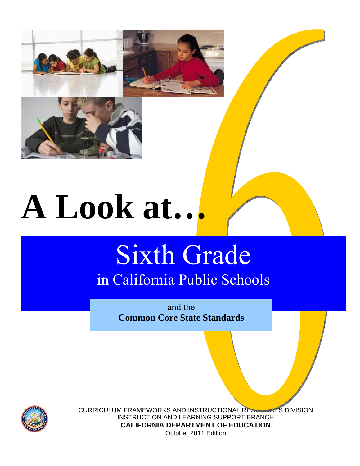



# **A Look at…**

# Sixth Grade in California Public Schools

and the **Common Core State Standards** 



CURRICULUM FRAMEWORKS AND INSTRUCTIONAL RESOURCES DIVISION INSTRUCTION AND LEARNING SUPPORT BRANCH **CALIFORNIA DEPARTMENT OF EDUCATION**  October 2011 Edition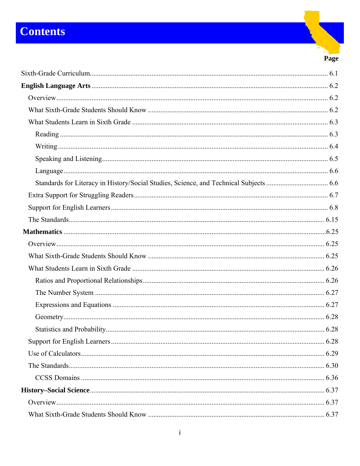# **Contents**

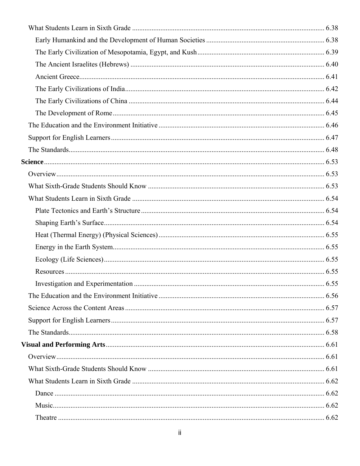| 6.55 |
|------|
|      |
|      |
|      |
|      |
|      |
|      |
|      |
|      |
|      |
|      |
|      |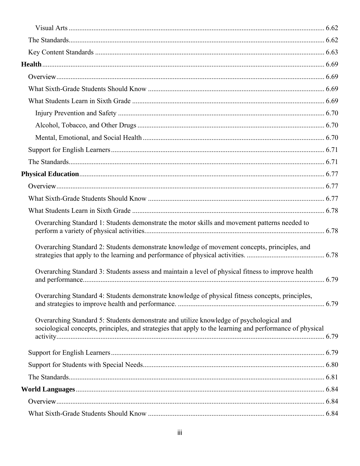| Overarching Standard 1: Students demonstrate the motor skills and movement patterns needed to                                                                                                       |  |
|-----------------------------------------------------------------------------------------------------------------------------------------------------------------------------------------------------|--|
| Overarching Standard 2: Students demonstrate knowledge of movement concepts, principles, and                                                                                                        |  |
| Overarching Standard 3: Students assess and maintain a level of physical fitness to improve health                                                                                                  |  |
| Overarching Standard 4: Students demonstrate knowledge of physical fitness concepts, principles,                                                                                                    |  |
| Overarching Standard 5: Students demonstrate and utilize knowledge of psychological and<br>sociological concepts, principles, and strategies that apply to the learning and performance of physical |  |
|                                                                                                                                                                                                     |  |
|                                                                                                                                                                                                     |  |
|                                                                                                                                                                                                     |  |
|                                                                                                                                                                                                     |  |
|                                                                                                                                                                                                     |  |
|                                                                                                                                                                                                     |  |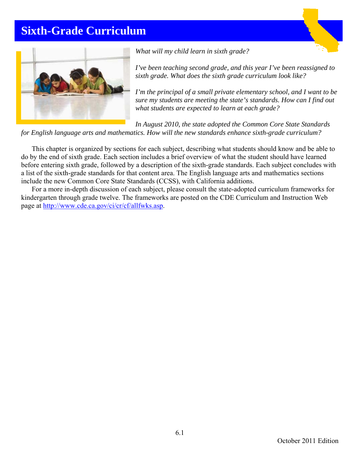# **Sixth-Grade Curriculum**



*What will my child learn in sixth grade?* 

*I've been teaching second grade, and this year I've been reassigned to sixth grade. What does the sixth grade curriculum look like?* 

*I'm the principal of a small private elementary school, and I want to be sure my students are meeting the state's standards. How can I find out what students are expected to learn at each grade?* 

*In August 2010, the state adopted the Common Core State Standards for English language arts and mathematics. How will the new standards enhance sixth-grade curriculum?* 

This chapter is organized by sections for each subject, describing what students should know and be able to do by the end of sixth grade. Each section includes a brief overview of what the student should have learned before entering sixth grade, followed by a description of the sixth-grade standards. Each subject concludes with a list of the sixth-grade standards for that content area. The English language arts and mathematics sections include the new Common Core State Standards (CCSS), with California additions.

For a more in-depth discussion of each subject, please consult the state-adopted curriculum frameworks for kindergarten through grade twelve. The frameworks are posted on the CDE Curriculum and Instruction Web page at http://www.cde.ca.gov/ci/cr/cf/allfwks.asp.

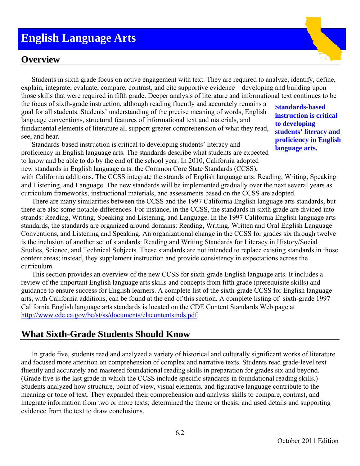### **English Language Arts**

#### **Overview**

Students in sixth grade focus on active engagement with text. They are required to analyze, identify, define, explain, integrate, evaluate, compare, contrast, and cite supportive evidence—developing and building upon those skills that were required in fifth grade. Deeper analysis of literature and informational text continues to be

the focus of sixth-grade instruction, although reading fluently and accurately remains a<br>goal for all students. Students' understanding of the precise meaning of words, English<br>language conventions, structural features of

to know and be able to do by the end of the school year. In 2010, California adopted new standards in English language arts: the Common Core State Standards (CCSS),

with California additions. The CCSS integrate the strands of English language arts: Reading, Writing, Speaking and Listening, and Language. The new standards will be implemented gradually over the next several years as curriculum frameworks, instructional materials, and assessments based on the CCSS are adopted.

There are many similarities between the CCSS and the 1997 California English language arts standards, but there are also some notable differences. For instance, in the CCSS, the standards in sixth grade are divided into strands: Reading, Writing, Speaking and Listening, and Language. In the 1997 California English language arts standards, the standards are organized around domains: Reading, Writing, Written and Oral English Language Conventions, and Listening and Speaking. An organizational change in the CCSS for grades six through twelve is the inclusion of another set of standards: Reading and Writing Standards for Literacy in History/Social Studies, Science, and Technical Subjects. These standards are not intended to replace existing standards in those content areas; instead, they supplement instruction and provide consistency in expectations across the curriculum.

This section provides an overview of the new CCSS for sixth-grade English language arts. It includes a review of the important English language arts skills and concepts from fifth grade (prerequisite skills) and guidance to ensure success for English learners. A complete list of the sixth-grade CCSS for English language arts, with California additions, can be found at the end of this section. A complete listing of sixth-grade 1997 California English language arts standards is located on the CDE Content Standards Web page at http://www.cde.ca.gov/be/st/ss/documents/elacontentstnds.pdf.

#### **What Sixth-Grade Students Should Know**

In grade five, students read and analyzed a variety of historical and culturally significant works of literature and focused more attention on comprehension of complex and narrative texts. Students read grade-level text fluently and accurately and mastered foundational reading skills in preparation for grades six and beyond. (Grade five is the last grade in which the CCSS include specific standards in foundational reading skills.) Students analyzed how structure, point of view, visual elements, and figurative language contribute to the meaning or tone of text. They expanded their comprehension and analysis skills to compare, contrast, and integrate information from two or more texts; determined the theme or thesis; and used details and supporting evidence from the text to draw conclusions.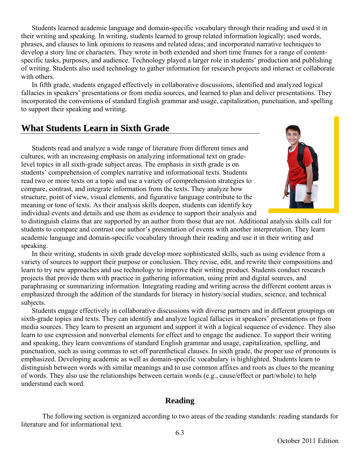Students learned academic language and domain-specific vocabulary through their reading and used it in their writing and speaking. In writing, students learned to group related information logically; used words, phrases, and clauses to link opinions to reasons and related ideas; and incorporated narrative techniques to develop a story line or characters. They wrote in both extended and short time frames for a range of contentspecific tasks, purposes, and audience. Technology played a larger role in students' production and publishing of writing. Students also used technology to gather information for research projects and interact or collaborate with others.

In fifth grade, students engaged effectively in collaborative discussions, identified and analyzed logical fallacies in speakers' presentations or from media sources, and learned to plan and deliver presentations. They incorporated the conventions of standard English grammar and usage, capitalization, punctuation, and spelling to support their speaking and writing.

#### **What Students Learn in Sixth Grade**

Students read and analyze a wide range of literature from different times and cultures, with an increasing emphasis on analyzing informational text on gradelevel topics in all sixth-grade subject areas. The emphasis in sixth grade is on students' comprehension of complex narrative and informational texts. Students read two or more texts on a topic and use a variety of comprehension strategies to compare, contrast, and integrate information from the texts. They analyze how structure, point of view, visual elements, and figurative language contribute to the meaning or tone of texts. As their analysis skills deepen, students can identify key individual events and details and use them as evidence to support their analysis and



to distinguish claims that are supported by an author from those that are not. Additional analysis skills call for students to compare and contrast one author's presentation of events with another interpretation. They learn academic language and domain-specific vocabulary through their reading and use it in their writing and speaking.

In their writing, students in sixth grade develop more sophisticated skills, such as using evidence from a variety of sources to support their purpose or conclusion. They revise, edit, and rewrite their compositions and learn to try new approaches and use technology to improve their writing product. Students conduct research projects that provide them with practice in gathering information, using print and digital sources, and paraphrasing or summarizing information. Integrating reading and writing across the different content areas is emphasized through the addition of the standards for literacy in history/social studies, science, and technical subjects.

Students engage effectively in collaborative discussions with diverse partners and in different groupings on sixth-grade topics and texts. They can identify and analyze logical fallacies in speakers' presentations or from media sources. They learn to present an argument and support it with a logical sequence of evidence. They also learn to use expression and nonverbal elements for effect and to engage the audience. To support their writing and speaking, they learn conventions of standard English grammar and usage, capitalization, spelling, and punctuation, such as using commas to set off parenthetical clauses. In sixth grade, the proper use of pronouns is emphasized. Developing academic as well as domain-specific vocabulary is highlighted. Students learn to distinguish between words with similar meanings and to use common affixes and roots as clues to the meaning of words. They also use the relationships between certain words (e.g., cause/effect or part/whole) to help understand each word.

#### **Reading**

The following section is organized according to two areas of the reading standards: reading standards for literature and for informational text.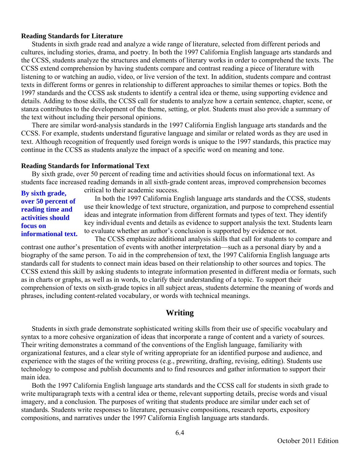#### **Reading Standards for Literature**

Students in sixth grade read and analyze a wide range of literature, selected from different periods and cultures, including stories, drama, and poetry. In both the 1997 California English language arts standards and the CCSS, students analyze the structures and elements of literary works in order to comprehend the texts. The CCSS extend comprehension by having students compare and contrast reading a piece of literature with listening to or watching an audio, video, or live version of the text. In addition, students compare and contrast texts in different forms or genres in relationship to different approaches to similar themes or topics. Both the 1997 standards and the CCSS ask students to identify a central idea or theme, using supporting evidence and details. Adding to those skills, the CCSS call for students to analyze how a certain sentence, chapter, scene, or stanza contributes to the development of the theme, setting, or plot. Students must also provide a summary of the text without including their personal opinions.

There are similar word-analysis standards in the 1997 California English language arts standards and the CCSS. For example, students understand figurative language and similar or related words as they are used in text. Although recognition of frequently used foreign words is unique to the 1997 standards, this practice may continue in the CCSS as students analyze the impact of a specific word on meaning and tone.

#### **Reading Standards for Informational Text**

By sixth grade, over 50 percent of reading time and activities should focus on informational text. As students face increased reading demands in all sixth-grade content areas, improved comprehension becomes

**By sixth grade,**<br> **By sixth grade**,<br> **In both the 1997 California English language arts standards and the CCSS, students<br>
<b>In both the 1997 California English language arts standards and the CCSS, students<br>
<b>In both the 1** key individual events and details as evidence to support analysis the text. Students learn **focus on**  $\frac{1}{2}$  to evaluate whether an author's conclusion is supported by evidence or not. **informational text.** We evaluate whether an author's conclusion is supported by evidence or not.<br>The CCSS emphasize additional analysis skills that call for students to compare and

contrast one author's presentation of events with another interpretation—such as a personal diary by and a biography of the same person. To aid in the comprehension of text, the 1997 California English language arts standards call for students to connect main ideas based on their relationship to other sources and topics. The CCSS extend this skill by asking students to integrate information presented in different media or formats, such as in charts or graphs, as well as in words, to clarify their understanding of a topic. To support their comprehension of texts on sixth-grade topics in all subject areas, students determine the meaning of words and phrases, including content-related vocabulary, or words with technical meanings.

#### **Writing**

Students in sixth grade demonstrate sophisticated writing skills from their use of specific vocabulary and syntax to a more cohesive organization of ideas that incorporate a range of content and a variety of sources. Their writing demonstrates a command of the conventions of the English language, familiarity with organizational features, and a clear style of writing appropriate for an identified purpose and audience, and experience with the stages of the writing process (e.g., prewriting, drafting, revising, editing). Students use technology to compose and publish documents and to find resources and gather information to support their main idea.

Both the 1997 California English language arts standards and the CCSS call for students in sixth grade to write multiparagraph texts with a central idea or theme, relevant supporting details, precise words and visual imagery, and a conclusion. The purposes of writing that students produce are similar under each set of standards. Students write responses to literature, persuasive compositions, research reports, expository compositions, and narratives under the 1997 California English language arts standards.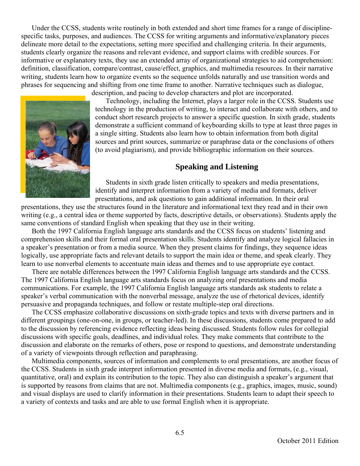Under the CCSS, students write routinely in both extended and short time frames for a range of disciplinespecific tasks, purposes, and audiences. The CCSS for writing arguments and informative/explanatory pieces delineate more detail to the expectations, setting more specified and challenging criteria. In their arguments, students clearly organize the reasons and relevant evidence, and support claims with credible sources. For informative or explanatory texts, they use an extended array of organizational strategies to aid comprehension: definition, classification, compare/contrast, cause/effect, graphics, and multimedia resources. In their narrative writing, students learn how to organize events so the sequence unfolds naturally and use transition words and phrases for sequencing and shifting from one time frame to another. Narrative techniques such as dialogue,



description, and pacing to develop characters and plot are incorporated.

Technology, including the Internet, plays a larger role in the CCSS. Students use technology in the production of writing, to interact and collaborate with others, and to conduct short research projects to answer a specific question. In sixth grade, students demonstrate a sufficient command of keyboarding skills to type at least three pages in a single sitting. Students also learn how to obtain information from both digital sources and print sources, summarize or paraphrase data or the conclusions of others (to avoid plagiarism), and provide bibliographic information on their sources.

#### **Speaking and Listening**

Students in sixth grade listen critically to speakers and media presentations, identify and interpret information from a variety of media and formats, deliver presentations, and ask questions to gain additional information. In their oral

presentations, they use the structures found in the literature and informational text they read and in their own writing (e.g., a central idea or theme supported by facts, descriptive details, or observations). Students apply the same conventions of standard English when speaking that they use in their writing.

Both the 1997 California English language arts standards and the CCSS focus on students' listening and comprehension skills and their formal oral presentation skills. Students identify and analyze logical fallacies in a speaker's presentation or from a media source. When they present claims for findings, they sequence ideas logically, use appropriate facts and relevant details to support the main idea or theme, and speak clearly. They learn to use nonverbal elements to accentuate main ideas and themes and to use appropriate eye contact.

There are notable differences between the 1997 California English language arts standards and the CCSS. The 1997 California English language arts standards focus on analyzing oral presentations and media communications. For example, the 1997 California English language arts standards ask students to relate a speaker's verbal communication with the nonverbal message, analyze the use of rhetorical devices, identify persuasive and propaganda techniques, and follow or restate multiple-step oral directions.

The CCSS emphasize collaborative discussions on sixth-grade topics and texts with diverse partners and in different groupings (one-on-one, in groups, or teacher-led). In these discussions, students come prepared to add to the discussion by referencing evidence reflecting ideas being discussed. Students follow rules for collegial discussions with specific goals, deadlines, and individual roles. They make comments that contribute to the discussion and elaborate on the remarks of others, pose or respond to questions, and demonstrate understanding of a variety of viewpoints through reflection and paraphrasing.

Multimedia components, sources of information and complements to oral presentations, are another focus of the CCSS. Students in sixth grade interpret information presented in diverse media and formats, (e.g., visual, quantitative, oral) and explain its contribution to the topic. They also can distinguish a speaker's argument that is supported by reasons from claims that are not. Multimedia components (e.g., graphics, images, music, sound) and visual displays are used to clarify information in their presentations. Students learn to adapt their speech to a variety of contexts and tasks and are able to use formal English when it is appropriate.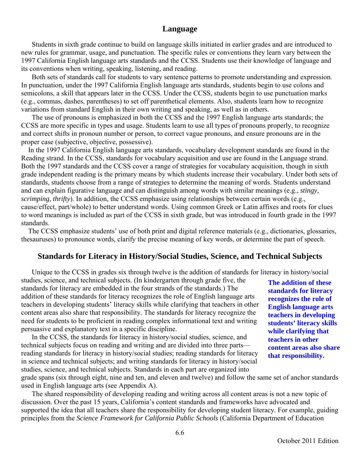#### **Language**

Students in sixth grade continue to build on language skills initiated in earlier grades and are introduced to new rules for grammar, usage, and punctuation. The specific rules or conventions they learn vary between the 1997 California English language arts standards and the CCSS. Students use their knowledge of language and its conventions when writing, speaking, listening, and reading.

Both sets of standards call for students to vary sentence patterns to promote understanding and expression. In punctuation, under the 1997 California English language arts standards, students begin to use colons and semicolons, a skill that appears later in the CCSS. Under the CCSS, students begin to use punctuation marks (e.g., commas, dashes, parentheses) to set off parenthetical elements. Also, students learn how to recognize variations from standard English in their own writing and speaking, as well as in others.

The use of pronouns is emphasized in both the CCSS and the 1997 English language arts standards; the CCSS are more specific in types and usage. Students learn to use all types of pronouns properly, to recognize and correct shifts in pronoun number or person, to correct vague pronouns, and ensure pronouns are in the proper case (subjective, objective, possessive).

In the 1997 California English language arts standards, vocabulary development standards are found in the Reading strand. In the CCSS, standards for vocabulary acquisition and use are found in the Language strand. Both the 1997 standards and the CCSS cover a range of strategies for vocabulary acquisition, though in sixth grade independent reading is the primary means by which students increase their vocabulary. Under both sets of standards, students choose from a range of strategies to determine the meaning of words. Students understand and can explain figurative language and can distinguish among words with similar meanings (e.g., *stingy, scrimping, thrifty*). In addition, the CCSS emphasize using relationships between certain words (e.g., cause/effect, part/whole) to better understand words. Using common Greek or Latin affixes and roots for clues to word meanings is included as part of the CCSS in sixth grade, but was introduced in fourth grade in the 1997 standards.

The CCSS emphasize students' use of both print and digital reference materials (e.g., dictionaries, glossaries, thesauruses) to pronounce words, clarify the precise meaning of key words, or determine the part of speech.

#### **Standards for Literacy in History/Social Studies, Science, and Technical Subjects**

Unique to the CCSS in grades six through twelve is the addition of standards for literacy in history/social

studies, science, and technical subjects. (In kindergarten through grade five, the **The addition of these** standards for literacy are embedded in the four strands of the standards.) The **The addition of these** standards for literacy are embedded in the four strands of the standards.) The<br>addition of these standards for literacy recognizes the role of English language arts<br>teachers in developing students' literacy skills while cl

technical subjects focus on reading and writing and are divided into three parts—<br>reading standards for literacy in history/social studies; reading standards for literacy that responsibility reading standards for literacy in history/social studies; reading standards for literacy **that responsibility.** in science and technical subjects; and writing standards for literacy in history/social studies, science, and technical subjects. Standards in each part are organized into

grade spans (six through eight, nine and ten, and eleven and twelve) and follow the same set of anchor standards used in English language arts (see Appendix A).

The shared responsibility of developing reading and writing across all content areas is not a new topic of discussion. Over the past 15 years, California's content standards and frameworks have advocated and supported the idea that all teachers share the responsibility for developing student literacy. For example, guiding principles from the *Science Framework for California Public Schools* (California Department of Education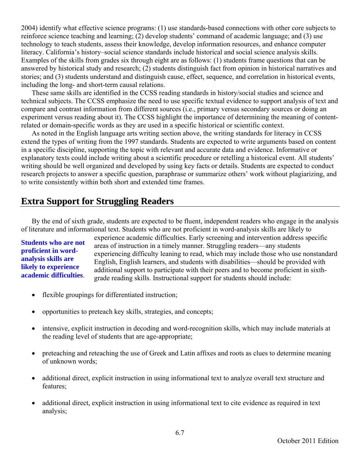2004) identify what effective science programs: (1) use standards-based connections with other core subjects to reinforce science teaching and learning; (2) develop students' command of academic language; and (3) use technology to teach students, assess their knowledge, develop information resources, and enhance computer literacy. California's history–social science standards include historical and social science analysis skills. Examples of the skills from grades six through eight are as follows: (1) students frame questions that can be answered by historical study and research; (2) students distinguish fact from opinion in historical narratives and stories; and (3) students understand and distinguish cause, effect, sequence, and correlation in historical events, including the long- and short-term causal relations.

These same skills are identified in the CCSS reading standards in history/social studies and science and technical subjects. The CCSS emphasize the need to use specific textual evidence to support analysis of text and compare and contrast information from different sources (i.e., primary versus secondary sources or doing an experiment versus reading about it). The CCSS highlight the importance of determining the meaning of contentrelated or domain-specific words as they are used in a specific historical or scientific context.

As noted in the English language arts writing section above, the writing standards for literacy in CCSS extend the types of writing from the 1997 standards. Students are expected to write arguments based on content in a specific discipline, supporting the topic with relevant and accurate data and evidence. Informative or explanatory texts could include writing about a scientific procedure or retelling a historical event. All students' writing should be well organized and developed by using key facts or details. Students are expected to conduct research projects to answer a specific question, paraphrase or summarize others' work without plagiarizing, and to write consistently within both short and extended time frames.

#### **Extra Support for Struggling Readers**

By the end of sixth grade, students are expected to be fluent, independent readers who engage in the analysis of literature and informational text. Students who are not proficient in word-analysis skills are likely to

Students who are not<br>
proficient in word-<br>
proficient in word-<br>
proficient in word-<br>
experiencing difficulty leaning to read, which may include those who use nonstandard<br>
experience<br>
English, English learners, and students

- flexible groupings for differentiated instruction;
- opportunities to preteach key skills, strategies, and concepts;
- intensive, explicit instruction in decoding and word-recognition skills, which may include materials at the reading level of students that are age-appropriate;
- preteaching and reteaching the use of Greek and Latin affixes and roots as clues to determine meaning of unknown words;
- additional direct, explicit instruction in using informational text to analyze overall text structure and features;
- additional direct, explicit instruction in using informational text to cite evidence as required in text analysis;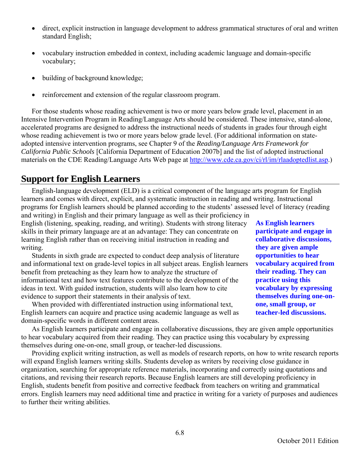- direct, explicit instruction in language development to address grammatical structures of oral and written standard English;
- vocabulary instruction embedded in context, including academic language and domain-specific vocabulary;
- building of background knowledge;
- reinforcement and extension of the regular classroom program.

For those students whose reading achievement is two or more years below grade level, placement in an Intensive Intervention Program in Reading/Language Arts should be considered. These intensive, stand-alone, accelerated programs are designed to address the instructional needs of students in grades four through eight whose reading achievement is two or more years below grade level. (For additional information on stateadopted intensive intervention programs, see Chapter 9 of the *Reading/Language Arts Framework for California Public Schools* [California Department of Education 2007b] and the list of adopted instructional materials on the CDE Reading/Language Arts Web page at http://www.cde.ca.gov/ci/rl/im/rlaadoptedlist.asp.)

#### **Support for English Learners**

English-language development (ELD) is a critical component of the language arts program for English learners and comes with direct, explicit, and systematic instruction in reading and writing. Instructional programs for English learners should be planned according to the students' assessed level of literacy (reading

and writing) in English and their primary language as well as their proficiency in English (listening, speaking, reading, and writing). Students with strong literacy **As English learners**  skills in their primary language are at an advantage: They can concentrate on **participate and engage in**  learning English rather than on receiving initial instruction in reading and **collaborative discussions,**  writing. **they are given ample** 

Students in sixth grade are expected to conduct deep analysis of literature **opportunities to hear** informational text on grade-level topics in all subject areas. English learners **vocabulary acquired from** and informational text on grade-level topics in all subject areas. English learners benefit from preteaching as they learn how to analyze the structure of **their reading. They can**  informational text and how text features contribute to the development of the **practice using this**  ideas in text. With guided instruction, students will also learn how to cite **vocabulary by expressing**  evidence to support their statements in their analysis of text. **themselves during one-on-**

When provided with differentiated instruction using informational text, **one, small group, or** English learners can acquire and practice using academic language as well as **teacher-led discussions.**  domain-specific words in different content areas.

As English learners participate and engage in collaborative discussions, they are given ample opportunities to hear vocabulary acquired from their reading. They can practice using this vocabulary by expressing themselves during one-on-one, small group, or teacher-led discussions.

Providing explicit writing instruction, as well as models of research reports, on how to write research reports will expand English learners writing skills. Students develop as writers by receiving close guidance in organization, searching for appropriate reference materials, incorporating and correctly using quotations and citations, and revising their research reports. Because English learners are still developing proficiency in English, students benefit from positive and corrective feedback from teachers on writing and grammatical errors. English learners may need additional time and practice in writing for a variety of purposes and audiences to further their writing abilities.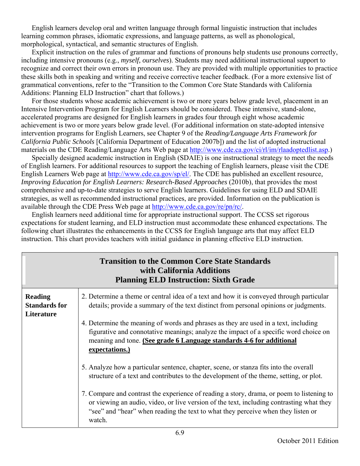English learners develop oral and written language through formal linguistic instruction that includes learning common phrases, idiomatic expressions, and language patterns, as well as phonological, morphological, syntactical, and semantic structures of English.

Explicit instruction on the rules of grammar and functions of pronouns help students use pronouns correctly, including intensive pronouns (e.g., *myself, ourselves*). Students may need additional instructional support to recognize and correct their own errors in pronoun use. They are provided with multiple opportunities to practice these skills both in speaking and writing and receive corrective teacher feedback. (For a more extensive list of grammatical conventions, refer to the "Transition to the Common Core State Standards with California Additions: Planning ELD Instruction" chart that follows.)

For those students whose academic achievement is two or more years below grade level, placement in an Intensive Intervention Program for English Learners should be considered. These intensive, stand-alone, accelerated programs are designed for English learners in grades four through eight whose academic achievement is two or more years below grade level. (For additional information on state-adopted intensive intervention programs for English Learners, see Chapter 9 of the *Reading/Language Arts Framework for California Public Schools* [California Department of Education 2007b]) and the list of adopted instructional materials on the CDE Reading/Language Arts Web page at http://www.cde.ca.gov/ci/rl/im/rlaadoptedlist.asp.)

Specially designed academic instruction in English (SDAIE) is one instructional strategy to meet the needs of English learners. For additional resources to support the teaching of English learners, please visit the CDE English Learners Web page at http://www.cde.ca.gov/sp/el/. The CDE has published an excellent resource*, Improving Education for English Learners: Research-Based Approaches* (2010b), that provides the most comprehensive and up-to-date strategies to serve English learners. Guidelines for using ELD and SDAIE strategies, as well as recommended instructional practices, are provided. Information on the publication is available through the CDE Press Web page at http://www.cde.ca.gov/re/pn/rc/.

English learners need additional time for appropriate instructional support. The CCSS set rigorous expectations for student learning, and ELD instruction must accommodate these enhanced expectations. The following chart illustrates the enhancements in the CCSS for English language arts that may affect ELD instruction. This chart provides teachers with initial guidance in planning effective ELD instruction.

| <b>Transition to the Common Core State Standards</b><br>with California Additions<br><b>Planning ELD Instruction: Sixth Grade</b> |                                                                                                                                                                                                                                                                                                                                                                                                                                                                                                                                                                                                                                                                                                                                                                                                                                                                                                                                     |
|-----------------------------------------------------------------------------------------------------------------------------------|-------------------------------------------------------------------------------------------------------------------------------------------------------------------------------------------------------------------------------------------------------------------------------------------------------------------------------------------------------------------------------------------------------------------------------------------------------------------------------------------------------------------------------------------------------------------------------------------------------------------------------------------------------------------------------------------------------------------------------------------------------------------------------------------------------------------------------------------------------------------------------------------------------------------------------------|
| <b>Reading</b><br><b>Standards for</b><br><b>Literature</b>                                                                       | 2. Determine a theme or central idea of a text and how it is conveyed through particular<br>details; provide a summary of the text distinct from personal opinions or judgments.<br>4. Determine the meaning of words and phrases as they are used in a text, including<br>figurative and connotative meanings; analyze the impact of a specific word choice on<br>meaning and tone. (See grade 6 Language standards 4-6 for additional<br>expectations.)<br>5. Analyze how a particular sentence, chapter, scene, or stanza fits into the overall<br>structure of a text and contributes to the development of the theme, setting, or plot.<br>7. Compare and contrast the experience of reading a story, drama, or poem to listening to<br>or viewing an audio, video, or live version of the text, including contrasting what they<br>"see" and "hear" when reading the text to what they perceive when they listen or<br>watch. |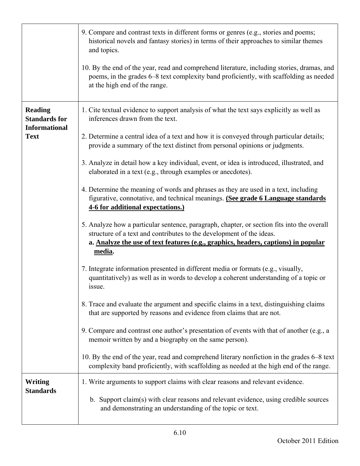| 9. Compare and contrast texts in different forms or genres (e.g., stories and poems;<br>historical novels and fantasy stories) in terms of their approaches to similar themes<br>and topics.<br>10. By the end of the year, read and comprehend literature, including stories, dramas, and |
|--------------------------------------------------------------------------------------------------------------------------------------------------------------------------------------------------------------------------------------------------------------------------------------------|
| poems, in the grades 6–8 text complexity band proficiently, with scaffolding as needed<br>at the high end of the range.                                                                                                                                                                    |
| 1. Cite textual evidence to support analysis of what the text says explicitly as well as<br>inferences drawn from the text.                                                                                                                                                                |
| 2. Determine a central idea of a text and how it is conveyed through particular details;<br>provide a summary of the text distinct from personal opinions or judgments.                                                                                                                    |
| 3. Analyze in detail how a key individual, event, or idea is introduced, illustrated, and<br>elaborated in a text (e.g., through examples or anecdotes).                                                                                                                                   |
| 4. Determine the meaning of words and phrases as they are used in a text, including<br>figurative, connotative, and technical meanings. (See grade 6 Language standards<br><b>4-6 for additional expectations.)</b>                                                                        |
| 5. Analyze how a particular sentence, paragraph, chapter, or section fits into the overall<br>structure of a text and contributes to the development of the ideas.<br>a. Analyze the use of text features (e.g., graphics, headers, captions) in popular<br>media.                         |
| 7. Integrate information presented in different media or formats (e.g., visually,<br>quantitatively) as well as in words to develop a coherent understanding of a topic or<br>issue.                                                                                                       |
| 8. Trace and evaluate the argument and specific claims in a text, distinguishing claims<br>that are supported by reasons and evidence from claims that are not.                                                                                                                            |
| 9. Compare and contrast one author's presentation of events with that of another (e.g., a<br>memoir written by and a biography on the same person).                                                                                                                                        |
| 10. By the end of the year, read and comprehend literary nonfiction in the grades 6–8 text<br>complexity band proficiently, with scaffolding as needed at the high end of the range.                                                                                                       |
| 1. Write arguments to support claims with clear reasons and relevant evidence.<br>b. Support claim(s) with clear reasons and relevant evidence, using credible sources<br>and demonstrating an understanding of the topic or text.                                                         |
|                                                                                                                                                                                                                                                                                            |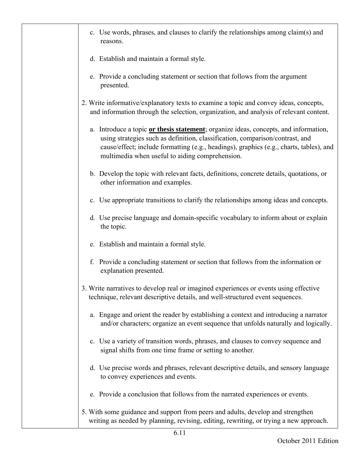| c. Use words, phrases, and clauses to clarify the relationships among claim(s) and<br>reasons.                                                                                                                                                                                                                      |
|---------------------------------------------------------------------------------------------------------------------------------------------------------------------------------------------------------------------------------------------------------------------------------------------------------------------|
| d. Establish and maintain a formal style.                                                                                                                                                                                                                                                                           |
| e. Provide a concluding statement or section that follows from the argument<br>presented.                                                                                                                                                                                                                           |
| 2. Write informative/explanatory texts to examine a topic and convey ideas, concepts,<br>and information through the selection, organization, and analysis of relevant content.                                                                                                                                     |
| a. Introduce a topic or thesis statement; organize ideas, concepts, and information,<br>using strategies such as definition, classification, comparison/contrast, and<br>cause/effect; include formatting (e.g., headings), graphics (e.g., charts, tables), and<br>multimedia when useful to aiding comprehension. |
| b. Develop the topic with relevant facts, definitions, concrete details, quotations, or<br>other information and examples.                                                                                                                                                                                          |
| c. Use appropriate transitions to clarify the relationships among ideas and concepts.                                                                                                                                                                                                                               |
| d. Use precise language and domain-specific vocabulary to inform about or explain<br>the topic.                                                                                                                                                                                                                     |
| e. Establish and maintain a formal style.                                                                                                                                                                                                                                                                           |
| f. Provide a concluding statement or section that follows from the information or<br>explanation presented.                                                                                                                                                                                                         |
| 3. Write narratives to develop real or imagined experiences or events using effective<br>technique, relevant descriptive details, and well-structured event sequences.                                                                                                                                              |
| a. Engage and orient the reader by establishing a context and introducing a narrator<br>and/or characters; organize an event sequence that unfolds naturally and logically.                                                                                                                                         |
| c. Use a variety of transition words, phrases, and clauses to convey sequence and<br>signal shifts from one time frame or setting to another.                                                                                                                                                                       |
| d. Use precise words and phrases, relevant descriptive details, and sensory language<br>to convey experiences and events.                                                                                                                                                                                           |
| e. Provide a conclusion that follows from the narrated experiences or events.                                                                                                                                                                                                                                       |
| 5. With some guidance and support from peers and adults, develop and strengthen<br>writing as needed by planning, revising, editing, rewriting, or trying a new approach.                                                                                                                                           |
| 6.11                                                                                                                                                                                                                                                                                                                |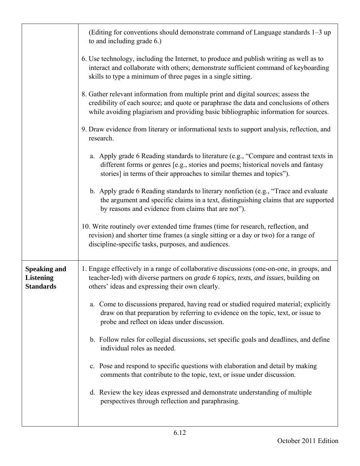|                                                             | (Editing for conventions should demonstrate command of Language standards 1–3 up<br>to and including grade 6.)                                                                                                                                                       |
|-------------------------------------------------------------|----------------------------------------------------------------------------------------------------------------------------------------------------------------------------------------------------------------------------------------------------------------------|
|                                                             | 6. Use technology, including the Internet, to produce and publish writing as well as to<br>interact and collaborate with others; demonstrate sufficient command of keyboarding<br>skills to type a minimum of three pages in a single sitting.                       |
|                                                             | 8. Gather relevant information from multiple print and digital sources; assess the<br>credibility of each source; and quote or paraphrase the data and conclusions of others<br>while avoiding plagiarism and providing basic bibliographic information for sources. |
|                                                             | 9. Draw evidence from literary or informational texts to support analysis, reflection, and<br>research.                                                                                                                                                              |
|                                                             | a. Apply grade 6 Reading standards to literature (e.g., "Compare and contrast texts in<br>different forms or genres [e.g., stories and poems; historical novels and fantasy<br>stories] in terms of their approaches to similar themes and topics").                 |
|                                                             | b. Apply grade 6 Reading standards to literary nonfiction (e.g., "Trace and evaluate<br>the argument and specific claims in a text, distinguishing claims that are supported<br>by reasons and evidence from claims that are not").                                  |
|                                                             | 10. Write routinely over extended time frames (time for research, reflection, and<br>revision) and shorter time frames (a single sitting or a day or two) for a range of<br>discipline-specific tasks, purposes, and audiences.                                      |
| <b>Speaking and</b><br><b>Listening</b><br><b>Standards</b> | 1. Engage effectively in a range of collaborative discussions (one-on-one, in groups, and<br>teacher-led) with diverse partners on <i>grade 6 topics, texts, and issues, building on</i><br>others' ideas and expressing their own clearly.                          |
|                                                             | a. Come to discussions prepared, having read or studied required material; explicitly<br>draw on that preparation by referring to evidence on the topic, text, or issue to<br>probe and reflect on ideas under discussion.                                           |
|                                                             | b. Follow rules for collegial discussions, set specific goals and deadlines, and define<br>individual roles as needed.                                                                                                                                               |
|                                                             | c. Pose and respond to specific questions with elaboration and detail by making<br>comments that contribute to the topic, text, or issue under discussion.                                                                                                           |
|                                                             | d. Review the key ideas expressed and demonstrate understanding of multiple<br>perspectives through reflection and paraphrasing.                                                                                                                                     |
|                                                             |                                                                                                                                                                                                                                                                      |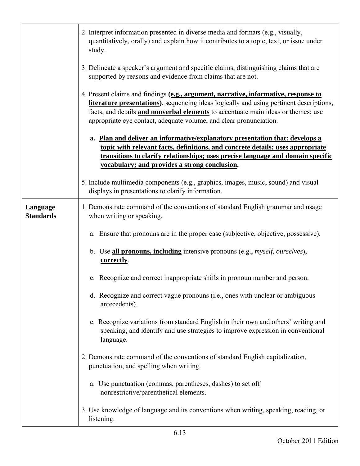|                              | 2. Interpret information presented in diverse media and formats (e.g., visually,<br>quantitatively, orally) and explain how it contributes to a topic, text, or issue under<br>study.                                                                                                                                                                    |
|------------------------------|----------------------------------------------------------------------------------------------------------------------------------------------------------------------------------------------------------------------------------------------------------------------------------------------------------------------------------------------------------|
|                              | 3. Delineate a speaker's argument and specific claims, distinguishing claims that are<br>supported by reasons and evidence from claims that are not.                                                                                                                                                                                                     |
|                              | 4. Present claims and findings (e.g., argument, narrative, informative, response to<br><b>literature presentations</b> ), sequencing ideas logically and using pertinent descriptions,<br>facts, and details <b>and nonverbal elements</b> to accentuate main ideas or themes; use<br>appropriate eye contact, adequate volume, and clear pronunciation. |
|                              | a. Plan and deliver an informative/explanatory presentation that: develops a                                                                                                                                                                                                                                                                             |
|                              | topic with relevant facts, definitions, and concrete details; uses appropriate                                                                                                                                                                                                                                                                           |
|                              | transitions to clarify relationships; uses precise language and domain specific<br>vocabulary; and provides a strong conclusion.                                                                                                                                                                                                                         |
|                              |                                                                                                                                                                                                                                                                                                                                                          |
|                              | 5. Include multimedia components (e.g., graphics, images, music, sound) and visual<br>displays in presentations to clarify information.                                                                                                                                                                                                                  |
| Language<br><b>Standards</b> | 1. Demonstrate command of the conventions of standard English grammar and usage<br>when writing or speaking.                                                                                                                                                                                                                                             |
|                              | a. Ensure that pronouns are in the proper case (subjective, objective, possessive).                                                                                                                                                                                                                                                                      |
|                              | b. Use all pronouns, including intensive pronouns (e.g., <i>myself, ourselves</i> ),<br>correctly.                                                                                                                                                                                                                                                       |
|                              | c. Recognize and correct inappropriate shifts in pronoun number and person.                                                                                                                                                                                                                                                                              |
|                              | d. Recognize and correct vague pronouns (i.e., ones with unclear or ambiguous<br>antecedents).                                                                                                                                                                                                                                                           |
|                              | e. Recognize variations from standard English in their own and others' writing and<br>speaking, and identify and use strategies to improve expression in conventional<br>language.                                                                                                                                                                       |
|                              | 2. Demonstrate command of the conventions of standard English capitalization,<br>punctuation, and spelling when writing.                                                                                                                                                                                                                                 |
|                              | a. Use punctuation (commas, parentheses, dashes) to set off<br>nonrestrictive/parenthetical elements.                                                                                                                                                                                                                                                    |
|                              | 3. Use knowledge of language and its conventions when writing, speaking, reading, or<br>listening.                                                                                                                                                                                                                                                       |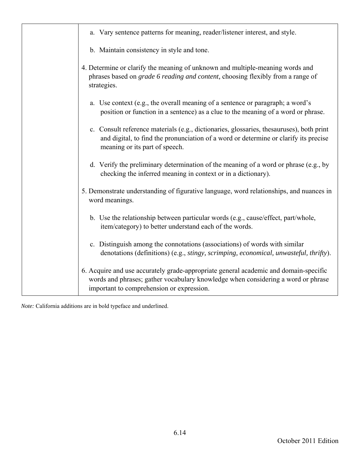| a. Vary sentence patterns for meaning, reader/listener interest, and style.                                                                                                                                           |
|-----------------------------------------------------------------------------------------------------------------------------------------------------------------------------------------------------------------------|
| b. Maintain consistency in style and tone.                                                                                                                                                                            |
| 4. Determine or clarify the meaning of unknown and multiple-meaning words and<br>phrases based on <i>grade 6 reading and content</i> , choosing flexibly from a range of<br>strategies.                               |
| a. Use context (e.g., the overall meaning of a sentence or paragraph; a word's<br>position or function in a sentence) as a clue to the meaning of a word or phrase.                                                   |
| c. Consult reference materials (e.g., dictionaries, glossaries, thesauruses), both print<br>and digital, to find the pronunciation of a word or determine or clarify its precise<br>meaning or its part of speech.    |
| d. Verify the preliminary determination of the meaning of a word or phrase (e.g., by<br>checking the inferred meaning in context or in a dictionary).                                                                 |
| 5. Demonstrate understanding of figurative language, word relationships, and nuances in<br>word meanings.                                                                                                             |
| b. Use the relationship between particular words (e.g., cause/effect, part/whole,<br>item/category) to better understand each of the words.                                                                           |
| c. Distinguish among the connotations (associations) of words with similar<br>denotations (definitions) (e.g., stingy, scrimping, economical, unwasteful, thrifty).                                                   |
| 6. Acquire and use accurately grade-appropriate general academic and domain-specific<br>words and phrases; gather vocabulary knowledge when considering a word or phrase<br>important to comprehension or expression. |

*Note:* California additions are in bold typeface and underlined.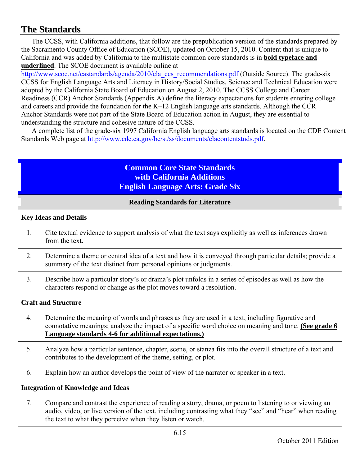#### **The Standards**

The CCSS, with California additions, that follow are the prepublication version of the standards prepared by the Sacramento County Office of Education (SCOE), updated on October 15, 2010. Content that is unique to California and was added by California to the multistate common core standards is in **bold typeface and underlined**. The SCOE document is available online at

http://www.scoe.net/castandards/agenda/2010/ela\_ccs\_recommendations.pdf (Outside Source). The grade-six CCSS for English Language Arts and Literacy in History/Social Studies, Science and Technical Education were adopted by the California State Board of Education on August 2, 2010. The CCSS College and Career Readiness (CCR) Anchor Standards (Appendix A) define the literacy expectations for students entering college and careers and provide the foundation for the K–12 English language arts standards. Although the CCR Anchor Standards were not part of the State Board of Education action in August, they are essential to understanding the structure and cohesive nature of the CCSS.

A complete list of the grade-six 1997 California English language arts standards is located on the CDE Content Standards Web page at http://www.cde.ca.gov/be/st/ss/documents/elacontentstnds.pdf.

#### **Common Core State Standards with California Additions English Language Arts: Grade Six**

| <b>Reading Standards for Literature</b>   |                                                                                                                                                                                                                                                                               |  |
|-------------------------------------------|-------------------------------------------------------------------------------------------------------------------------------------------------------------------------------------------------------------------------------------------------------------------------------|--|
| <b>Key Ideas and Details</b>              |                                                                                                                                                                                                                                                                               |  |
| 1.                                        | Cite textual evidence to support analysis of what the text says explicitly as well as inferences drawn<br>from the text.                                                                                                                                                      |  |
| 2.                                        | Determine a theme or central idea of a text and how it is conveyed through particular details; provide a<br>summary of the text distinct from personal opinions or judgments.                                                                                                 |  |
| 3 <sub>1</sub>                            | Describe how a particular story's or drama's plot unfolds in a series of episodes as well as how the<br>characters respond or change as the plot moves toward a resolution.                                                                                                   |  |
| <b>Craft and Structure</b>                |                                                                                                                                                                                                                                                                               |  |
| $\overline{4}$ .                          | Determine the meaning of words and phrases as they are used in a text, including figurative and<br>connotative meanings; analyze the impact of a specific word choice on meaning and tone. (See grade 6<br>Language standards 4-6 for additional expectations.)               |  |
| 5 <sub>1</sub>                            | Analyze how a particular sentence, chapter, scene, or stanza fits into the overall structure of a text and<br>contributes to the development of the theme, setting, or plot.                                                                                                  |  |
| 6.                                        | Explain how an author develops the point of view of the narrator or speaker in a text.                                                                                                                                                                                        |  |
| <b>Integration of Knowledge and Ideas</b> |                                                                                                                                                                                                                                                                               |  |
| 7.                                        | Compare and contrast the experience of reading a story, drama, or poem to listening to or viewing an<br>audio, video, or live version of the text, including contrasting what they "see" and "hear" when reading<br>the text to what they perceive when they listen or watch. |  |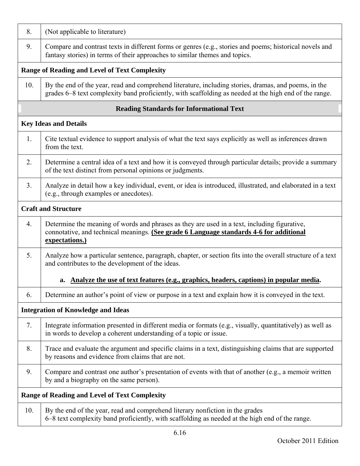| 8.                                        | (Not applicable to literature)                                                                                                                                                                                 |  |
|-------------------------------------------|----------------------------------------------------------------------------------------------------------------------------------------------------------------------------------------------------------------|--|
| 9.                                        | Compare and contrast texts in different forms or genres (e.g., stories and poems; historical novels and<br>fantasy stories) in terms of their approaches to similar themes and topics.                         |  |
|                                           | <b>Range of Reading and Level of Text Complexity</b>                                                                                                                                                           |  |
| 10.                                       | By the end of the year, read and comprehend literature, including stories, dramas, and poems, in the<br>grades 6–8 text complexity band proficiently, with scaffolding as needed at the high end of the range. |  |
|                                           | <b>Reading Standards for Informational Text</b>                                                                                                                                                                |  |
|                                           | <b>Key Ideas and Details</b>                                                                                                                                                                                   |  |
| 1.                                        | Cite textual evidence to support analysis of what the text says explicitly as well as inferences drawn<br>from the text.                                                                                       |  |
| 2.                                        | Determine a central idea of a text and how it is conveyed through particular details; provide a summary<br>of the text distinct from personal opinions or judgments.                                           |  |
| 3.                                        | Analyze in detail how a key individual, event, or idea is introduced, illustrated, and elaborated in a text<br>(e.g., through examples or anecdotes).                                                          |  |
|                                           | <b>Craft and Structure</b>                                                                                                                                                                                     |  |
| 4.                                        | Determine the meaning of words and phrases as they are used in a text, including figurative,<br>connotative, and technical meanings. (See grade 6 Language standards 4-6 for additional<br>expectations.)      |  |
| 5.                                        | Analyze how a particular sentence, paragraph, chapter, or section fits into the overall structure of a text<br>and contributes to the development of the ideas.                                                |  |
|                                           | a. Analyze the use of text features (e.g., graphics, headers, captions) in popular media.                                                                                                                      |  |
| 6.                                        | Determine an author's point of view or purpose in a text and explain how it is conveyed in the text.                                                                                                           |  |
| <b>Integration of Knowledge and Ideas</b> |                                                                                                                                                                                                                |  |
| 7.                                        | Integrate information presented in different media or formats (e.g., visually, quantitatively) as well as<br>in words to develop a coherent understanding of a topic or issue.                                 |  |
| 8.                                        | Trace and evaluate the argument and specific claims in a text, distinguishing claims that are supported<br>by reasons and evidence from claims that are not.                                                   |  |
| 9.                                        | Compare and contrast one author's presentation of events with that of another (e.g., a memoir written<br>by and a biography on the same person).                                                               |  |
|                                           | <b>Range of Reading and Level of Text Complexity</b>                                                                                                                                                           |  |
| 10.                                       | By the end of the year, read and comprehend literary nonfiction in the grades<br>6–8 text complexity band proficiently, with scaffolding as needed at the high end of the range.                               |  |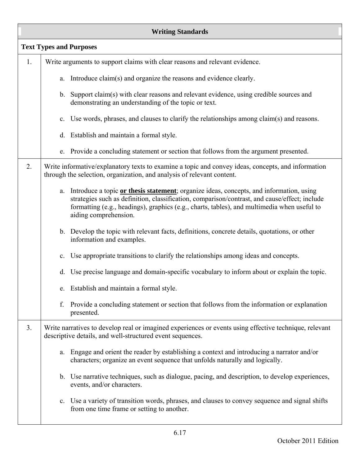|                | <b>Writing Standards</b>                                                                                                                                                                                                                                                                                            |
|----------------|---------------------------------------------------------------------------------------------------------------------------------------------------------------------------------------------------------------------------------------------------------------------------------------------------------------------|
|                | <b>Text Types and Purposes</b>                                                                                                                                                                                                                                                                                      |
| 1.             | Write arguments to support claims with clear reasons and relevant evidence.                                                                                                                                                                                                                                         |
|                | Introduce claim(s) and organize the reasons and evidence clearly.<br>a.                                                                                                                                                                                                                                             |
|                | Support claim(s) with clear reasons and relevant evidence, using credible sources and<br>b.<br>demonstrating an understanding of the topic or text.                                                                                                                                                                 |
|                | Use words, phrases, and clauses to clarify the relationships among claim(s) and reasons.<br>c.                                                                                                                                                                                                                      |
|                | Establish and maintain a formal style.<br>d.                                                                                                                                                                                                                                                                        |
|                | Provide a concluding statement or section that follows from the argument presented.<br>e.                                                                                                                                                                                                                           |
| 2.             | Write informative/explanatory texts to examine a topic and convey ideas, concepts, and information<br>through the selection, organization, and analysis of relevant content.                                                                                                                                        |
|                | a. Introduce a topic or thesis statement; organize ideas, concepts, and information, using<br>strategies such as definition, classification, comparison/contrast, and cause/effect; include<br>formatting (e.g., headings), graphics (e.g., charts, tables), and multimedia when useful to<br>aiding comprehension. |
|                | b. Develop the topic with relevant facts, definitions, concrete details, quotations, or other<br>information and examples.                                                                                                                                                                                          |
|                | Use appropriate transitions to clarify the relationships among ideas and concepts.<br>$\mathbf{c}$ .                                                                                                                                                                                                                |
|                | Use precise language and domain-specific vocabulary to inform about or explain the topic.<br>d.                                                                                                                                                                                                                     |
|                | e. Establish and maintain a formal style.                                                                                                                                                                                                                                                                           |
|                | f.<br>Provide a concluding statement or section that follows from the information or explanation<br>presented.                                                                                                                                                                                                      |
| 3 <sub>1</sub> | Write narratives to develop real or imagined experiences or events using effective technique, relevant<br>descriptive details, and well-structured event sequences.                                                                                                                                                 |
|                | Engage and orient the reader by establishing a context and introducing a narrator and/or<br>a.<br>characters; organize an event sequence that unfolds naturally and logically.                                                                                                                                      |
|                | b. Use narrative techniques, such as dialogue, pacing, and description, to develop experiences,<br>events, and/or characters.                                                                                                                                                                                       |
|                | Use a variety of transition words, phrases, and clauses to convey sequence and signal shifts<br>$\mathbf{c}$ .<br>from one time frame or setting to another.                                                                                                                                                        |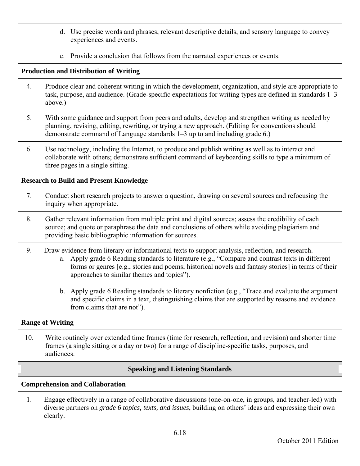|     | Use precise words and phrases, relevant descriptive details, and sensory language to convey<br>$d_{\cdot}$<br>experiences and events.                                                                                                                                                                                                                        |
|-----|--------------------------------------------------------------------------------------------------------------------------------------------------------------------------------------------------------------------------------------------------------------------------------------------------------------------------------------------------------------|
|     | Provide a conclusion that follows from the narrated experiences or events.<br>e.                                                                                                                                                                                                                                                                             |
|     | <b>Production and Distribution of Writing</b>                                                                                                                                                                                                                                                                                                                |
| 4.  | Produce clear and coherent writing in which the development, organization, and style are appropriate to<br>task, purpose, and audience. (Grade-specific expectations for writing types are defined in standards 1–3<br>above.)                                                                                                                               |
| 5.  | With some guidance and support from peers and adults, develop and strengthen writing as needed by<br>planning, revising, editing, rewriting, or trying a new approach. (Editing for conventions should<br>demonstrate command of Language standards 1–3 up to and including grade 6.)                                                                        |
| 6.  | Use technology, including the Internet, to produce and publish writing as well as to interact and<br>collaborate with others; demonstrate sufficient command of keyboarding skills to type a minimum of<br>three pages in a single sitting.                                                                                                                  |
|     | <b>Research to Build and Present Knowledge</b>                                                                                                                                                                                                                                                                                                               |
| 7.  | Conduct short research projects to answer a question, drawing on several sources and refocusing the<br>inquiry when appropriate.                                                                                                                                                                                                                             |
| 8.  | Gather relevant information from multiple print and digital sources; assess the credibility of each<br>source; and quote or paraphrase the data and conclusions of others while avoiding plagiarism and<br>providing basic bibliographic information for sources.                                                                                            |
| 9.  | Draw evidence from literary or informational texts to support analysis, reflection, and research.<br>Apply grade 6 Reading standards to literature (e.g., "Compare and contrast texts in different<br>a.<br>forms or genres [e.g., stories and poems; historical novels and fantasy stories] in terms of their<br>approaches to similar themes and topics"). |
|     | b. Apply grade 6 Reading standards to literary nonfiction (e.g., "Trace and evaluate the argument<br>and specific claims in a text, distinguishing claims that are supported by reasons and evidence<br>from claims that are not").                                                                                                                          |
|     | <b>Range of Writing</b>                                                                                                                                                                                                                                                                                                                                      |
| 10. | Write routinely over extended time frames (time for research, reflection, and revision) and shorter time<br>frames (a single sitting or a day or two) for a range of discipline-specific tasks, purposes, and<br>audiences.                                                                                                                                  |
|     | <b>Speaking and Listening Standards</b>                                                                                                                                                                                                                                                                                                                      |
|     | <b>Comprehension and Collaboration</b>                                                                                                                                                                                                                                                                                                                       |
| 1.  | Engage effectively in a range of collaborative discussions (one-on-one, in groups, and teacher-led) with<br>diverse partners on grade 6 topics, texts, and issues, building on others' ideas and expressing their own<br>clearly.                                                                                                                            |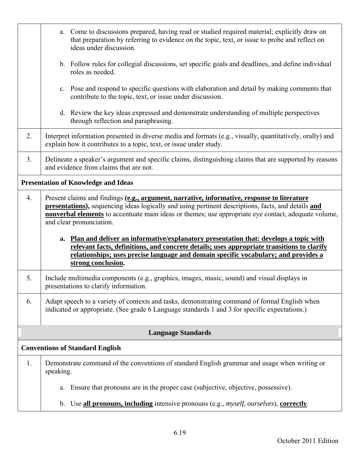|    | a. Come to discussions prepared, having read or studied required material; explicitly draw on<br>that preparation by referring to evidence on the topic, text, or issue to probe and reflect on<br>ideas under discussion.                                                                                                                    |
|----|-----------------------------------------------------------------------------------------------------------------------------------------------------------------------------------------------------------------------------------------------------------------------------------------------------------------------------------------------|
|    | b. Follow rules for collegial discussions, set specific goals and deadlines, and define individual<br>roles as needed.                                                                                                                                                                                                                        |
|    | c. Pose and respond to specific questions with elaboration and detail by making comments that<br>contribute to the topic, text, or issue under discussion.                                                                                                                                                                                    |
|    | d. Review the key ideas expressed and demonstrate understanding of multiple perspectives<br>through reflection and paraphrasing.                                                                                                                                                                                                              |
| 2. | Interpret information presented in diverse media and formats (e.g., visually, quantitatively, orally) and<br>explain how it contributes to a topic, text, or issue under study.                                                                                                                                                               |
| 3. | Delineate a speaker's argument and specific claims, distinguishing claims that are supported by reasons<br>and evidence from claims that are not.                                                                                                                                                                                             |
|    | <b>Presentation of Knowledge and Ideas</b>                                                                                                                                                                                                                                                                                                    |
| 4. | Present claims and findings (e.g., argument, narrative, informative, response to literature<br>presentations), sequencing ideas logically and using pertinent descriptions, facts, and details and<br><b>nonverbal elements</b> to accentuate main ideas or themes; use appropriate eye contact, adequate volume,<br>and clear pronunciation. |
|    | a. Plan and deliver an informative/explanatory presentation that: develops a topic with<br>relevant facts, definitions, and concrete details; uses appropriate transitions to clarify<br>relationships; uses precise language and domain specific vocabulary; and provides a<br>strong conclusion.                                            |
| 5. | Include multimedia components (e.g., graphics, images, music, sound) and visual displays in<br>presentations to clarify information.                                                                                                                                                                                                          |
| 6. | Adapt speech to a variety of contexts and tasks, demonstrating command of formal English when<br>indicated or appropriate. (See grade 6 Language standards 1 and 3 for specific expectations.)                                                                                                                                                |
|    | <b>Language Standards</b>                                                                                                                                                                                                                                                                                                                     |
|    | <b>Conventions of Standard English</b>                                                                                                                                                                                                                                                                                                        |
| 1. | Demonstrate command of the conventions of standard English grammar and usage when writing or<br>speaking.                                                                                                                                                                                                                                     |
|    | Ensure that pronouns are in the proper case (subjective, objective, possessive).<br>a.                                                                                                                                                                                                                                                        |
|    | Use all pronouns, including intensive pronouns (e.g., <i>myself, ourselves</i> ), correctly.<br>$b_{-}$                                                                                                                                                                                                                                       |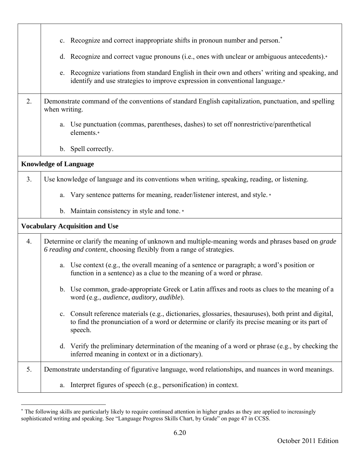|                  | Recognize and correct inappropriate shifts in pronoun number and person. <sup>*</sup><br>$c_{\cdot}$<br>d. Recognize and correct vague pronouns (i.e., ones with unclear or ambiguous antecedents).*               |  |
|------------------|--------------------------------------------------------------------------------------------------------------------------------------------------------------------------------------------------------------------|--|
|                  | Recognize variations from standard English in their own and others' writing and speaking, and<br>e.<br>identify and use strategies to improve expression in conventional language.*                                |  |
| 2.               | Demonstrate command of the conventions of standard English capitalization, punctuation, and spelling<br>when writing.                                                                                              |  |
|                  | Use punctuation (commas, parentheses, dashes) to set off nonrestrictive/parenthetical<br>a.<br>elements.*                                                                                                          |  |
|                  | b. Spell correctly.                                                                                                                                                                                                |  |
|                  | <b>Knowledge of Language</b>                                                                                                                                                                                       |  |
| 3.               | Use knowledge of language and its conventions when writing, speaking, reading, or listening.                                                                                                                       |  |
|                  | Vary sentence patterns for meaning, reader/listener interest, and style.*<br>a.                                                                                                                                    |  |
|                  | b. Maintain consistency in style and tone.*                                                                                                                                                                        |  |
|                  | <b>Vocabulary Acquisition and Use</b>                                                                                                                                                                              |  |
| $\overline{4}$ . | Determine or clarify the meaning of unknown and multiple-meaning words and phrases based on <i>grade</i><br>6 reading and content, choosing flexibly from a range of strategies.                                   |  |
|                  | Use context (e.g., the overall meaning of a sentence or paragraph; a word's position or<br>a.<br>function in a sentence) as a clue to the meaning of a word or phrase.                                             |  |
|                  | b. Use common, grade-appropriate Greek or Latin affixes and roots as clues to the meaning of a<br>word (e.g., <i>audience</i> , <i>auditory</i> , <i>audible</i> ).                                                |  |
|                  | c. Consult reference materials (e.g., dictionaries, glossaries, thesauruses), both print and digital,<br>to find the pronunciation of a word or determine or clarify its precise meaning or its part of<br>speech. |  |
|                  | Verify the preliminary determination of the meaning of a word or phrase (e.g., by checking the<br>d.<br>inferred meaning in context or in a dictionary).                                                           |  |
| 5.               | Demonstrate understanding of figurative language, word relationships, and nuances in word meanings.                                                                                                                |  |
|                  | Interpret figures of speech (e.g., personification) in context.<br>a.                                                                                                                                              |  |

 $\overline{a}$ 

The following skills are particularly likely to require continued attention in higher grades as they are applied to increasingly sophisticated writing and speaking. See "Language Progress Skills Chart, by Grade" on page 47 in CCSS.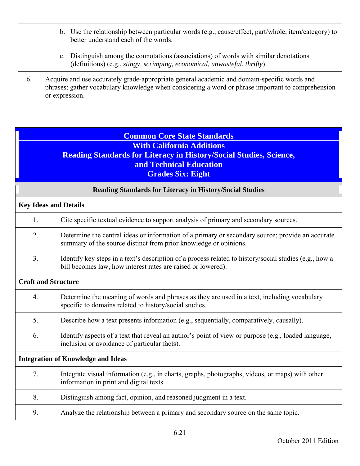|    | b. Use the relationship between particular words (e.g., cause/effect, part/whole, item/category) to<br>better understand each of the words.                                                                        |
|----|--------------------------------------------------------------------------------------------------------------------------------------------------------------------------------------------------------------------|
|    | c. Distinguish among the connotations (associations) of words with similar denotations<br>(definitions) (e.g., stingy, scrimping, economical, unwasteful, thrifty).                                                |
| 6. | Acquire and use accurately grade-appropriate general academic and domain-specific words and<br>phrases; gather vocabulary knowledge when considering a word or phrase important to comprehension<br>or expression. |

#### **Common Core State Standards With California Additions Reading Standards for Literacy in History/Social Studies, Science, and Technical Education Grades Six: Eight**

|                              | <b>Reading Standards for Literacy in History/Social Studies</b>                                                                                                        |  |
|------------------------------|------------------------------------------------------------------------------------------------------------------------------------------------------------------------|--|
| <b>Key Ideas and Details</b> |                                                                                                                                                                        |  |
| 1.                           | Cite specific textual evidence to support analysis of primary and secondary sources.                                                                                   |  |
| 2.                           | Determine the central ideas or information of a primary or secondary source; provide an accurate<br>summary of the source distinct from prior knowledge or opinions.   |  |
| 3 <sub>1</sub>               | Identify key steps in a text's description of a process related to history/social studies (e.g., how a<br>bill becomes law, how interest rates are raised or lowered). |  |
| <b>Craft and Structure</b>   |                                                                                                                                                                        |  |
| $\overline{4}$ .             | Determine the meaning of words and phrases as they are used in a text, including vocabulary<br>specific to domains related to history/social studies.                  |  |
| 5 <sub>1</sub>               | Describe how a text presents information (e.g., sequentially, comparatively, causally).                                                                                |  |
| 6.                           | Identify aspects of a text that reveal an author's point of view or purpose (e.g., loaded language,<br>inclusion or avoidance of particular facts).                    |  |
|                              | <b>Integration of Knowledge and Ideas</b>                                                                                                                              |  |
| 7.                           | Integrate visual information (e.g., in charts, graphs, photographs, videos, or maps) with other<br>information in print and digital texts.                             |  |
| 8.                           | Distinguish among fact, opinion, and reasoned judgment in a text.                                                                                                      |  |
| 9.                           | Analyze the relationship between a primary and secondary source on the same topic.                                                                                     |  |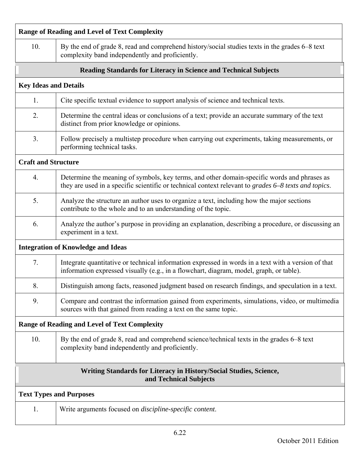|                                                                                              | <b>Range of Reading and Level of Text Complexity</b>                                                                                                                                                       |  |
|----------------------------------------------------------------------------------------------|------------------------------------------------------------------------------------------------------------------------------------------------------------------------------------------------------------|--|
| 10.                                                                                          | By the end of grade 8, read and comprehend history/social studies texts in the grades 6-8 text<br>complexity band independently and proficiently.                                                          |  |
|                                                                                              | <b>Reading Standards for Literacy in Science and Technical Subjects</b>                                                                                                                                    |  |
| <b>Key Ideas and Details</b>                                                                 |                                                                                                                                                                                                            |  |
| 1.                                                                                           | Cite specific textual evidence to support analysis of science and technical texts.                                                                                                                         |  |
| 2.                                                                                           | Determine the central ideas or conclusions of a text; provide an accurate summary of the text<br>distinct from prior knowledge or opinions.                                                                |  |
| 3.                                                                                           | Follow precisely a multistep procedure when carrying out experiments, taking measurements, or<br>performing technical tasks.                                                                               |  |
| <b>Craft and Structure</b>                                                                   |                                                                                                                                                                                                            |  |
| 4.                                                                                           | Determine the meaning of symbols, key terms, and other domain-specific words and phrases as<br>they are used in a specific scientific or technical context relevant to <i>grades</i> 6–8 texts and topics. |  |
| 5.                                                                                           | Analyze the structure an author uses to organize a text, including how the major sections<br>contribute to the whole and to an understanding of the topic.                                                 |  |
| 6.                                                                                           | Analyze the author's purpose in providing an explanation, describing a procedure, or discussing an<br>experiment in a text.                                                                                |  |
|                                                                                              | <b>Integration of Knowledge and Ideas</b>                                                                                                                                                                  |  |
| 7.                                                                                           | Integrate quantitative or technical information expressed in words in a text with a version of that<br>information expressed visually (e.g., in a flowchart, diagram, model, graph, or table).             |  |
| 8.                                                                                           | Distinguish among facts, reasoned judgment based on research findings, and speculation in a text.                                                                                                          |  |
| 9.                                                                                           | Compare and contrast the information gained from experiments, simulations, video, or multimedia<br>sources with that gained from reading a text on the same topic.                                         |  |
|                                                                                              | <b>Range of Reading and Level of Text Complexity</b>                                                                                                                                                       |  |
| 10.                                                                                          | By the end of grade 8, read and comprehend science/technical texts in the grades 6–8 text<br>complexity band independently and proficiently.                                                               |  |
| Writing Standards for Literacy in History/Social Studies, Science,<br>and Technical Subjects |                                                                                                                                                                                                            |  |
| <b>Text Types and Purposes</b>                                                               |                                                                                                                                                                                                            |  |
| 1.                                                                                           | Write arguments focused on <i>discipline-specific content</i> .                                                                                                                                            |  |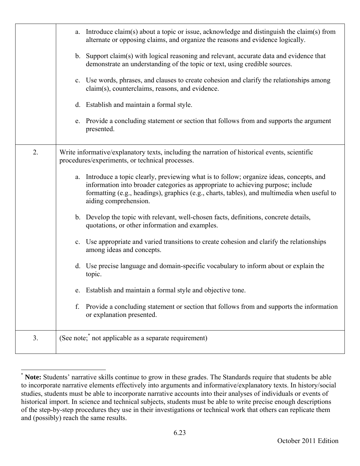|    | a. Introduce claim(s) about a topic or issue, acknowledge and distinguish the claim(s) from<br>alternate or opposing claims, and organize the reasons and evidence logically.                                                                                                                         |
|----|-------------------------------------------------------------------------------------------------------------------------------------------------------------------------------------------------------------------------------------------------------------------------------------------------------|
|    | b. Support claim(s) with logical reasoning and relevant, accurate data and evidence that<br>demonstrate an understanding of the topic or text, using credible sources.                                                                                                                                |
|    | c. Use words, phrases, and clauses to create cohesion and clarify the relationships among<br>claim(s), counterclaims, reasons, and evidence.                                                                                                                                                          |
|    | d. Establish and maintain a formal style.                                                                                                                                                                                                                                                             |
|    | e. Provide a concluding statement or section that follows from and supports the argument<br>presented.                                                                                                                                                                                                |
| 2. | Write informative/explanatory texts, including the narration of historical events, scientific<br>procedures/experiments, or technical processes.                                                                                                                                                      |
|    | a. Introduce a topic clearly, previewing what is to follow; organize ideas, concepts, and<br>information into broader categories as appropriate to achieving purpose; include<br>formatting (e.g., headings), graphics (e.g., charts, tables), and multimedia when useful to<br>aiding comprehension. |
|    | b. Develop the topic with relevant, well-chosen facts, definitions, concrete details,<br>quotations, or other information and examples.                                                                                                                                                               |
|    | c. Use appropriate and varied transitions to create cohesion and clarify the relationships<br>among ideas and concepts.                                                                                                                                                                               |
|    | d. Use precise language and domain-specific vocabulary to inform about or explain the<br>topic.                                                                                                                                                                                                       |
|    | e. Establish and maintain a formal style and objective tone.                                                                                                                                                                                                                                          |
|    | Provide a concluding statement or section that follows from and supports the information<br>f.<br>or explanation presented.                                                                                                                                                                           |
| 3. | (See note; <sup>*</sup> not applicable as a separate requirement)                                                                                                                                                                                                                                     |

Note: Students' narrative skills continue to grow in these grades. The Standards require that students be able to incorporate narrative elements effectively into arguments and informative/explanatory texts. In history/social studies, students must be able to incorporate narrative accounts into their analyses of individuals or events of historical import. In science and technical subjects, students must be able to write precise enough descriptions of the step-by-step procedures they use in their investigations or technical work that others can replicate them and (possibly) reach the same results.

 $\overline{a}$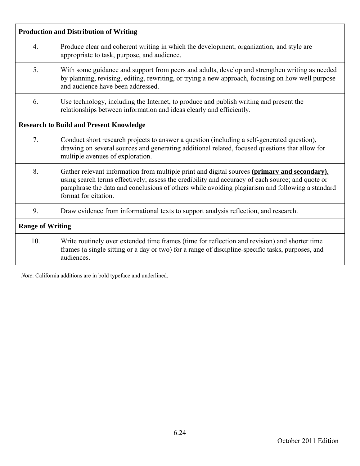|                         | <b>Production and Distribution of Writing</b>                                                                                                                                                                                                                                                                                |
|-------------------------|------------------------------------------------------------------------------------------------------------------------------------------------------------------------------------------------------------------------------------------------------------------------------------------------------------------------------|
| 4.                      | Produce clear and coherent writing in which the development, organization, and style are<br>appropriate to task, purpose, and audience.                                                                                                                                                                                      |
| 5.                      | With some guidance and support from peers and adults, develop and strengthen writing as needed<br>by planning, revising, editing, rewriting, or trying a new approach, focusing on how well purpose<br>and audience have been addressed.                                                                                     |
| 6.                      | Use technology, including the Internet, to produce and publish writing and present the<br>relationships between information and ideas clearly and efficiently.                                                                                                                                                               |
|                         | <b>Research to Build and Present Knowledge</b>                                                                                                                                                                                                                                                                               |
| 7.                      | Conduct short research projects to answer a question (including a self-generated question),<br>drawing on several sources and generating additional related, focused questions that allow for<br>multiple avenues of exploration.                                                                                            |
| 8.                      | Gather relevant information from multiple print and digital sources (primary and secondary).<br>using search terms effectively; assess the credibility and accuracy of each source; and quote or<br>paraphrase the data and conclusions of others while avoiding plagiarism and following a standard<br>format for citation. |
| 9.                      | Draw evidence from informational texts to support analysis reflection, and research.                                                                                                                                                                                                                                         |
| <b>Range of Writing</b> |                                                                                                                                                                                                                                                                                                                              |
| 10.                     | Write routinely over extended time frames (time for reflection and revision) and shorter time<br>frames (a single sitting or a day or two) for a range of discipline-specific tasks, purposes, and<br>audiences.                                                                                                             |

*Note*: California additions are in bold typeface and underlined.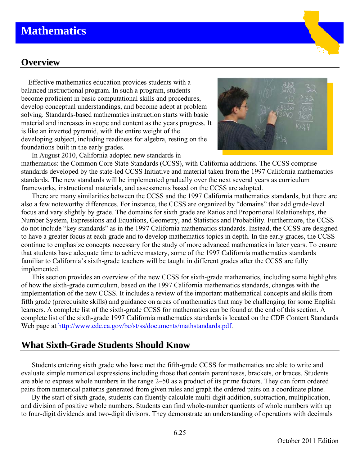## **Mathematics**

#### **Overview**

Effective mathematics education provides students with a balanced instructional program. In such a program, students become proficient in basic computational skills and procedures, develop conceptual understandings, and become adept at problem solving. Standards-based mathematics instruction starts with basic material and increases in scope and content as the years progress. It is like an inverted pyramid, with the entire weight of the developing subject, including readiness for algebra, resting on the foundations built in the early grades.



In August 2010, California adopted new standards in mathematics: the Common Core State Standards (CCSS), with California additions. The CCSS comprise standards developed by the state-led CCSS Initiative and material taken from the 1997 California mathematics standards. The new standards will be implemented gradually over the next several years as curriculum frameworks, instructional materials, and assessments based on the CCSS are adopted.

There are many similarities between the CCSS and the 1997 California mathematics standards, but there are also a few noteworthy differences. For instance, the CCSS are organized by "domains" that add grade-level focus and vary slightly by grade. The domains for sixth grade are Ratios and Proportional Relationships, the Number System, Expressions and Equations, Geometry, and Statistics and Probability. Furthermore, the CCSS do not include "key standards" as in the 1997 California mathematics standards. Instead, the CCSS are designed to have a greater focus at each grade and to develop mathematics topics in depth. In the early grades, the CCSS continue to emphasize concepts necessary for the study of more advanced mathematics in later years. To ensure that students have adequate time to achieve mastery, some of the 1997 California mathematics standards familiar to California's sixth-grade teachers will be taught in different grades after the CCSS are fully implemented.

This section provides an overview of the new CCSS for sixth-grade mathematics, including some highlights of how the sixth-grade curriculum, based on the 1997 California mathematics standards, changes with the implementation of the new CCSS. It includes a review of the important mathematical concepts and skills from fifth grade (prerequisite skills) and guidance on areas of mathematics that may be challenging for some English learners. A complete list of the sixth-grade CCSS for mathematics can be found at the end of this section. A complete list of the sixth-grade 1997 California mathematics standards is located on the CDE Content Standards Web page at http://www.cde.ca.gov/be/st/ss/documents/mathstandards.pdf.

#### **What Sixth-Grade Students Should Know**

Students entering sixth grade who have met the fifth-grade CCSS for mathematics are able to write and evaluate simple numerical expressions including those that contain parentheses, brackets, or braces. Students are able to express whole numbers in the range 2–50 as a product of its prime factors. They can form ordered pairs from numerical patterns generated from given rules and graph the ordered pairs on a coordinate plane.

By the start of sixth grade, students can fluently calculate multi-digit addition, subtraction, multiplication, and division of positive whole numbers. Students can find whole-number quotients of whole numbers with up to four-digit dividends and two-digit divisors. They demonstrate an understanding of operations with decimals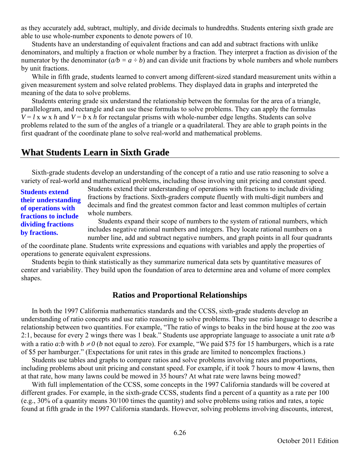as they accurately add, subtract, multiply, and divide decimals to hundredths. Students entering sixth grade are able to use whole-number exponents to denote powers of 10.

Students have an understanding of equivalent fractions and can add and subtract fractions with unlike denominators, and multiply a fraction or whole number by a fraction. They interpret a fraction as division of the numerator by the denominator  $(a/b = a \div b)$  and can divide unit fractions by whole numbers and whole numbers by unit fractions.

While in fifth grade, students learned to convert among different-sized standard measurement units within a given measurement system and solve related problems. They displayed data in graphs and interpreted the meaning of the data to solve problems.

Students entering grade six understand the relationship between the formulas for the area of a triangle, parallelogram, and rectangle and can use these formulas to solve problems. They can apply the formulas  $V = l$  x *w* x *h* and  $V = b$  x *h* for rectangular prisms with whole-number edge lengths. Students can solve problems related to the sum of the angles of a triangle or a quadrilateral. They are able to graph points in the first quadrant of the coordinate plane to solve real-world and mathematical problems.

#### **What Students Learn in Sixth Grade**

Sixth-grade students develop an understanding of the concept of a ratio and use ratio reasoning to solve a variety of real-world and mathematical problems, including those involving unit pricing and constant speed.

Students extend<br>
Students extend their understanding of operations with fractions to include dividing<br> **their understanding**<br>
fractions by fractions and find the greatest common factor and least common multiples of certain

of the coordinate plane. Students write expressions and equations with variables and apply the properties of operations to generate equivalent expressions.

Students begin to think statistically as they summarize numerical data sets by quantitative measures of center and variability. They build upon the foundation of area to determine area and volume of more complex shapes.

#### **Ratios and Proportional Relationships**

In both the 1997 California mathematics standards and the CCSS, sixth-grade students develop an understanding of ratio concepts and use ratio reasoning to solve problems. They use ratio language to describe a relationship between two quantities. For example, "The ratio of wings to beaks in the bird house at the zoo was 2:1, because for every 2 wings there was 1 beak." Students use appropriate language to associate a unit rate *a/b*  with a ratio *a:b* with  $b \neq 0$  (*b* not equal to zero). For example, "We paid \$75 for 15 hamburgers, which is a rate of \$5 per hamburger." (Expectations for unit rates in this grade are limited to noncomplex fractions.)

Students use tables and graphs to compare ratios and solve problems involving rates and proportions, including problems about unit pricing and constant speed. For example, if it took 7 hours to mow 4 lawns, then at that rate, how many lawns could be mowed in 35 hours? At what rate were lawns being mowed?

With full implementation of the CCSS, some concepts in the 1997 California standards will be covered at different grades. For example, in the sixth-grade CCSS, students find a percent of a quantity as a rate per 100 (e.g., 30% of a quantity means 30/100 times the quantity) and solve problems using ratios and rates, a topic found at fifth grade in the 1997 California standards. However, solving problems involving discounts, interest,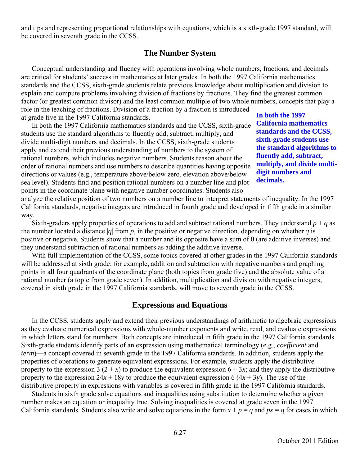and tips and representing proportional relationships with equations, which is a sixth-grade 1997 standard, will be covered in seventh grade in the CCSS.

#### **The Number System**

Conceptual understanding and fluency with operations involving whole numbers, fractions, and decimals are critical for students' success in mathematics at later grades. In both the 1997 California mathematics standards and the CCSS, sixth-grade students relate previous knowledge about multiplication and division to explain and compute problems involving division of fractions by fractions. They find the greatest common factor (or greatest common divisor) and the least common multiple of two whole numbers, concepts that play a role in the teaching of fractions. Division of a fraction by a fraction is introduced<br>at grade five in the 1997 California standards.<br>In both the 1997<br>In both the 1997<br>Linkether 1997 California mathematics

In both the 1997 California mathematics standards and the CCSS, sixth-grade<br>students use the standard algorithms to fluently add, subtract, multiply, and<br>divide multi-digit numbers and decimals. In the CCSS, sixth-grade st order of rational numbers and use numbers to describe quantities having opposite<br>directions or values (e.g., temperature above/below zero, elevation above/below<br>sea level). Students find and position rational numbers on a points in the coordinate plane with negative number coordinates. Students also

analyze the relative position of two numbers on a number line to interpret statements of inequality. In the 1997 California standards, negative integers are introduced in fourth grade and developed in fifth grade in a similar way.

Sixth-graders apply properties of operations to add and subtract rational numbers. They understand  $p + q$  as the number located a distance |*q*| from *p*, in the positive or negative direction, depending on whether *q* is positive or negative. Students show that a number and its opposite have a sum of 0 (are additive inverses) and they understand subtraction of rational numbers as adding the additive inverse.

With full implementation of the CCSS, some topics covered at other grades in the 1997 California standards will be addressed at sixth grade: for example, addition and subtraction with negative numbers and graphing points in all four quadrants of the coordinate plane (both topics from grade five) and the absolute value of a rational number (a topic from grade seven). In addition, multiplication and division with negative integers, covered in sixth grade in the 1997 California standards, will move to seventh grade in the CCSS.

#### **Expressions and Equations**

In the CCSS, students apply and extend their previous understandings of arithmetic to algebraic expressions as they evaluate numerical expressions with whole-number exponents and write, read, and evaluate expressions in which letters stand for numbers. Both concepts are introduced in fifth grade in the 1997 California standards. Sixth-grade students identify parts of an expression using mathematical terminology (e.g., *coefficient* and *term*)—a concept covered in seventh grade in the 1997 California standards. In addition, students apply the properties of operations to generate equivalent expressions. For example, students apply the distributive property to the expression 3  $(2 + x)$  to produce the equivalent expression  $6 + 3x$ ; and they apply the distributive property to the expression  $24x + 18y$  to produce the equivalent expression 6  $(4x + 3y)$ . The use of the distributive property in expressions with variables is covered in fifth grade in the 1997 California standards.

Students in sixth grade solve equations and inequalities using substitution to determine whether a given number makes an equation or inequality true. Solving inequalities is covered at grade seven in the 1997 California standards. Students also write and solve equations in the form  $x + p = q$  and  $px = q$  for cases in which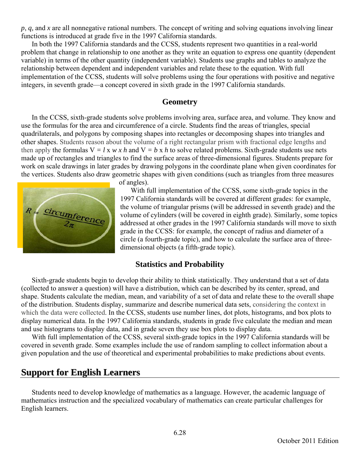*p*, *q,* and *x* are all nonnegative rational numbers. The concept of writing and solving equations involving linear functions is introduced at grade five in the 1997 California standards.

In both the 1997 California standards and the CCSS, students represent two quantities in a real-world problem that change in relationship to one another as they write an equation to express one quantity (dependent variable) in terms of the other quantity (independent variable). Students use graphs and tables to analyze the relationship between dependent and independent variables and relate these to the equation. With full implementation of the CCSS, students will solve problems using the four operations with positive and negative integers, in seventh grade—a concept covered in sixth grade in the 1997 California standards.

#### **Geometry**

In the CCSS, sixth-grade students solve problems involving area, surface area, and volume. They know and use the formulas for the area and circumference of a circle. Students find the areas of triangles, special quadrilaterals, and polygons by composing shapes into rectangles or decomposing shapes into triangles and other shapes. Students reason about the volume of a right rectangular prism with fractional edge lengths and then apply the formulas  $V = l x w x h$  and  $V = b x h$  to solve related problems. Sixth-grade students use nets made up of rectangles and triangles to find the surface areas of three-dimensional figures. Students prepare for work on scale drawings in later grades by drawing polygons in the coordinate plane when given coordinates for the vertices. Students also draw geometric shapes with given conditions (such as triangles from three measures



of angles).

With full implementation of the CCSS, some sixth-grade topics in the 1997 California standards will be covered at different grades: for example, the volume of triangular prisms (will be addressed in seventh grade) and the volume of cylinders (will be covered in eighth grade). Similarly, some topics addressed at other grades in the 1997 California standards will move to sixth grade in the CCSS: for example, the concept of radius and diameter of a circle (a fourth-grade topic), and how to calculate the surface area of threedimensional objects (a fifth-grade topic).

#### **Statistics and Probability**

Sixth-grade students begin to develop their ability to think statistically. They understand that a set of data (collected to answer a question) will have a distribution, which can be described by its center, spread, and shape. Students calculate the median, mean, and variability of a set of data and relate these to the overall shape of the distribution. Students display, summarize and describe numerical data sets, considering the context in which the data were collected. In the CCSS, students use number lines, dot plots, histograms, and box plots to display numerical data. In the 1997 California standards, students in grade five calculate the median and mean and use histograms to display data, and in grade seven they use box plots to display data.

With full implementation of the CCSS, several sixth-grade topics in the 1997 California standards will be covered in seventh grade. Some examples include the use of random sampling to collect information about a given population and the use of theoretical and experimental probabilities to make predictions about events.

#### **Support for English Learners**

Students need to develop knowledge of mathematics as a language. However, the academic language of mathematics instruction and the specialized vocabulary of mathematics can create particular challenges for English learners.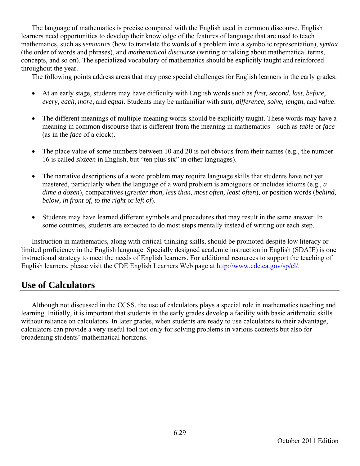The language of mathematics is precise compared with the English used in common discourse. English learners need opportunities to develop their knowledge of the features of language that are used to teach mathematics, such as *semantics* (how to translate the words of a problem into a symbolic representation), *syntax*  (the order of words and phrases), and *mathematical discourse* (writing or talking about mathematical terms, concepts, and so on). The specialized vocabulary of mathematics should be explicitly taught and reinforced throughout the year.

The following points address areas that may pose special challenges for English learners in the early grades:

- At an early stage, students may have difficulty with English words such as *first, second, last*, *before*, *every*, *each*, *more*, and *equal*. Students may be unfamiliar with *sum, difference, solve, length*, and *value*.
- The different meanings of multiple-meaning words should be explicitly taught. These words may have a meaning in common discourse that is different from the meaning in mathematics—such as *table* or *face*  (as in the *face* of a clock).
- $\bullet$  The place value of some numbers between 10 and 20 is not obvious from their names (e.g., the number 16 is called *sixteen* in English, but "ten plus six" in other languages).
- The narrative descriptions of a word problem may require language skills that students have not yet mastered, particularly when the language of a word problem is ambiguous or includes idioms (e.g., *a dime a dozen*), comparatives (*greater than, less than, most often, least often*), or position words (*behind, below, in front of, to the right* or *left of*).
- Students may have learned different symbols and procedures that may result in the same answer. In some countries, students are expected to do most steps mentally instead of writing out each step.

Instruction in mathematics, along with critical-thinking skills, should be promoted despite low literacy or limited proficiency in the English language. Specially designed academic instruction in English (SDAIE) is one instructional strategy to meet the needs of English learners. For additional resources to support the teaching of English learners, please visit the CDE English Learners Web page at http://www.cde.ca.gov/sp/el/.

#### **Use of Calculators**

Although not discussed in the CCSS, the use of calculators plays a special role in mathematics teaching and learning. Initially, it is important that students in the early grades develop a facility with basic arithmetic skills without reliance on calculators. In later grades, when students are ready to use calculators to their advantage, calculators can provide a very useful tool not only for solving problems in various contexts but also for broadening students' mathematical horizons.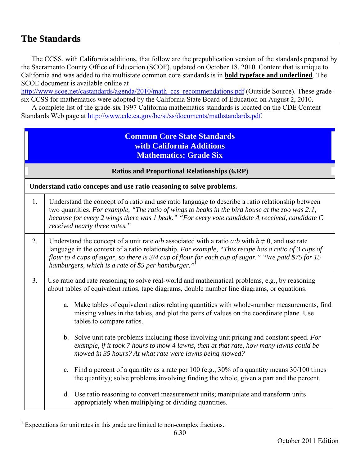#### **The Standards**

The CCSS, with California additions, that follow are the prepublication version of the standards prepared by the Sacramento County Office of Education (SCOE), updated on October 18, 2010. Content that is unique to California and was added to the multistate common core standards is in **bold typeface and underlined**. The SCOE document is available online at

http://www.scoe.net/castandards/agenda/2010/math\_ccs\_recommendations.pdf (Outside Source). These gradesix CCSS for mathematics were adopted by the California State Board of Education on August 2, 2010.

A complete list of the grade-six 1997 California mathematics standards is located on the CDE Content Standards Web page at http://www.cde.ca.gov/be/st/ss/documents/mathstandards.pdf.

#### **Common Core State Standards with California Additions Mathematics: Grade Six**

|                | <b>Ratios and Proportional Relationships (6.RP)</b>                                                                                                                                                                                                                                                                                                                        |  |
|----------------|----------------------------------------------------------------------------------------------------------------------------------------------------------------------------------------------------------------------------------------------------------------------------------------------------------------------------------------------------------------------------|--|
|                | Understand ratio concepts and use ratio reasoning to solve problems.                                                                                                                                                                                                                                                                                                       |  |
| 1.             | Understand the concept of a ratio and use ratio language to describe a ratio relationship between<br>two quantities. For example, "The ratio of wings to beaks in the bird house at the zoo was 2:1,<br>because for every 2 wings there was 1 beak." "For every vote candidate A received, candidate C<br>received nearly three votes."                                    |  |
| 2.             | Understand the concept of a unit rate $a/b$ associated with a ratio a:b with $b \neq 0$ , and use rate<br>language in the context of a ratio relationship. For example, "This recipe has a ratio of 3 cups of<br>flour to 4 cups of sugar, so there is 3/4 cup of flour for each cup of sugar." "We paid \$75 for 15<br>hamburgers, which is a rate of \$5 per hamburger." |  |
| 3 <sub>1</sub> | Use ratio and rate reasoning to solve real-world and mathematical problems, e.g., by reasoning<br>about tables of equivalent ratios, tape diagrams, double number line diagrams, or equations.                                                                                                                                                                             |  |
|                | a. Make tables of equivalent ratios relating quantities with whole-number measurements, find<br>missing values in the tables, and plot the pairs of values on the coordinate plane. Use<br>tables to compare ratios.                                                                                                                                                       |  |
|                | b. Solve unit rate problems including those involving unit pricing and constant speed. For<br>example, if it took 7 hours to mow 4 lawns, then at that rate, how many lawns could be<br>mowed in 35 hours? At what rate were lawns being mowed?                                                                                                                            |  |
|                | c. Find a percent of a quantity as a rate per $100$ (e.g., $30\%$ of a quantity means $30/100$ times<br>the quantity); solve problems involving finding the whole, given a part and the percent.                                                                                                                                                                           |  |
|                | d. Use ratio reasoning to convert measurement units; manipulate and transform units<br>appropriately when multiplying or dividing quantities.                                                                                                                                                                                                                              |  |

<sup>&</sup>lt;sup>1</sup> Expectations for unit rates in this grade are limited to non-complex fractions.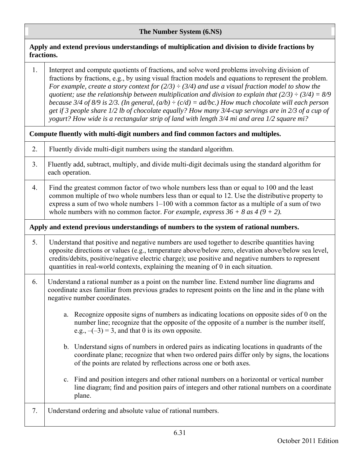| fractions. | Apply and extend previous understandings of multiplication and division to divide fractions by                                                                                                                                                                                                                                                                                                                                                                                                                                                                                                                                                                                                                                                  |
|------------|-------------------------------------------------------------------------------------------------------------------------------------------------------------------------------------------------------------------------------------------------------------------------------------------------------------------------------------------------------------------------------------------------------------------------------------------------------------------------------------------------------------------------------------------------------------------------------------------------------------------------------------------------------------------------------------------------------------------------------------------------|
|            |                                                                                                                                                                                                                                                                                                                                                                                                                                                                                                                                                                                                                                                                                                                                                 |
| 1.         | Interpret and compute quotients of fractions, and solve word problems involving division of<br>fractions by fractions, e.g., by using visual fraction models and equations to represent the problem.<br>For example, create a story context for $(2/3) \div (3/4)$ and use a visual fraction model to show the<br>quotient; use the relationship between multiplication and division to explain that $(2/3) \div (3/4) = 8/9$<br>because 3/4 of 8/9 is 2/3. (In general, $(a/b) \div (c/d) = ad/bc$ .) How much chocolate will each person<br>get if 3 people share 1/2 lb of chocolate equally? How many 3/4-cup servings are in 2/3 of a cup of<br>yogurt? How wide is a rectangular strip of land with length 3/4 mi and area 1/2 square mi? |
|            | Compute fluently with multi-digit numbers and find common factors and multiples.                                                                                                                                                                                                                                                                                                                                                                                                                                                                                                                                                                                                                                                                |
| 2.         | Fluently divide multi-digit numbers using the standard algorithm.                                                                                                                                                                                                                                                                                                                                                                                                                                                                                                                                                                                                                                                                               |
| 3.         | Fluently add, subtract, multiply, and divide multi-digit decimals using the standard algorithm for<br>each operation.                                                                                                                                                                                                                                                                                                                                                                                                                                                                                                                                                                                                                           |
| 4.         | Find the greatest common factor of two whole numbers less than or equal to 100 and the least<br>common multiple of two whole numbers less than or equal to 12. Use the distributive property to<br>express a sum of two whole numbers 1–100 with a common factor as a multiple of a sum of two<br>whole numbers with no common factor. For example, express $36 + 8$ as $4 (9 + 2)$ .                                                                                                                                                                                                                                                                                                                                                           |
|            | Apply and extend previous understandings of numbers to the system of rational numbers.                                                                                                                                                                                                                                                                                                                                                                                                                                                                                                                                                                                                                                                          |
| 5.         | Understand that positive and negative numbers are used together to describe quantities having<br>opposite directions or values (e.g., temperature above/below zero, elevation above/below sea level,<br>credits/debits, positive/negative electric charge); use positive and negative numbers to represent<br>quantities in real-world contexts, explaining the meaning of 0 in each situation.                                                                                                                                                                                                                                                                                                                                                 |
| 6.         | Understand a rational number as a point on the number line. Extend number line diagrams and<br>coordinate axes familiar from previous grades to represent points on the line and in the plane with<br>negative number coordinates.                                                                                                                                                                                                                                                                                                                                                                                                                                                                                                              |
|            | a. Recognize opposite signs of numbers as indicating locations on opposite sides of 0 on the<br>number line; recognize that the opposite of the opposite of a number is the number itself,<br>e.g., $-(-3) = 3$ , and that 0 is its own opposite.                                                                                                                                                                                                                                                                                                                                                                                                                                                                                               |
|            | Understand signs of numbers in ordered pairs as indicating locations in quadrants of the<br>$b_{-}$<br>coordinate plane; recognize that when two ordered pairs differ only by signs, the locations<br>of the points are related by reflections across one or both axes.                                                                                                                                                                                                                                                                                                                                                                                                                                                                         |
|            | Find and position integers and other rational numbers on a horizontal or vertical number<br>$c_{\cdot}$<br>line diagram; find and position pairs of integers and other rational numbers on a coordinate<br>plane.                                                                                                                                                                                                                                                                                                                                                                                                                                                                                                                               |
| 7.         | Understand ordering and absolute value of rational numbers.                                                                                                                                                                                                                                                                                                                                                                                                                                                                                                                                                                                                                                                                                     |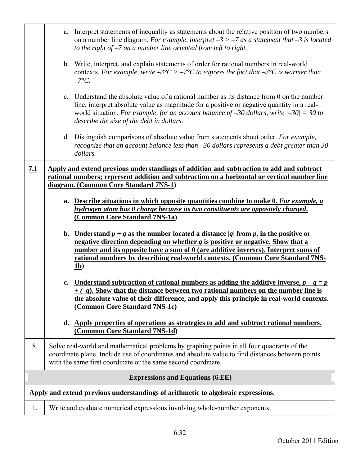|     |    | a. Interpret statements of inequality as statements about the relative position of two numbers<br>on a number line diagram. For example, interpret $-3 > -7$ as a statement that $-3$ is located<br>to the right of $-7$ on a number line oriented from left to right.                                                                                              |
|-----|----|---------------------------------------------------------------------------------------------------------------------------------------------------------------------------------------------------------------------------------------------------------------------------------------------------------------------------------------------------------------------|
|     |    | b. Write, interpret, and explain statements of order for rational numbers in real-world<br>contexts. For example, write $-3^{\circ}C > -7^{\circ}C$ to express the fact that $-3^{\circ}C$ is warmer than<br>$-7^{\circ}C$ .                                                                                                                                        |
|     |    | c. Understand the absolute value of a rational number as its distance from 0 on the number<br>line; interpret absolute value as magnitude for a positive or negative quantity in a real-<br>world situation. For example, for an account balance of -30 dollars, write $ -30  = 30$ to<br>describe the size of the debt in dollars.                                 |
|     |    | d. Distinguish comparisons of absolute value from statements about order. For example,<br>recognize that an account balance less than $-30$ dollars represents a debt greater than 30<br>dollars.                                                                                                                                                                   |
| 7.1 |    | Apply and extend previous understandings of addition and subtraction to add and subtract<br>rational numbers; represent addition and subtraction on a horizontal or vertical number line                                                                                                                                                                            |
|     |    | diagram. (Common Core Standard 7NS-1)                                                                                                                                                                                                                                                                                                                               |
|     | a. | Describe situations in which opposite quantities combine to make 0. For example, a<br>hydrogen atom has 0 charge because its two constituents are oppositely charged.<br>(Common Core Standard 7NS-1a)                                                                                                                                                              |
|     |    | b. Understand $p + q$ as the number located a distance  q  from p, in the positive or<br>negative direction depending on whether $q$ is positive or negative. Show that a<br>number and its opposite have a sum of 0 (are additive inverses). Interpret sums of<br>rational numbers by describing real-world contexts. (Common Core Standard 7NS-<br>1 <sub>b</sub> |
|     |    | c. <u>Understand subtraction of rational numbers as adding the additive inverse, <math>p - q = p</math></u><br>$\frac{1}{1-(q)}$ . Show that the distance between two rational numbers on the number line is<br><u>the absolute value of their difference, and apply this principle in real-world contexts.</u><br>(Common Core Standard 7NS-1c)                    |
|     |    | d. Apply properties of operations as strategies to add and subtract rational numbers.<br>(Common Core Standard 7NS-1d)                                                                                                                                                                                                                                              |
| 8.  |    | Solve real-world and mathematical problems by graphing points in all four quadrants of the<br>coordinate plane. Include use of coordinates and absolute value to find distances between points<br>with the same first coordinate or the same second coordinate.                                                                                                     |
|     |    | <b>Expressions and Equations (6.EE)</b>                                                                                                                                                                                                                                                                                                                             |
|     |    | Apply and extend previous understandings of arithmetic to algebraic expressions.                                                                                                                                                                                                                                                                                    |
| 1.  |    | Write and evaluate numerical expressions involving whole-number exponents.                                                                                                                                                                                                                                                                                          |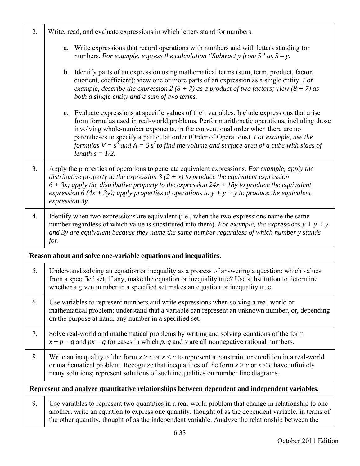| 2. | Write, read, and evaluate expressions in which letters stand for numbers.                                                                                                                                                                                                                                                                                                                                                                                                                    |  |  |
|----|----------------------------------------------------------------------------------------------------------------------------------------------------------------------------------------------------------------------------------------------------------------------------------------------------------------------------------------------------------------------------------------------------------------------------------------------------------------------------------------------|--|--|
|    | a. Write expressions that record operations with numbers and with letters standing for<br>numbers. For example, express the calculation "Subtract y from $5$ " as $5 - y$ .                                                                                                                                                                                                                                                                                                                  |  |  |
|    | b. Identify parts of an expression using mathematical terms (sum, term, product, factor,<br>quotient, coefficient); view one or more parts of an expression as a single entity. For<br>example, describe the expression 2 (8 + 7) as a product of two factors; view (8 + 7) as<br>both a single entity and a sum of two terms.                                                                                                                                                               |  |  |
|    | c. Evaluate expressions at specific values of their variables. Include expressions that arise<br>from formulas used in real-world problems. Perform arithmetic operations, including those<br>involving whole-number exponents, in the conventional order when there are no<br>parentheses to specify a particular order (Order of Operations). For example, use the<br>formulas $V = s^3$ and $A = 6 s^2$ to find the volume and surface area of a cube with sides of<br>length $s = 1/2$ . |  |  |
| 3. | Apply the properties of operations to generate equivalent expressions. For example, apply the<br>distributive property to the expression $3(2 + x)$ to produce the equivalent expression<br>$6 + 3x$ ; apply the distributive property to the expression $24x + 18y$ to produce the equivalent<br>expression 6 (4x + 3y); apply properties of operations to $y + y + y$ to produce the equivalent<br>expression 3y.                                                                          |  |  |
| 4. | Identify when two expressions are equivalent (i.e., when the two expressions name the same<br>number regardless of which value is substituted into them). For example, the expressions $y + y + y$<br>and 3y are equivalent because they name the same number regardless of which number y stands<br>for.                                                                                                                                                                                    |  |  |
|    | Reason about and solve one-variable equations and inequalities.                                                                                                                                                                                                                                                                                                                                                                                                                              |  |  |
| 5. | Understand solving an equation or inequality as a process of answering a question: which values<br>from a specified set, if any, make the equation or inequality true? Use substitution to determine<br>whether a given number in a specified set makes an equation or inequality true.                                                                                                                                                                                                      |  |  |
| 6. | Use variables to represent numbers and write expressions when solving a real-world or<br>mathematical problem; understand that a variable can represent an unknown number, or, depending<br>on the purpose at hand, any number in a specified set.                                                                                                                                                                                                                                           |  |  |
| 7. | Solve real-world and mathematical problems by writing and solving equations of the form<br>$x + p = q$ and $px = q$ for cases in which p, q and x are all nonnegative rational numbers.                                                                                                                                                                                                                                                                                                      |  |  |
| 8. | Write an inequality of the form $x > c$ or $x < c$ to represent a constraint or condition in a real-world<br>or mathematical problem. Recognize that inequalities of the form $x > c$ or $x < c$ have infinitely<br>many solutions; represent solutions of such inequalities on number line diagrams.                                                                                                                                                                                        |  |  |
|    | Represent and analyze quantitative relationships between dependent and independent variables.                                                                                                                                                                                                                                                                                                                                                                                                |  |  |
| 9. | Use variables to represent two quantities in a real-world problem that change in relationship to one<br>another; write an equation to express one quantity, thought of as the dependent variable, in terms of<br>the other quantity, thought of as the independent variable. Analyze the relationship between the                                                                                                                                                                            |  |  |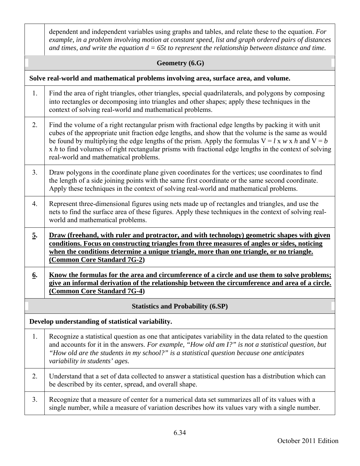dependent and independent variables using graphs and tables, and relate these to the equation. *For example, in a problem involving motion at constant speed, list and graph ordered pairs of distances and times, and write the equation d = 65t to represent the relationship between distance and time.* 

### **Geometry (6.G)**

| Solve real-world and mathematical problems involving area, surface area, and volume. |                                                                                                                                                                                                                                                                                                                                                                                                                                                                       |  |  |  |
|--------------------------------------------------------------------------------------|-----------------------------------------------------------------------------------------------------------------------------------------------------------------------------------------------------------------------------------------------------------------------------------------------------------------------------------------------------------------------------------------------------------------------------------------------------------------------|--|--|--|
| 1.                                                                                   | Find the area of right triangles, other triangles, special quadrilaterals, and polygons by composing<br>into rectangles or decomposing into triangles and other shapes; apply these techniques in the<br>context of solving real-world and mathematical problems.                                                                                                                                                                                                     |  |  |  |
| 2.                                                                                   | Find the volume of a right rectangular prism with fractional edge lengths by packing it with unit<br>cubes of the appropriate unit fraction edge lengths, and show that the volume is the same as would<br>be found by multiplying the edge lengths of the prism. Apply the formulas $V = l x w x h$ and $V = b$<br>$x h$ to find volumes of right rectangular prisms with fractional edge lengths in the context of solving<br>real-world and mathematical problems. |  |  |  |
| 3 <sub>1</sub>                                                                       | Draw polygons in the coordinate plane given coordinates for the vertices; use coordinates to find<br>the length of a side joining points with the same first coordinate or the same second coordinate.<br>Apply these techniques in the context of solving real-world and mathematical problems.                                                                                                                                                                      |  |  |  |
| 4.                                                                                   | Represent three-dimensional figures using nets made up of rectangles and triangles, and use the<br>nets to find the surface area of these figures. Apply these techniques in the context of solving real-<br>world and mathematical problems.                                                                                                                                                                                                                         |  |  |  |
| <u>5</u> .                                                                           | Draw (freehand, with ruler and protractor, and with technology) geometric shapes with given<br>conditions. Focus on constructing triangles from three measures of angles or sides, noticing<br>when the conditions determine a unique triangle, more than one triangle, or no triangle.<br>(Common Core Standard 7G-2)                                                                                                                                                |  |  |  |
| $\underline{6}$ .                                                                    | <u>Know the formulas for the area and circumference of a circle and use them to solve problems;</u><br>give an informal derivation of the relationship between the circumference and area of a circle.<br>(Common Core Standard 7G-4)                                                                                                                                                                                                                                 |  |  |  |
|                                                                                      | <b>Statistics and Probability (6.SP)</b>                                                                                                                                                                                                                                                                                                                                                                                                                              |  |  |  |
|                                                                                      | Develop understanding of statistical variability.                                                                                                                                                                                                                                                                                                                                                                                                                     |  |  |  |
| 1.                                                                                   | Recognize a statistical question as one that anticipates variability in the data related to the question<br>and accounts for it in the answers. For example, "How old am I?" is not a statistical question, but<br>"How old are the students in my school?" is a statistical question because one anticipates<br>variability in students' ages.                                                                                                                       |  |  |  |
| 2.                                                                                   | Understand that a set of data collected to answer a statistical question has a distribution which can<br>be described by its center, spread, and overall shape.                                                                                                                                                                                                                                                                                                       |  |  |  |
| 3.                                                                                   | Recognize that a measure of center for a numerical data set summarizes all of its values with a<br>single number, while a measure of variation describes how its values vary with a single number.                                                                                                                                                                                                                                                                    |  |  |  |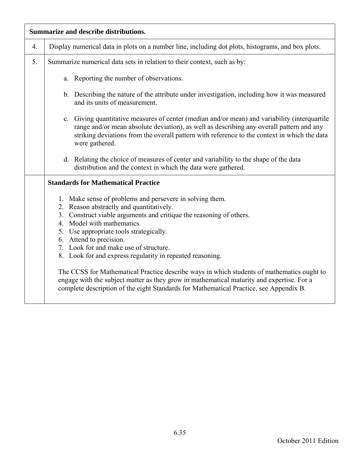|    | Summarize and describe distributions.                                                                                                                                                                                                                                                                               |                                                                                                                                                                                                                                                                                                                                                                                                                                                                                                                                                                                                                    |  |  |
|----|---------------------------------------------------------------------------------------------------------------------------------------------------------------------------------------------------------------------------------------------------------------------------------------------------------------------|--------------------------------------------------------------------------------------------------------------------------------------------------------------------------------------------------------------------------------------------------------------------------------------------------------------------------------------------------------------------------------------------------------------------------------------------------------------------------------------------------------------------------------------------------------------------------------------------------------------------|--|--|
| 4. | Display numerical data in plots on a number line, including dot plots, histograms, and box plots.                                                                                                                                                                                                                   |                                                                                                                                                                                                                                                                                                                                                                                                                                                                                                                                                                                                                    |  |  |
| 5. | Summarize numerical data sets in relation to their context, such as by:                                                                                                                                                                                                                                             |                                                                                                                                                                                                                                                                                                                                                                                                                                                                                                                                                                                                                    |  |  |
|    | a. Reporting the number of observations.                                                                                                                                                                                                                                                                            |                                                                                                                                                                                                                                                                                                                                                                                                                                                                                                                                                                                                                    |  |  |
|    | b. Describing the nature of the attribute under investigation, including how it was measured<br>and its units of measurement.                                                                                                                                                                                       |                                                                                                                                                                                                                                                                                                                                                                                                                                                                                                                                                                                                                    |  |  |
|    | Giving quantitative measures of center (median and/or mean) and variability (interquartile<br>$c_{-}$<br>range and/or mean absolute deviation), as well as describing any overall pattern and any<br>striking deviations from the overall pattern with reference to the context in which the data<br>were gathered. |                                                                                                                                                                                                                                                                                                                                                                                                                                                                                                                                                                                                                    |  |  |
|    |                                                                                                                                                                                                                                                                                                                     | d. Relating the choice of measures of center and variability to the shape of the data<br>distribution and the context in which the data were gathered.                                                                                                                                                                                                                                                                                                                                                                                                                                                             |  |  |
|    | <b>Standards for Mathematical Practice</b>                                                                                                                                                                                                                                                                          |                                                                                                                                                                                                                                                                                                                                                                                                                                                                                                                                                                                                                    |  |  |
|    | 4. Model with mathematics.<br>6. Attend to precision.                                                                                                                                                                                                                                                               | 1. Make sense of problems and persevere in solving them.<br>2. Reason abstractly and quantitatively.<br>3. Construct viable arguments and critique the reasoning of others.<br>5. Use appropriate tools strategically.<br>7. Look for and make use of structure.<br>8. Look for and express regularity in repeated reasoning.<br>The CCSS for Mathematical Practice describe ways in which students of mathematics ought to<br>engage with the subject matter as they grow in mathematical maturity and expertise. For a<br>complete description of the eight Standards for Mathematical Practice, see Appendix B. |  |  |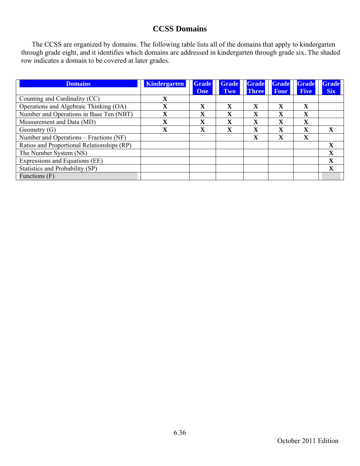### **CCSS Domains**

The CCSS are organized by domains. The following table lists all of the domains that apply to kindergarten through grade eight, and it identifies which domains are addressed in kindergarten through grade six. The shaded row indicates a domain to be covered at later grades.

| <b>Domains</b>                             | <b>Kindergarten</b>     | <b>Grade</b> | <b>Grade</b> | <b>Grade</b> | <b>Grade</b> | <b>Grade</b> | <b>Grade</b> |
|--------------------------------------------|-------------------------|--------------|--------------|--------------|--------------|--------------|--------------|
|                                            |                         | <b>One</b>   | Two          | <b>Three</b> | <b>Four</b>  | <b>Five</b>  | Six          |
| Counting and Cardinality (CC)              | $\mathbf X$             |              |              |              |              |              |              |
| Operations and Algebraic Thinking (OA)     | $\overline{\mathbf{X}}$ | X            | X            | X            | X            | $\mathbf X$  |              |
| Number and Operations in Base Ten (NBT)    | X                       | X            | X            | X            | X            | X            |              |
| Measurement and Data (MD)                  | X                       | X            | $\mathbf x$  | $\mathbf x$  | X            | $\mathbf X$  |              |
| Geometry $(G)$                             | $\mathbf X$             | X            | X            | X            | X            | $\mathbf X$  |              |
| Number and Operations – Fractions (NF)     |                         |              |              | X            | X            | X            |              |
| Ratios and Proportional Relationships (RP) |                         |              |              |              |              |              | X            |
| The Number System (NS)                     |                         |              |              |              |              |              | X            |
| Expressions and Equations (EE)             |                         |              |              |              |              |              | X            |
| Statistics and Probability (SP)            |                         |              |              |              |              |              | X            |
| Functions (F)                              |                         |              |              |              |              |              |              |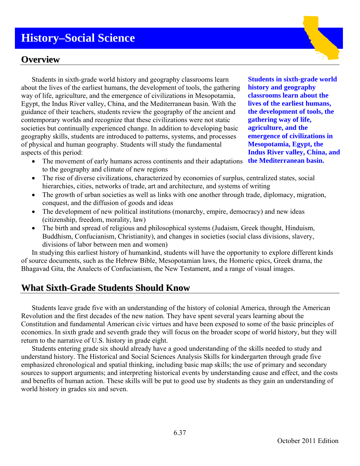# **History–Social Science**

### **Overview**

Students in sixth-grade world history and geography classrooms learn **Students in sixth-grade world**  about the lives of the earliest humans, the development of tools, the gathering **history and geography**  way of life, agriculture, and the emergence of civilizations in Mesopotamia, **classrooms learn about the**  Egypt, the Indus River valley, China, and the Mediterranean basin. With the **lives of the earliest humans,** guidance of their teachers, students review the geography of the ancient and **the development of tools, the**  contemporary worlds and recognize that these civilizations were not static **gathering way of life,**  societies but continually experienced change. In addition to developing basic **agriculture, and the**  geography skills, students are introduced to patterns, systems, and processes **emergence of civilizations in** of physical and human geography. Students will study the fundamental **Mesopotamia**, **Egypt**, the of physical and human geography. Students will study the fundamental aspects of this period: **Indus River valley, China, and** 

 The movement of early humans across continents and their adaptations **the Mediterranean basin.**  to the geography and climate of new regions

- The rise of diverse civilizations, characterized by economies of surplus, centralized states, social hierarchies, cities, networks of trade, art and architecture, and systems of writing
- The growth of urban societies as well as links with one another through trade, diplomacy, migration, conquest, and the diffusion of goods and ideas
- The development of new political institutions (monarchy, empire, democracy) and new ideas (citizenship, freedom, morality, law)
- The birth and spread of religious and philosophical systems (Judaism, Greek thought, Hinduism, Buddhism, Confucianism, Christianity), and changes in societies (social class divisions, slavery, divisions of labor between men and women)

In studying this earliest history of humankind, students will have the opportunity to explore different kinds of source documents, such as the Hebrew Bible, Mesopotamian laws, the Homeric epics, Greek drama, the Bhagavad Gita, the Analects of Confucianism, the New Testament, and a range of visual images.

## **What Sixth-Grade Students Should Know**

Students leave grade five with an understanding of the history of colonial America, through the American Revolution and the first decades of the new nation. They have spent several years learning about the Constitution and fundamental American civic virtues and have been exposed to some of the basic principles of economics. In sixth grade and seventh grade they will focus on the broader scope of world history, but they will return to the narrative of U.S. history in grade eight.

Students entering grade six should already have a good understanding of the skills needed to study and understand history. The Historical and Social Sciences Analysis Skills for kindergarten through grade five emphasized chronological and spatial thinking, including basic map skills; the use of primary and secondary sources to support arguments; and interpreting historical events by understanding cause and effect, and the costs and benefits of human action. These skills will be put to good use by students as they gain an understanding of world history in grades six and seven.

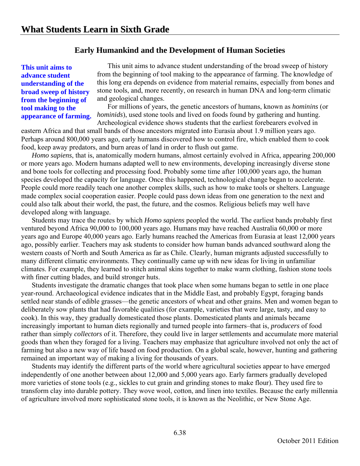#### **Early Humankind and the Development of Human Societies**

**from the beginning of** 

**This unit aims to** This unit aims to advance student understanding of the broad sweep of history **advance student** from the beginning of tool making to the appearance of farming. The knowledge of **understanding of the** this long era depends on evidence from material remains, especially from bones and **broad sweep of history** stone tools, and, more recently, on research in human DNA and long-term climatic from the heginning of and geological changes.

**tool making to the** For millions of years, the genetic ancestors of humans, known as *hominins* (or **appearance of farming.** *hominids*), used stone tools and lived on foods found by gathering and hunting. Archeological evidence shows students that the earliest forebearers evolved in

eastern Africa and that small bands of those ancestors migrated into Eurasia about 1.9 million years ago. Perhaps around 800,000 years ago, early humans discovered how to control fire, which enabled them to cook food, keep away predators, and burn areas of land in order to flush out game.

*Homo sapiens*, that is, anatomically modern humans, almost certainly evolved in Africa, appearing 200,000 or more years ago. Modern humans adapted well to new environments, developing increasingly diverse stone and bone tools for collecting and processing food. Probably some time after 100,000 years ago, the human species developed the capacity for language. Once this happened, technological change began to accelerate. People could more readily teach one another complex skills, such as how to make tools or shelters. Language made complex social cooperation easier. People could pass down ideas from one generation to the next and could also talk about their world, the past, the future, and the cosmos. Religious beliefs may well have developed along with language.

Students may trace the routes by which *Homo sapiens* peopled the world. The earliest bands probably first ventured beyond Africa 90,000 to 100,000 years ago. Humans may have reached Australia 60,000 or more years ago and Europe 40,000 years ago. Early humans reached the Americas from Eurasia at least 12,000 years ago, possibly earlier. Teachers may ask students to consider how human bands advanced southward along the western coasts of North and South America as far as Chile. Clearly, human migrants adjusted successfully to many different climatic environments. They continually came up with new ideas for living in unfamiliar climates. For example, they learned to stitch animal skins together to make warm clothing, fashion stone tools with finer cutting blades, and build stronger huts.

Students investigate the dramatic changes that took place when some humans began to settle in one place year-round. Archaeological evidence indicates that in the Middle East, and probably Egypt, foraging bands settled near stands of edible grasses—the genetic ancestors of wheat and other grains. Men and women began to deliberately sow plants that had favorable qualities (for example, varieties that were large, tasty, and easy to cook). In this way, they gradually domesticated those plants. Domesticated plants and animals became increasingly important to human diets regionally and turned people into farmers–that is, *producers* of food rather than simply *collectors* of it. Therefore, they could live in larger settlements and accumulate more material goods than when they foraged for a living. Teachers may emphasize that agriculture involved not only the act of farming but also a new way of life based on food production. On a global scale, however, hunting and gathering remained an important way of making a living for thousands of years.

Students may identify the different parts of the world where agricultural societies appear to have emerged independently of one another between about 12,000 and 5,000 years ago. Early farmers gradually developed more varieties of stone tools (e.g., sickles to cut grain and grinding stones to make flour). They used fire to transform clay into durable pottery. They wove wool, cotton, and linen into textiles. Because the early millennia of agriculture involved more sophisticated stone tools, it is known as the Neolithic, or New Stone Age.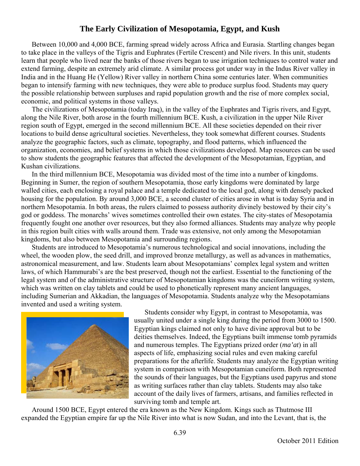### **The Early Civilization of Mesopotamia, Egypt, and Kush**

Between 10,000 and 4,000 BCE, farming spread widely across Africa and Eurasia. Startling changes began to take place in the valleys of the Tigris and Euphrates (Fertile Crescent) and Nile rivers. In this unit, students learn that people who lived near the banks of those rivers began to use irrigation techniques to control water and extend farming, despite an extremely arid climate. A similar process got under way in the Indus River valley in India and in the Huang He (Yellow) River valley in northern China some centuries later. When communities began to intensify farming with new techniques, they were able to produce surplus food. Students may query the possible relationship between surpluses and rapid population growth and the rise of more complex social, economic, and political systems in those valleys.

The civilizations of Mesopotamia (today Iraq), in the valley of the Euphrates and Tigris rivers, and Egypt, along the Nile River, both arose in the fourth millennium BCE. Kush, a civilization in the upper Nile River region south of Egypt, emerged in the second millennium BCE. All these societies depended on their river locations to build dense agricultural societies. Nevertheless, they took somewhat different courses. Students analyze the geographic factors, such as climate, topography, and flood patterns, which influenced the organization, economies, and belief systems in which those civilizations developed. Map resources can be used to show students the geographic features that affected the development of the Mesopotamian, Egyptian, and Kushan civilizations.

In the third millennium BCE, Mesopotamia was divided most of the time into a number of kingdoms. Beginning in Sumer, the region of southern Mesopotamia, those early kingdoms were dominated by large walled cities, each enclosing a royal palace and a temple dedicated to the local god, along with densely packed housing for the population. By around 3,000 BCE, a second cluster of cities arose in what is today Syria and in northern Mesopotamia. In both areas, the rulers claimed to possess authority divinely bestowed by their city's god or goddess. The monarchs' wives sometimes controlled their own estates. The city-states of Mesopotamia frequently fought one another over resources, but they also formed alliances. Students may analyze why people in this region built cities with walls around them. Trade was extensive, not only among the Mesopotamian kingdoms, but also between Mesopotamia and surrounding regions.

Students are introduced to Mesopotamia's numerous technological and social innovations, including the wheel, the wooden plow, the seed drill, and improved bronze metallurgy, as well as advances in mathematics, astronomical measurement, and law. Students learn about Mesopotamians' complex legal system and written laws, of which Hammurabi's are the best preserved, though not the earliest. Essential to the functioning of the legal system and of the administrative structure of Mesopotamian kingdoms was the cuneiform writing system, which was written on clay tablets and could be used to phonetically represent many ancient languages, including Sumerian and Akkadian, the languages of Mesopotamia. Students analyze why the Mesopotamians invented and used a writing system.



Students consider why Egypt, in contrast to Mesopotamia, was usually united under a single king during the period from 3000 to 1500. Egyptian kings claimed not only to have divine approval but to be deities themselves. Indeed, the Egyptians built immense tomb pyramids and numerous temples. The Egyptians prized order (*ma'at*) in all aspects of life, emphasizing social rules and even making careful preparations for the afterlife. Students may analyze the Egyptian writing system in comparison with Mesopotamian cuneiform. Both represented the sounds of their languages, but the Egyptians used papyrus and stone as writing surfaces rather than clay tablets. Students may also take account of the daily lives of farmers, artisans, and families reflected in surviving tomb and temple art.

Around 1500 BCE, Egypt entered the era known as the New Kingdom. Kings such as Thutmose III expanded the Egyptian empire far up the Nile River into what is now Sudan, and into the Levant, that is, the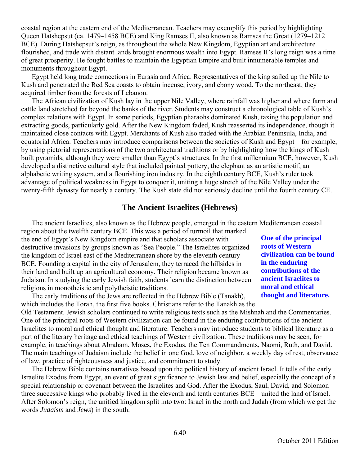coastal region at the eastern end of the Mediterranean. Teachers may exemplify this period by highlighting Queen Hatshepsut (ca. 1479–1458 BCE) and King Ramses II, also known as Ramses the Great (1279–1212 BCE). During Hatshepsut's reign, as throughout the whole New Kingdom, Egyptian art and architecture flourished, and trade with distant lands brought enormous wealth into Egypt. Ramses II's long reign was a time of great prosperity. He fought battles to maintain the Egyptian Empire and built innumerable temples and monuments throughout Egypt.

Egypt held long trade connections in Eurasia and Africa. Representatives of the king sailed up the Nile to Kush and penetrated the Red Sea coasts to obtain incense, ivory, and ebony wood. To the northeast, they acquired timber from the forests of Lebanon.

The African civilization of Kush lay in the upper Nile Valley, where rainfall was higher and where farm and cattle land stretched far beyond the banks of the river. Students may construct a chronological table of Kush's complex relations with Egypt. In some periods, Egyptian pharaohs dominated Kush, taxing the population and extracting goods, particularly gold. After the New Kingdom faded, Kush reasserted its independence, though it maintained close contacts with Egypt. Merchants of Kush also traded with the Arabian Peninsula, India, and equatorial Africa. Teachers may introduce comparisons between the societies of Kush and Egypt—for example, by using pictorial representations of the two architectural traditions or by highlighting how the kings of Kush built pyramids, although they were smaller than Egypt's structures. In the first millennium BCE, however, Kush developed a distinctive cultural style that included painted pottery, the elephant as an artistic motif, an alphabetic writing system, and a flourishing iron industry. In the eighth century BCE, Kush's ruler took advantage of political weakness in Egypt to conquer it, uniting a huge stretch of the Nile Valley under the twenty-fifth dynasty for nearly a century. The Kush state did not seriously decline until the fourth century CE.

#### **The Ancient Israelites (Hebrews)**

The ancient Israelites, also known as the Hebrew people, emerged in the eastern Mediterranean coastal

region about the twelfth century BCE. This was a period of turmoil that marked the end of Egypt's New Kingdom empire and that scholars associate with **One of the principal**<br>destructive invasions by groups known as "Sea People." The Israelites organized **roots of Western** destructive invasions by groups known as "Sea People." The Israelites organized **roots of Western**<br>the kingdom of Israel east of the Mediterranean shore by the eleventh century **civilization can be found** the kingdom of Israel east of the Mediterranean shore by the eleventh century **civilization can BCE** Founding a canital in the city of Jerusalem they terraced the hillsides in **in the enduring** BCE. Founding a capital in the city of Jerusalem, they terraced the hillsides in **in the enduring**<br>their land and built up an agricultural economy. Their religion became known as **contributions of the** their land and built up an agricultural economy. Their religion became known as **contributions of the**  Judaism. In studying the early Jewish faith, students learn the distinction between **ancient Israelites** to **ancient and explores** to *moral* and **ethical** religions in monotheistic and polytheistic traditions.

The early traditions of the Jews are reflected in the Hebrew Bible (Tanakh), **thought and literature.**  which includes the Torah, the first five books. Christians refer to the Tanakh as the

Old Testament. Jewish scholars continued to write religious texts such as the Mishnah and the Commentaries. One of the principal roots of Western civilization can be found in the enduring contributions of the ancient Israelites to moral and ethical thought and literature. Teachers may introduce students to biblical literature as a part of the literary heritage and ethical teachings of Western civilization. These traditions may be seen, for example, in teachings about Abraham, Moses, the Exodus, the Ten Commandments, Naomi, Ruth, and David. The main teachings of Judaism include the belief in one God, love of neighbor, a weekly day of rest, observance of law, practice of righteousness and justice, and commitment to study.

The Hebrew Bible contains narratives based upon the political history of ancient Israel. It tells of the early Israelite Exodus from Egypt, an event of great significance to Jewish law and belief, especially the concept of a special relationship or covenant between the Israelites and God. After the Exodus, Saul, David, and Solomon three successive kings who probably lived in the eleventh and tenth centuries BCE—united the land of Israel. After Solomon's reign, the unified kingdom split into two: Israel in the north and Judah (from which we get the words *Judaism* and *Jews*) in the south.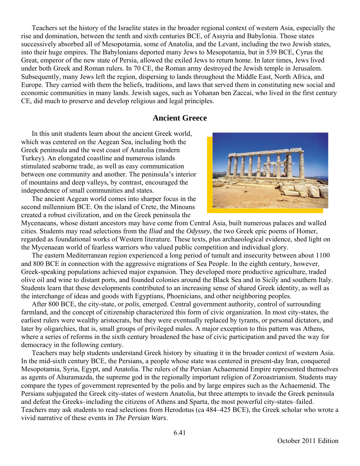Teachers set the history of the Israelite states in the broader regional context of western Asia, especially the rise and domination, between the tenth and sixth centuries BCE, of Assyria and Babylonia. Those states successively absorbed all of Mesopotamia, some of Anatolia, and the Levant, including the two Jewish states, into their huge empires. The Babylonians deported many Jews to Mesopotamia, but in 539 BCE, Cyrus the Great, emperor of the new state of Persia, allowed the exiled Jews to return home. In later times, Jews lived under both Greek and Roman rulers. In 70 CE, the Roman army destroyed the Jewish temple in Jerusalem. Subsequently, many Jews left the region, dispersing to lands throughout the Middle East, North Africa, and Europe. They carried with them the beliefs, traditions, and laws that served them in constituting new social and economic communities in many lands. Jewish sages, such as Yohanan ben Zaccai, who lived in the first century CE, did much to preserve and develop religious and legal principles.

#### **Ancient Greece**

In this unit students learn about the ancient Greek world, which was centered on the Aegean Sea, including both the Greek peninsula and the west coast of Anatolia (modern Turkey). An elongated coastline and numerous islands stimulated seaborne trade, as well as easy communication between one community and another. The peninsula's interior of mountains and deep valleys, by contrast, encouraged the independence of small communities and states.

The ancient Aegean world comes into sharper focus in the second millennium BCE. On the island of Crete, the Minoans created a robust civilization, and on the Greek peninsula the



Mycenaeans, whose distant ancestors may have come from Central Asia, built numerous palaces and walled cities. Students may read selections from the *Iliad* and the *Odyssey*, the two Greek epic poems of Homer, regarded as foundational works of Western literature. These texts, plus archaeological evidence, shed light on the Mycenaean world of fearless warriors who valued public competition and individual glory.

The eastern Mediterranean region experienced a long period of tumult and insecurity between about 1100 and 800 BCE in connection with the aggressive migrations of Sea People. In the eighth century, however, Greek-speaking populations achieved major expansion. They developed more productive agriculture, traded olive oil and wine to distant ports, and founded colonies around the Black Sea and in Sicily and southern Italy. Students learn that these developments contributed to an increasing sense of shared Greek identity, as well as the interchange of ideas and goods with Egyptians, Phoenicians, and other neighboring peoples.

After 800 BCE, the city-state, or *polis*, emerged. Central government authority, control of surrounding farmland, and the concept of citizenship characterized this form of civic organization. In most city-states, the earliest rulers were wealthy aristocrats, but they were eventually replaced by tyrants, or personal dictators, and later by oligarchies, that is, small groups of privileged males. A major exception to this pattern was Athens, where a series of reforms in the sixth century broadened the base of civic participation and paved the way for democracy in the following century.

Teachers may help students understand Greek history by situating it in the broader context of western Asia. In the mid-sixth century BCE, the Persians, a people whose state was centered in present-day Iran, conquered Mesopotamia, Syria, Egypt, and Anatolia. The rulers of the Persian Achaemenid Empire represented themselves as agents of Ahuramazda, the supreme god in the regionally important religion of Zoroastrianism. Students may compare the types of government represented by the polis and by large empires such as the Achaemenid. The Persians subjugated the Greek city-states of western Anatolia, but three attempts to invade the Greek peninsula and defeat the Greeks–including the citizens of Athens and Sparta, the most powerful city-states–failed. Teachers may ask students to read selections from Herodotus (ca 484–425 BCE), the Greek scholar who wrote a vivid narrative of these events in *The Persian Wars*.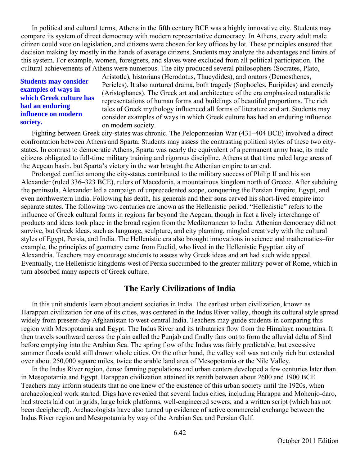In political and cultural terms, Athens in the fifth century BCE was a highly innovative city. Students may compare its system of direct democracy with modern representative democracy. In Athens, every adult male citizen could vote on legislation, and citizens were chosen for key offices by lot. These principles ensured that decision making lay mostly in the hands of average citizens. Students may analyze the advantages and limits of this system. For example, women, foreigners, and slaves were excluded from all political participation. The cultural achievements of Athens were numerous. The city produced several philosophers (Socrates, Plato,

Students may consider<br> **Examples of ways in**<br> **Examples of ways in**<br> **Examples of ways in**<br> **Examples of ways in**<br> **Examples of ways in**<br>
(Aristophanes). The Greek art and architecture of the era emphasized naturalistic<br>

Fighting between Greek city-states was chronic. The Peloponnesian War (431–404 BCE) involved a direct confrontation between Athens and Sparta. Students may assess the contrasting political styles of these two citystates. In contrast to democratic Athens, Sparta was nearly the equivalent of a permanent army base, its male citizens obligated to full-time military training and rigorous discipline. Athens at that time ruled large areas of the Aegean basin, but Sparta's victory in the war brought the Athenian empire to an end.

Prolonged conflict among the city-states contributed to the military success of Philip II and his son Alexander (ruled 336–323 BCE), rulers of Macedonia, a mountainous kingdom north of Greece. After subduing the peninsula, Alexander led a campaign of unprecedented scope, conquering the Persian Empire, Egypt, and even northwestern India. Following his death, his generals and their sons carved his short-lived empire into separate states. The following two centuries are known as the Hellenistic period. "Hellenistic" refers to the influence of Greek cultural forms in regions far beyond the Aegean, though in fact a lively interchange of products and ideas took place in the broad region from the Mediterranean to India. Athenian democracy did not survive, but Greek ideas, such as language, sculpture, and city planning, mingled creatively with the cultural styles of Egypt, Persia, and India. The Hellenistic era also brought innovations in science and mathematics–for example, the principles of geometry came from Euclid, who lived in the Hellenistic Egyptian city of Alexandria. Teachers may encourage students to assess why Greek ideas and art had such wide appeal. Eventually, the Hellenistic kingdoms west of Persia succumbed to the greater military power of Rome, which in turn absorbed many aspects of Greek culture.

#### **The Early Civilizations of India**

In this unit students learn about ancient societies in India. The earliest urban civilization, known as Harappan civilization for one of its cities, was centered in the Indus River valley, though its cultural style spread widely from present-day Afghanistan to west-central India. Teachers may guide students in comparing this region with Mesopotamia and Egypt. The Indus River and its tributaries flow from the Himalaya mountains. It then travels southward across the plain called the Punjab and finally fans out to form the alluvial delta of Sind before emptying into the Arabian Sea. The spring flow of the Indus was fairly predictable, but excessive summer floods could still drown whole cities. On the other hand, the valley soil was not only rich but extended over about 250,000 square miles, twice the arable land area of Mesopotamia or the Nile Valley.

In the Indus River region, dense farming populations and urban centers developed a few centuries later than in Mesopotamia and Egypt. Harappan civilization attained its zenith between about 2600 and 1900 BCE. Teachers may inform students that no one knew of the existence of this urban society until the 1920s, when archaeological work started. Digs have revealed that several Indus cities, including Harappa and Mohenjo-daro, had streets laid out in grids, large brick platforms, well-engineered sewers, and a written script (which has not been deciphered). Archaeologists have also turned up evidence of active commercial exchange between the Indus River region and Mesopotamia by way of the Arabian Sea and Persian Gulf.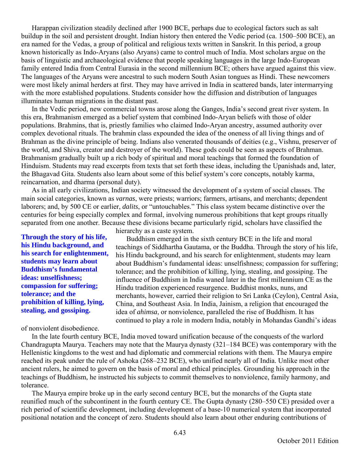Harappan civilization steadily declined after 1900 BCE, perhaps due to ecological factors such as salt buildup in the soil and persistent drought. Indian history then entered the Vedic period (ca. 1500–500 BCE), an era named for the Vedas, a group of political and religious texts written in Sanskrit. In this period, a group known historically as Indo-Aryans (also Aryans) came to control much of India. Most scholars argue on the basis of linguistic and archaeological evidence that people speaking languages in the large Indo-European family entered India from Central Eurasia in the second millennium BCE; others have argued against this view. The languages of the Aryans were ancestral to such modern South Asian tongues as Hindi. These newcomers were most likely animal herders at first. They may have arrived in India in scattered bands, later intermarrying with the more established populations. Students consider how the diffusion and distribution of languages illuminates human migrations in the distant past.

In the Vedic period, new commercial towns arose along the Ganges, India's second great river system. In this era, Brahmanism emerged as a belief system that combined Indo-Aryan beliefs with those of older populations. Brahmins, that is, priestly families who claimed Indo-Aryan ancestry, assumed authority over complex devotional rituals. The brahmin class expounded the idea of the oneness of all living things and of Brahman as the divine principle of being. Indians also venerated thousands of deities (e.g., Vishnu, preserver of the world, and Shiva, creator and destroyer of the world). These gods could be seen as aspects of Brahman. Brahmanism gradually built up a rich body of spiritual and moral teachings that formed the foundation of Hinduism. Students may read excerpts from texts that set forth these ideas, including the Upanishads and, later, the Bhagavad Gita. Students also learn about some of this belief system's core concepts, notably karma, reincarnation, and dharma (personal duty).

As in all early civilizations, Indian society witnessed the development of a system of social classes. The main social categories, known as *varnas*, were priests; warriors; farmers, artisans, and merchants; dependent laborers; and, by 500 CE or earlier, *dalits*, or "untouchables." This class system became distinctive over the centuries for being especially complex and formal, involving numerous prohibitions that kept groups ritually separated from one another. Because these divisions became particularly rigid, scholars have classified the

**Through the story of his life,** Buddhism emerged in the sixth century BCE in the life and moral<br> **his Hindu background, and**<br> **his search for enlightenment,** his Hindu background, and his search for enlightenment, student **Compassion for suffering:**<br> **EXECUTE:**<br> **EXECUTE:**<br> **EXECUTE:**<br> **EXECUTE:**<br> **EXECUTE:**<br> **EXECUTE:**<br> **EXECUTE:**<br> **EXECUTE:**<br> **EXECUTE:**<br> **EXECUTE:**<br> **EXECUTE:**<br> **EXECUTE:**<br> **EXECUTE:**<br> **EXECUTE:**<br> **EXECUTE:**<br> **EXECUTE:**<br> continued to play a role in modern India, notably in Mohandas Gandhi's ideas

#### of nonviolent disobedience.

In the late fourth century BCE, India moved toward unification because of the conquests of the warlord Chandragupta Maurya. Teachers may note that the Maurya dynasty (321–184 BCE) was contemporary with the Hellenistic kingdoms to the west and had diplomatic and commercial relations with them. The Maurya empire reached its peak under the rule of Ashoka (268–232 BCE), who unified nearly all of India. Unlike most other ancient rulers, he aimed to govern on the basis of moral and ethical principles. Grounding his approach in the teachings of Buddhism, he instructed his subjects to commit themselves to nonviolence, family harmony, and tolerance.

The Maurya empire broke up in the early second century BCE, but the monarchs of the Gupta state reunified much of the subcontinent in the fourth century CE. The Gupta dynasty (280–550 CE) presided over a rich period of scientific development, including development of a base-10 numerical system that incorporated positional notation and the concept of zero. Students should also learn about other enduring contributions of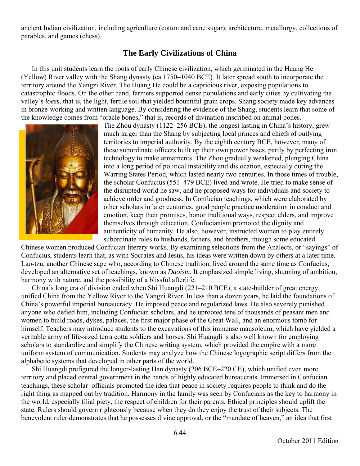ancient Indian civilization, including agriculture (cotton and cane sugar), architecture, metallurgy, collections of parables, and games (chess).

### **The Early Civilizations of China**

In this unit students learn the roots of early Chinese civilization, which germinated in the Huang He (Yellow) River valley with the Shang dynasty (ca.1750–1040 BCE). It later spread south to incorporate the territory around the Yangzi River. The Huang He could be a capricious river, exposing populations to catastrophic floods. On the other hand, farmers supported dense populations and early cities by cultivating the valley's *loess*, that is, the light, fertile soil that yielded bountiful grain crops. Shang society made key advances in bronze-working and written language. By considering the evidence of the Shang, students learn that some of the knowledge comes from "oracle bones," that is, records of divination inscribed on animal bones.



The Zhou dynasty (1122–256 BCE), the longest lasting in China's history, grew much larger than the Shang by subjecting local princes and chiefs of outlying territories to imperial authority. By the eighth century BCE, however, many of these subordinate officers built up their own power bases, partly by perfecting iron technology to make armaments. The Zhou gradually weakened, plunging China into a long period of political instability and dislocation, especially during the Warring States Period, which lasted nearly two centuries. In those times of trouble, the scholar Confucius (551–479 BCE) lived and wrote. He tried to make sense of the disrupted world he saw, and he proposed ways for individuals and society to achieve order and goodness. In Confucian teachings, which were elaborated by other scholars in later centuries, good people practice moderation in conduct and emotion, keep their promises, honor traditional ways, respect elders, and improve themselves through education. Confucianism promoted the dignity and authenticity of humanity. He also, however, instructed women to play entirely subordinate roles to husbands, fathers, and brothers, though some educated

Chinese women produced Confucian literary works. By examining selections from the Analects, or "sayings" of Confucius, students learn that, as with Socrates and Jesus, his ideas were written down by others at a later time. Lao-tzu, another Chinese sage who, according to Chinese tradition, lived around the same time as Confucius, developed an alternative set of teachings, known as *Daoism*. It emphasized simple living, shunning of ambition, harmony with nature, and the possibility of a blissful afterlife.

China's long era of division ended when Shi Huangdi (221–210 BCE), a state-builder of great energy, unified China from the Yellow River to the Yangzi River. In less than a dozen years, he laid the foundations of China's powerful imperial bureaucracy. He imposed peace and regularized laws. He also severely punished anyone who defied him, including Confucian scholars, and he uprooted tens of thousands of peasant men and women to build roads, dykes, palaces, the first major phase of the Great Wall, and an enormous tomb for himself. Teachers may introduce students to the excavations of this immense mausoleum, which have yielded a veritable army of life-sized terra cotta soldiers and horses. Shi Huangdi is also well known for employing scholars to standardize and simplify the Chinese writing system, which provided the empire with a more uniform system of communication. Students may analyze how the Chinese logographic script differs from the alphabetic systems that developed in other parts of the world.

Shi Huangdi prefigured the longer-lasting Han dynasty (206 BCE–220 CE), which unified even more territory and placed central government in the hands of highly educated bureaucrats. Immersed in Confucian teachings, these scholar–officials promoted the idea that peace in society requires people to think and do the right thing as mapped out by tradition. Harmony in the family was seen by Confucians as the key to harmony in the world, especially filial piety, the respect of children for their parents. Ethical principles should uplift the state. Rulers should govern righteously because when they do they enjoy the trust of their subjects. The benevolent ruler demonstrates that he possesses divine approval, or the "mandate of heaven," an idea that first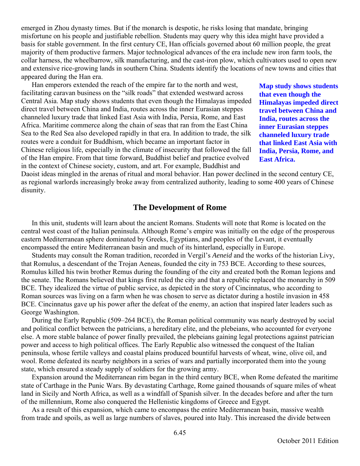emerged in Zhou dynasty times. But if the monarch is despotic, he risks losing that mandate, bringing misfortune on his people and justifiable rebellion. Students may query why this idea might have provided a basis for stable government. In the first century CE, Han officials governed about 60 million people, the great majority of them productive farmers. Major technological advances of the era include new iron farm tools, the collar harness, the wheelbarrow, silk manufacturing, and the cast-iron plow, which cultivators used to open new and extensive rice-growing lands in southern China. Students identify the locations of new towns and cities that appeared during the Han era.

Han emperors extended the reach of the empire far to the north and west, **Map study shows students** facilitating caravan business on the "silk roads" that extended westward across **that even though the**  Central Asia. Map study shows students that even though the Himalayas impeded **Himalayas impeded direct** direct travel between China and India, routes across the inner Eurasian steppes **travel between China and** channeled luxury trade that linked East Asia with India, Persia, Rome, and East **India, routes across the** Africa. Maritime commerce along the chain of seas that ran from the East China **inner Eurasian steppes** Sea to the Red Sea also developed rapidly in that era. In addition to trade, the silk channeled luxury trade routes were a conduit for Buddhism, which became an important factor in **that linked East Asia with** Chinese religious life, especially in the climate of insecurity that followed the fall **India, Persia, Rome, and** of the Han empire. From that time forward, Buddhist belief and practice evolved **East Africa.** in the context of Chinese society, custom, and art. For example, Buddhist and

Daoist ideas mingled in the arenas of ritual and moral behavior. Han power declined in the second century CE, as regional warlords increasingly broke away from centralized authority, leading to some 400 years of Chinese disunity.

#### **The Development of Rome**

In this unit, students will learn about the ancient Romans. Students will note that Rome is located on the central west coast of the Italian peninsula. Although Rome's empire was initially on the edge of the prosperous eastern Mediterranean sphere dominated by Greeks, Egyptians, and peoples of the Levant, it eventually encompassed the entire Mediterranean basin and much of its hinterland, especially in Europe.

Students may consult the Roman tradition, recorded in Vergil's *Aeneid* and the works of the historian Livy, that Romulus, a descendant of the Trojan Aeneas, founded the city in 753 BCE. According to these sources, Romulus killed his twin brother Remus during the founding of the city and created both the Roman legions and the senate. The Romans believed that kings first ruled the city and that a republic replaced the monarchy in 509 BCE. They idealized the virtue of public service, as depicted in the story of Cincinnatus, who according to Roman sources was living on a farm when he was chosen to serve as dictator during a hostile invasion in 458 BCE. Cincinnatus gave up his power after the defeat of the enemy, an action that inspired later leaders such as George Washington.

During the Early Republic (509–264 BCE), the Roman political community was nearly destroyed by social and political conflict between the patricians, a hereditary elite, and the plebeians, who accounted for everyone else. A more stable balance of power finally prevailed, the plebeians gaining legal protections against patrician power and access to high political offices. The Early Republic also witnessed the conquest of the Italian peninsula, whose fertile valleys and coastal plains produced bountiful harvests of wheat, wine, olive oil, and wool. Rome defeated its nearby neighbors in a series of wars and partially incorporated them into the young state, which ensured a steady supply of soldiers for the growing army.

Expansion around the Mediterranean rim began in the third century BCE, when Rome defeated the maritime state of Carthage in the Punic Wars. By devastating Carthage, Rome gained thousands of square miles of wheat land in Sicily and North Africa, as well as a windfall of Spanish silver. In the decades before and after the turn of the millennium, Rome also conquered the Hellenistic kingdoms of Greece and Egypt.

As a result of this expansion, which came to encompass the entire Mediterranean basin, massive wealth from trade and spoils, as well as large numbers of slaves, poured into Italy. This increased the divide between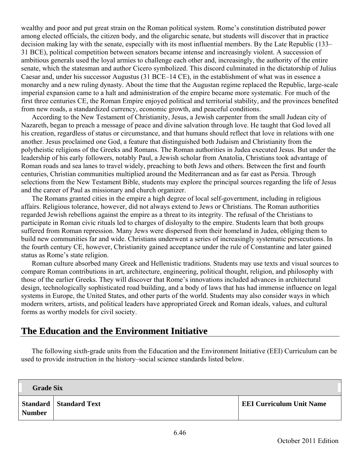wealthy and poor and put great strain on the Roman political system. Rome's constitution distributed power among elected officials, the citizen body, and the oligarchic senate, but students will discover that in practice decision making lay with the senate, especially with its most influential members. By the Late Republic (133– 31 BCE), political competition between senators became intense and increasingly violent. A succession of ambitious generals used the loyal armies to challenge each other and, increasingly, the authority of the entire senate, which the statesman and author Cicero symbolized. This discord culminated in the dictatorship of Julius Caesar and, under his successor Augustus (31 BCE–14 CE), in the establishment of what was in essence a monarchy and a new ruling dynasty. About the time that the Augustan regime replaced the Republic, large-scale imperial expansion came to a halt and administration of the empire became more systematic. For much of the first three centuries CE, the Roman Empire enjoyed political and territorial stability, and the provinces benefited from new roads, a standardized currency, economic growth, and peaceful conditions.

According to the New Testament of Christianity, Jesus, a Jewish carpenter from the small Judean city of Nazareth, began to preach a message of peace and divine salvation through love. He taught that God loved all his creation, regardless of status or circumstance, and that humans should reflect that love in relations with one another. Jesus proclaimed one God, a feature that distinguished both Judaism and Christianity from the polytheistic religions of the Greeks and Romans. The Roman authorities in Judea executed Jesus. But under the leadership of his early followers, notably Paul, a Jewish scholar from Anatolia, Christians took advantage of Roman roads and sea lanes to travel widely, preaching to both Jews and others. Between the first and fourth centuries, Christian communities multiplied around the Mediterranean and as far east as Persia. Through selections from the New Testament Bible, students may explore the principal sources regarding the life of Jesus and the career of Paul as missionary and church organizer.

The Romans granted cities in the empire a high degree of local self-government, including in religious affairs. Religious tolerance, however, did not always extend to Jews or Christians. The Roman authorities regarded Jewish rebellions against the empire as a threat to its integrity. The refusal of the Christians to participate in Roman civic rituals led to charges of disloyalty to the empire. Students learn that both groups suffered from Roman repression. Many Jews were dispersed from their homeland in Judea, obliging them to build new communities far and wide. Christians underwent a series of increasingly systematic persecutions. In the fourth century CE, however, Christianity gained acceptance under the rule of Constantine and later gained status as Rome's state religion.

Roman culture absorbed many Greek and Hellenistic traditions. Students may use texts and visual sources to compare Roman contributions in art, architecture, engineering, political thought, religion, and philosophy with those of the earlier Greeks. They will discover that Rome's innovations included advances in architectural design, technologically sophisticated road building, and a body of laws that has had immense influence on legal systems in Europe, the United States, and other parts of the world. Students may also consider ways in which modern writers, artists, and political leaders have appropriated Greek and Roman ideals, values, and cultural forms as worthy models for civil society.

## **The Education and the Environment Initiative**

The following sixth-grade units from the Education and the Environment Initiative (EEI) Curriculum can be used to provide instruction in the history–social science standards listed below.

| <b>Grade Six</b> |                                 |                                 |  |  |  |
|------------------|---------------------------------|---------------------------------|--|--|--|
| <b>Number</b>    | <b>Standard   Standard Text</b> | <b>EEI Curriculum Unit Name</b> |  |  |  |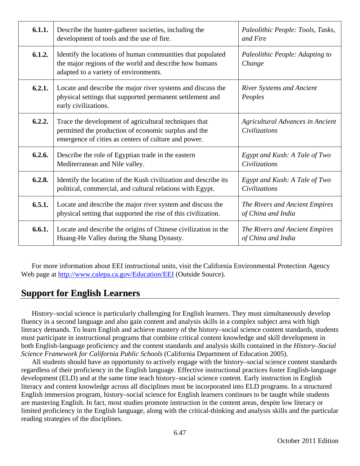| 6.1.1. | Describe the hunter-gatherer societies, including the<br>development of tools and the use of fire.                                                                    | Paleolithic People: Tools, Tasks,<br>and Fire            |
|--------|-----------------------------------------------------------------------------------------------------------------------------------------------------------------------|----------------------------------------------------------|
| 6.1.2. | Identify the locations of human communities that populated<br>the major regions of the world and describe how humans<br>adapted to a variety of environments.         | Paleolithic People: Adapting to<br>Change                |
| 6.2.1. | Locate and describe the major river systems and discuss the<br>physical settings that supported permanent settlement and<br>early civilizations.                      | <b>River Systems and Ancient</b><br>Peoples              |
| 6.2.2. | Trace the development of agricultural techniques that<br>permitted the production of economic surplus and the<br>emergence of cities as centers of culture and power. | <b>Agricultural Advances in Ancient</b><br>Civilizations |
| 6.2.6. | Describe the role of Egyptian trade in the eastern<br>Mediterranean and Nile valley.                                                                                  | Egypt and Kush: A Tale of Two<br>Civilizations           |
| 6.2.8. | Identify the location of the Kush civilization and describe its<br>political, commercial, and cultural relations with Egypt.                                          | Egypt and Kush: A Tale of Two<br>Civilizations           |
| 6.5.1. | Locate and describe the major river system and discuss the<br>physical setting that supported the rise of this civilization.                                          | The Rivers and Ancient Empires<br>of China and India     |
| 6.6.1. | Locate and describe the origins of Chinese civilization in the<br>Huang-He Valley during the Shang Dynasty.                                                           | The Rivers and Ancient Empires<br>of China and India     |

 For more information about EEI instructional units, visit the California Environmental Protection Agency Web page at http://www.calepa.ca.gov/Education/EEI (Outside Source).

## **Support for English Learners**

History–social science is particularly challenging for English learners. They must simultaneously develop fluency in a second language and also gain content and analysis skills in a complex subject area with high literacy demands. To learn English and achieve mastery of the history–social science content standards, students must participate in instructional programs that combine critical content knowledge and skill development in both English-language proficiency and the content standards and analysis skills contained in the *History–Social Science Framework for California Public Schools* (California Department of Education 2005).

All students should have an opportunity to actively engage with the history–social science content standards regardless of their proficiency in the English language. Effective instructional practices foster English-language development (ELD) and at the same time teach history–social science content. Early instruction in English literacy and content knowledge across all disciplines must be incorporated into ELD programs. In a structured English immersion program, history–social science for English learners continues to be taught while students are mastering English. In fact, most studies promote instruction in the content areas, despite low literacy or limited proficiency in the English language, along with the critical-thinking and analysis skills and the particular reading strategies of the disciplines.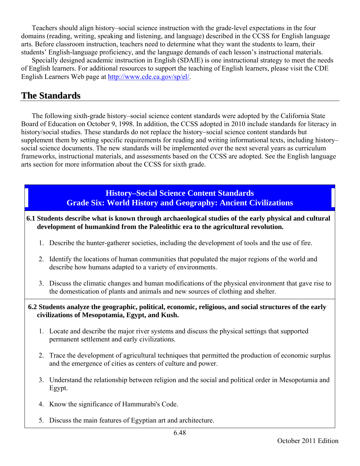Teachers should align history–social science instruction with the grade-level expectations in the four domains (reading, writing, speaking and listening, and language) described in the CCSS for English language arts*.* Before classroom instruction, teachers need to determine what they want the students to learn, their students' English-language proficiency, and the language demands of each lesson's instructional materials.

Specially designed academic instruction in English (SDAIE) is one instructional strategy to meet the needs of English learners. For additional resources to support the teaching of English learners, please visit the CDE English Learners Web page at http://www.cde.ca.gov/sp/el/.

## **The Standards**

The following sixth-grade history–social science content standards were adopted by the California State Board of Education on October 9, 1998. In addition, the CCSS adopted in 2010 include standards for literacy in history/social studies. These standards do not replace the history–social science content standards but supplement them by setting specific requirements for reading and writing informational texts, including history– social science documents. The new standards will be implemented over the next several years as curriculum frameworks, instructional materials, and assessments based on the CCSS are adopted. See the English language arts section for more information about the CCSS for sixth grade.

### **History–Social Science Content Standards Grade Six: World History and Geography: Ancient Civilizations**

**6.1 Students describe what is known through archaeological studies of the early physical and cultural development of humankind from the Paleolithic era to the agricultural revolution.** 

- 1. Describe the hunter-gatherer societies, including the development of tools and the use of fire.
- 2. Identify the locations of human communities that populated the major regions of the world and describe how humans adapted to a variety of environments.
- 3. Discuss the climatic changes and human modifications of the physical environment that gave rise to the domestication of plants and animals and new sources of clothing and shelter.

**6.2 Students analyze the geographic, political, economic, religious, and social structures of the early civilizations of Mesopotamia, Egypt, and Kush.** 

- 1. Locate and describe the major river systems and discuss the physical settings that supported permanent settlement and early civilizations.
- 2. Trace the development of agricultural techniques that permitted the production of economic surplus and the emergence of cities as centers of culture and power.
- 3. Understand the relationship between religion and the social and political order in Mesopotamia and Egypt.
- 4. Know the significance of Hammurabi's Code.
- 5. Discuss the main features of Egyptian art and architecture.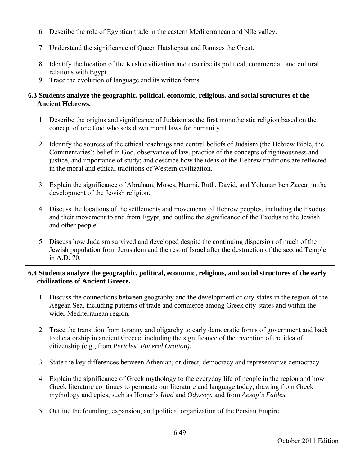- 6. Describe the role of Egyptian trade in the eastern Mediterranean and Nile valley.
- 7. Understand the significance of Queen Hatshepsut and Ramses the Great.
- 8. Identify the location of the Kush civilization and describe its political, commercial, and cultural relations with Egypt.
- 9. Trace the evolution of language and its written forms.

### **6.3 Students analyze the geographic, political, economic, religious, and social structures of the Ancient Hebrews.**

- 1. Describe the origins and significance of Judaism as the first monotheistic religion based on the concept of one God who sets down moral laws for humanity.
- 2. Identify the sources of the ethical teachings and central beliefs of Judaism (the Hebrew Bible, the Commentaries): belief in God, observance of law, practice of the concepts of righteousness and justice, and importance of study; and describe how the ideas of the Hebrew traditions are reflected in the moral and ethical traditions of Western civilization.
- 3. Explain the significance of Abraham, Moses, Naomi, Ruth, David, and Yohanan ben Zaccai in the development of the Jewish religion.
- 4. Discuss the locations of the settlements and movements of Hebrew peoples, including the Exodus and their movement to and from Egypt, and outline the significance of the Exodus to the Jewish and other people.
- 5. Discuss how Judaism survived and developed despite the continuing dispersion of much of the Jewish population from Jerusalem and the rest of Israel after the destruction of the second Temple in A.D. 70.

### **6.4 Students analyze the geographic, political, economic, religious, and social structures of the early civilizations of Ancient Greece.**

- 1. Discuss the connections between geography and the development of city-states in the region of the Aegean Sea, including patterns of trade and commerce among Greek city-states and within the wider Mediterranean region.
- 2. Trace the transition from tyranny and oligarchy to early democratic forms of government and back to dictatorship in ancient Greece, including the significance of the invention of the idea of citizenship (e.g., from *Pericles' Funeral Oration).*
- 3. State the key differences between Athenian, or direct, democracy and representative democracy.
- 4. Explain the significance of Greek mythology to the everyday life of people in the region and how Greek literature continues to permeate our literature and language today, drawing from Greek mythology and epics, such as Homer's *Iliad* and *Odyssey,* and from *Aesop's Fables.*
- 5. Outline the founding, expansion, and political organization of the Persian Empire.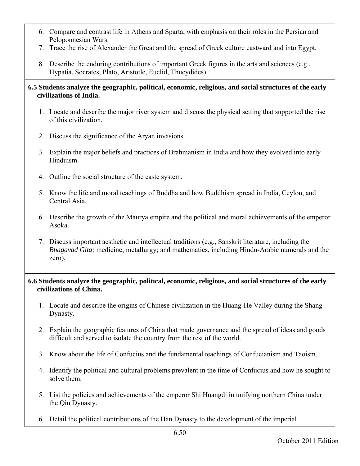- 6. Compare and contrast life in Athens and Sparta, with emphasis on their roles in the Persian and Peloponnesian Wars.
- 7. Trace the rise of Alexander the Great and the spread of Greek culture eastward and into Egypt.
- 8. Describe the enduring contributions of important Greek figures in the arts and sciences (e.g., Hypatia, Socrates, Plato, Aristotle, Euclid, Thucydides).

**6.5 Students analyze the geographic, political, economic, religious, and social structures of the early civilizations of India.** 

- 1. Locate and describe the major river system and discuss the physical setting that supported the rise of this civilization.
- 2. Discuss the significance of the Aryan invasions.
- 3. Explain the major beliefs and practices of Brahmanism in India and how they evolved into early Hinduism.
- 4. Outline the social structure of the caste system.
- 5. Know the life and moral teachings of Buddha and how Buddhism spread in India, Ceylon, and Central Asia.
- 6. Describe the growth of the Maurya empire and the political and moral achievements of the emperor Asoka.
- 7. Discuss important aesthetic and intellectual traditions (e.g., Sanskrit literature, including the *Bhagavad Gita;* medicine; metallurgy; and mathematics, including Hindu-Arabic numerals and the zero).

**6.6 Students analyze the geographic, political, economic, religious, and social structures of the early civilizations of China.** 

- 1. Locate and describe the origins of Chinese civilization in the Huang-He Valley during the Shang Dynasty.
- 2. Explain the geographic features of China that made governance and the spread of ideas and goods difficult and served to isolate the country from the rest of the world.
- 3. Know about the life of Confucius and the fundamental teachings of Confucianism and Taoism.
- 4. Identify the political and cultural problems prevalent in the time of Confucius and how he sought to solve them.
- 5. List the policies and achievements of the emperor Shi Huangdi in unifying northern China under the Qin Dynasty.
- 6. Detail the political contributions of the Han Dynasty to the development of the imperial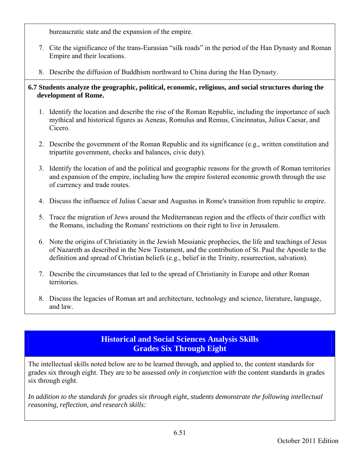bureaucratic state and the expansion of the empire.

- 7. Cite the significance of the trans-Eurasian "silk roads" in the period of the Han Dynasty and Roman Empire and their locations.
- 8. Describe the diffusion of Buddhism northward to China during the Han Dynasty.
- **6.7 Students analyze the geographic, political, economic, religious, and social structures during the development of Rome.** 
	- 1. Identify the location and describe the rise of the Roman Republic, including the importance of such mythical and historical figures as Aeneas, Romulus and Remus, Cincinnatus, Julius Caesar, and Cicero.
	- 2. Describe the government of the Roman Republic and its significance (e.g., written constitution and tripartite government, checks and balances, civic duty).
	- 3. Identify the location of and the political and geographic reasons for the growth of Roman territories and expansion of the empire, including how the empire fostered economic growth through the use of currency and trade routes.
	- 4. Discuss the influence of Julius Caesar and Augustus in Rome's transition from republic to empire.
	- 5. Trace the migration of Jews around the Mediterranean region and the effects of their conflict with the Romans, including the Romans' restrictions on their right to live in Jerusalem.
	- 6. Note the origins of Christianity in the Jewish Messianic prophecies, the life and teachings of Jesus of Nazareth as described in the New Testament, and the contribution of St. Paul the Apostle to the definition and spread of Christian beliefs (e.g., belief in the Trinity, resurrection, salvation).
	- 7. Describe the circumstances that led to the spread of Christianity in Europe and other Roman territories.
	- 8. Discuss the legacies of Roman art and architecture, technology and science, literature, language, and law.

### **Historical and Social Sciences Analysis Skills Grades Six Through Eight**

The intellectual skills noted below are to be learned through, and applied to, the content standards for grades six through eight. They are to be assessed *only in conjunction with* the content standards in grades six through eight.

*In addition to the standards for grades six through eight, students demonstrate the following intellectual reasoning, reflection, and research skills:*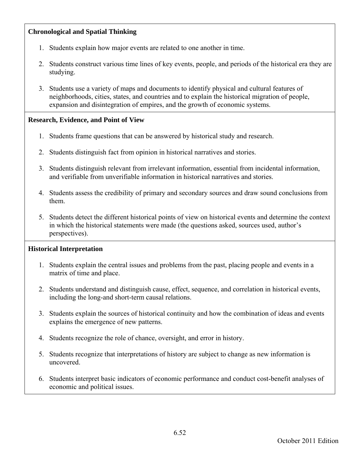### **Chronological and Spatial Thinking**

- 1. Students explain how major events are related to one another in time.
- 2. Students construct various time lines of key events, people, and periods of the historical era they are studying.
- 3. Students use a variety of maps and documents to identify physical and cultural features of neighborhoods, cities, states, and countries and to explain the historical migration of people, expansion and disintegration of empires, and the growth of economic systems.

#### **Research, Evidence, and Point of View**

- 1. Students frame questions that can be answered by historical study and research.
- 2. Students distinguish fact from opinion in historical narratives and stories.
- 3. Students distinguish relevant from irrelevant information, essential from incidental information, and verifiable from unverifiable information in historical narratives and stories.
- 4. Students assess the credibility of primary and secondary sources and draw sound conclusions from them.
- 5. Students detect the different historical points of view on historical events and determine the context in which the historical statements were made (the questions asked, sources used, author's perspectives).

#### **Historical Interpretation**

- 1. Students explain the central issues and problems from the past, placing people and events in a matrix of time and place.
- 2. Students understand and distinguish cause, effect, sequence, and correlation in historical events, including the long-and short-term causal relations.
- 3. Students explain the sources of historical continuity and how the combination of ideas and events explains the emergence of new patterns.
- 4. Students recognize the role of chance, oversight, and error in history.
- 5. Students recognize that interpretations of history are subject to change as new information is uncovered.
- 6. Students interpret basic indicators of economic performance and conduct cost-benefit analyses of economic and political issues.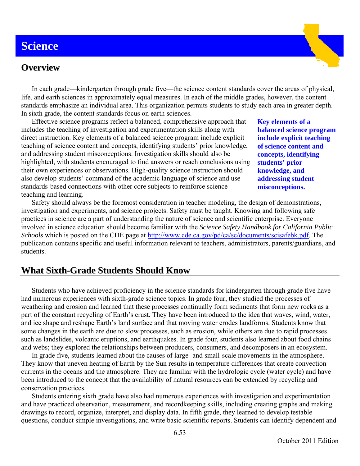# **Science**

## **Overview**

In each grade—kindergarten through grade five—the science content standards cover the areas of physical, life, and earth sciences in approximately equal measures. In each of the middle grades, however, the content standards emphasize an individual area. This organization permits students to study each area in greater depth. In sixth grade, the content standards focus on earth sciences.

Effective science programs reflect a balanced, comprehensive approach that **Key elements of a** includes the teaching of investigation and experimentation skills along with **balanced science program**  direct instruction. Key elements of a balanced science program include explicit **include explicit teaching**  teaching of science content and concepts, identifying students' prior knowledge, **of science content and**  and addressing student misconceptions. Investigation skills should also be **concepts, identifying** highlighted, with students encouraged to find answers or reach conclusions using **students' prior**  their own experiences or observations. High-quality science instruction should **knowledge, and**  also develop students' command of the academic language of science and use **addressing student**  standards-based connections with other core subjects to reinforce science **misconceptions.**  teaching and learning.

Safety should always be the foremost consideration in teacher modeling, the design of demonstrations, investigation and experiments, and science projects. Safety must be taught. Knowing and following safe practices in science are a part of understanding the nature of science and scientific enterprise. Everyone involved in science education should become familiar with the *Science Safety Handbook for California Public Schools* which is posted on the CDE page at http://www.cde.ca.gov/pd/ca/sc/documents/scisafebk.pdf. The publication contains specific and useful information relevant to teachers, administrators, parents/guardians, and students.

## **What Sixth-Grade Students Should Know**

Students who have achieved proficiency in the science standards for kindergarten through grade five have had numerous experiences with sixth-grade science topics. In grade four, they studied the processes of weathering and erosion and learned that these processes continually form sediments that form new rocks as a part of the constant recycling of Earth's crust. They have been introduced to the idea that waves, wind, water, and ice shape and reshape Earth's land surface and that moving water erodes landforms. Students know that some changes in the earth are due to slow processes, such as erosion, while others are due to rapid processes such as landslides, volcanic eruptions, and earthquakes. In grade four, students also learned about food chains and webs; they explored the relationships between producers, consumers, and decomposers in an ecosystem.

In grade five, students learned about the causes of large- and small-scale movements in the atmosphere. They know that uneven heating of Earth by the Sun results in temperature differences that create convection currents in the oceans and the atmosphere. They are familiar with the hydrologic cycle (water cycle) and have been introduced to the concept that the availability of natural resources can be extended by recycling and conservation practices.

Students entering sixth grade have also had numerous experiences with investigation and experimentation and have practiced observation, measurement, and recordkeeping skills, including creating graphs and making drawings to record, organize, interpret, and display data. In fifth grade, they learned to develop testable questions, conduct simple investigations, and write basic scientific reports. Students can identify dependent and

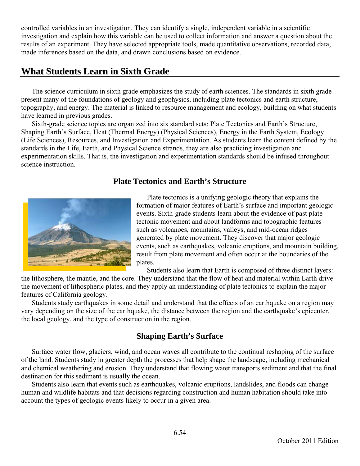controlled variables in an investigation. They can identify a single, independent variable in a scientific investigation and explain how this variable can be used to collect information and answer a question about the results of an experiment. They have selected appropriate tools, made quantitative observations, recorded data, made inferences based on the data, and drawn conclusions based on evidence.

## **What Students Learn in Sixth Grade**

The science curriculum in sixth grade emphasizes the study of earth sciences. The standards in sixth grade present many of the foundations of geology and geophysics, including plate tectonics and earth structure, topography, and energy. The material is linked to resource management and ecology, building on what students have learned in previous grades.

Sixth-grade science topics are organized into six standard sets: Plate Tectonics and Earth's Structure, Shaping Earth's Surface, Heat (Thermal Energy) (Physical Sciences), Energy in the Earth System, Ecology (Life Sciences), Resources, and Investigation and Experimentation. As students learn the content defined by the standards in the Life, Earth, and Physical Science strands, they are also practicing investigation and experimentation skills. That is, the investigation and experimentation standards should be infused throughout science instruction.

### **Plate Tectonics and Earth's Structure**



Plate tectonics is a unifying geologic theory that explains the formation of major features of Earth's surface and important geologic events. Sixth-grade students learn about the evidence of past plate tectonic movement and about landforms and topographic features such as volcanoes, mountains, valleys, and mid-ocean ridges generated by plate movement. They discover that major geologic events, such as earthquakes, volcanic eruptions, and mountain building, result from plate movement and often occur at the boundaries of the plates.

Students also learn that Earth is composed of three distinct layers:

the lithosphere, the mantle, and the core. They understand that the flow of heat and material within Earth drive the movement of lithospheric plates, and they apply an understanding of plate tectonics to explain the major features of California geology.

Students study earthquakes in some detail and understand that the effects of an earthquake on a region may vary depending on the size of the earthquake, the distance between the region and the earthquake's epicenter, the local geology, and the type of construction in the region.

### **Shaping Earth's Surface**

Surface water flow, glaciers, wind, and ocean waves all contribute to the continual reshaping of the surface of the land. Students study in greater depth the processes that help shape the landscape, including mechanical and chemical weathering and erosion. They understand that flowing water transports sediment and that the final destination for this sediment is usually the ocean.

Students also learn that events such as earthquakes, volcanic eruptions, landslides, and floods can change human and wildlife habitats and that decisions regarding construction and human habitation should take into account the types of geologic events likely to occur in a given area.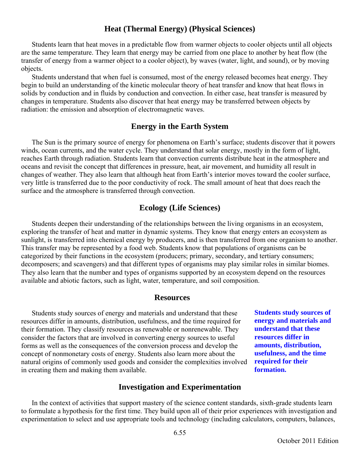### **Heat (Thermal Energy) (Physical Sciences)**

Students learn that heat moves in a predictable flow from warmer objects to cooler objects until all objects are the same temperature. They learn that energy may be carried from one place to another by heat flow (the transfer of energy from a warmer object to a cooler object), by waves (water, light, and sound), or by moving objects.

Students understand that when fuel is consumed, most of the energy released becomes heat energy. They begin to build an understanding of the kinetic molecular theory of heat transfer and know that heat flows in solids by conduction and in fluids by conduction and convection. In either case, heat transfer is measured by changes in temperature. Students also discover that heat energy may be transferred between objects by radiation: the emission and absorption of electromagnetic waves.

#### **Energy in the Earth System**

The Sun is the primary source of energy for phenomena on Earth's surface; students discover that it powers winds, ocean currents, and the water cycle. They understand that solar energy, mostly in the form of light, reaches Earth through radiation. Students learn that convection currents distribute heat in the atmosphere and oceans and revisit the concept that differences in pressure, heat, air movement, and humidity all result in changes of weather. They also learn that although heat from Earth's interior moves toward the cooler surface, very little is transferred due to the poor conductivity of rock. The small amount of heat that does reach the surface and the atmosphere is transferred through convection.

### **Ecology (Life Sciences)**

Students deepen their understanding of the relationships between the living organisms in an ecosystem, exploring the transfer of heat and matter in dynamic systems. They know that energy enters an ecosystem as sunlight, is transferred into chemical energy by producers, and is then transferred from one organism to another. This transfer may be represented by a food web. Students know that populations of organisms can be categorized by their functions in the ecosystem (producers; primary, secondary, and tertiary consumers; decomposers; and scavengers) and that different types of organisms may play similar roles in similar biomes. They also learn that the number and types of organisms supported by an ecosystem depend on the resources available and abiotic factors, such as light, water, temperature, and soil composition.

#### **Resources**

Students study sources of energy and materials and understand that these resources differ in amounts, distribution, usefulness, and the time required for their formation. They classify resources as renewable or nonrenewable. They consider the factors that are involved in converting energy sources to useful forms as well as the consequences of the conversion process and develop the concept of nonmonetary costs of energy. Students also learn more about the natural origins of commonly used goods and consider the complexities involved in creating them and making them available.

**Students study sources of energy and materials and understand that these resources differ in amounts, distribution, usefulness, and the time required for their formation.** 

#### **Investigation and Experimentation**

In the context of activities that support mastery of the science content standards, sixth-grade students learn to formulate a hypothesis for the first time. They build upon all of their prior experiences with investigation and experimentation to select and use appropriate tools and technology (including calculators, computers, balances,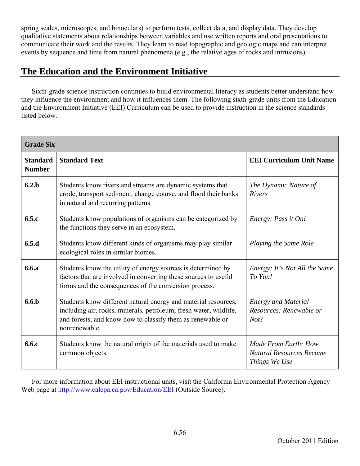spring scales, microscopes, and binoculars) to perform tests, collect data, and display data. They develop qualitative statements about relationships between variables and use written reports and oral presentations to communicate their work and the results. They learn to read topographic and geologic maps and can interpret events by sequence and time from natural phenomena (e.g., the relative ages of rocks and intrusions).

## **The Education and the Environment Initiative**

Sixth-grade science instruction continues to build environmental literacy as students better understand how they influence the environment and how it influences them. The following sixth-grade units from the Education and the Environment Initiative (EEI) Curriculum can be used to provide instruction in the science standards listed below.

| <b>Grade Six</b>                 |                                                                                                                                                                                                                    |                                                                          |  |  |  |
|----------------------------------|--------------------------------------------------------------------------------------------------------------------------------------------------------------------------------------------------------------------|--------------------------------------------------------------------------|--|--|--|
| <b>Standard</b><br><b>Number</b> | <b>Standard Text</b>                                                                                                                                                                                               | <b>EEI Curriculum Unit Name</b>                                          |  |  |  |
| 6.2.b                            | Students know rivers and streams are dynamic systems that<br>erode, transport sediment, change course, and flood their banks<br>in natural and recurring patterns.                                                 | The Dynamic Nature of<br>Rivers                                          |  |  |  |
| 6.5.c                            | Students know populations of organisms can be categorized by<br>the functions they serve in an ecosystem.                                                                                                          | Energy: Pass it On!                                                      |  |  |  |
| 6.5.d                            | Students know different kinds of organisms may play similar<br>ecological roles in similar biomes.                                                                                                                 | Playing the Same Role                                                    |  |  |  |
| 6.6.a                            | Students know the utility of energy sources is determined by<br>factors that are involved in converting these sources to useful<br>forms and the consequences of the conversion process.                           | Energy: It's Not All the Same<br>To You!                                 |  |  |  |
| 6.6 <sub>b</sub>                 | Students know different natural energy and material resources,<br>including air, rocks, minerals, petroleum, fresh water, wildlife,<br>and forests, and know how to classify them as renewable or<br>nonrenewable. | <b>Energy and Material</b><br>Resources: Renewable or<br>Not?            |  |  |  |
| 6.6.c                            | Students know the natural origin of the materials used to make<br>common objects.                                                                                                                                  | Made From Earth: How<br><b>Natural Resources Become</b><br>Things We Use |  |  |  |

For more information about EEI instructional units, visit the California Environmental Protection Agency Web page at http://www.calepa.ca.gov/Education/EEI (Outside Source).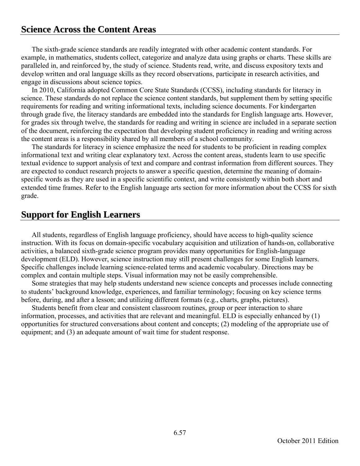## **Science Across the Content Areas**

The sixth-grade science standards are readily integrated with other academic content standards. For example, in mathematics, students collect, categorize and analyze data using graphs or charts. These skills are paralleled in, and reinforced by, the study of science. Students read, write, and discuss expository texts and develop written and oral language skills as they record observations, participate in research activities, and engage in discussions about science topics.

In 2010, California adopted Common Core State Standards (CCSS), including standards for literacy in science. These standards do not replace the science content standards, but supplement them by setting specific requirements for reading and writing informational texts, including science documents. For kindergarten through grade five, the literacy standards are embedded into the standards for English language arts. However, for grades six through twelve, the standards for reading and writing in science are included in a separate section of the document, reinforcing the expectation that developing student proficiency in reading and writing across the content areas is a responsibility shared by all members of a school community.

The standards for literacy in science emphasize the need for students to be proficient in reading complex informational text and writing clear explanatory text. Across the content areas, students learn to use specific textual evidence to support analysis of text and compare and contrast information from different sources. They are expected to conduct research projects to answer a specific question, determine the meaning of domainspecific words as they are used in a specific scientific context, and write consistently within both short and extended time frames. Refer to the English language arts section for more information about the CCSS for sixth grade.

### **Support for English Learners**

All students, regardless of English language proficiency, should have access to high-quality science instruction. With its focus on domain-specific vocabulary acquisition and utilization of hands-on, collaborative activities, a balanced sixth-grade science program provides many opportunities for English-language development (ELD). However, science instruction may still present challenges for some English learners. Specific challenges include learning science-related terms and academic vocabulary. Directions may be complex and contain multiple steps. Visual information may not be easily comprehensible.

Some strategies that may help students understand new science concepts and processes include connecting to students' background knowledge, experiences, and familiar terminology; focusing on key science terms before, during, and after a lesson; and utilizing different formats (e.g., charts, graphs, pictures).

Students benefit from clear and consistent classroom routines, group or peer interaction to share information, processes, and activities that are relevant and meaningful. ELD is especially enhanced by (1) opportunities for structured conversations about content and concepts; (2) modeling of the appropriate use of equipment; and (3) an adequate amount of wait time for student response.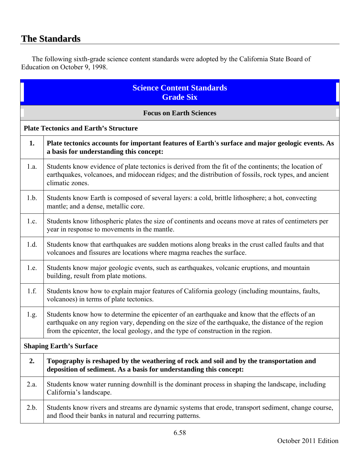# **The Standards**

The following sixth-grade science content standards were adopted by the California State Board of Education on October 9, 1998.

|      | <b>Science Content Standards</b><br><b>Grade Six</b>                                                                                                                                                                                                                                      |  |  |  |  |
|------|-------------------------------------------------------------------------------------------------------------------------------------------------------------------------------------------------------------------------------------------------------------------------------------------|--|--|--|--|
|      | <b>Focus on Earth Sciences</b>                                                                                                                                                                                                                                                            |  |  |  |  |
|      | <b>Plate Tectonics and Earth's Structure</b>                                                                                                                                                                                                                                              |  |  |  |  |
| 1.   | Plate tectonics accounts for important features of Earth's surface and major geologic events. As<br>a basis for understanding this concept:                                                                                                                                               |  |  |  |  |
| 1.a. | Students know evidence of plate tectonics is derived from the fit of the continents; the location of<br>earthquakes, volcanoes, and midocean ridges; and the distribution of fossils, rock types, and ancient<br>climatic zones.                                                          |  |  |  |  |
| 1.b. | Students know Earth is composed of several layers: a cold, brittle lithosphere; a hot, convecting<br>mantle; and a dense, metallic core.                                                                                                                                                  |  |  |  |  |
| 1.c. | Students know lithospheric plates the size of continents and oceans move at rates of centimeters per<br>year in response to movements in the mantle.                                                                                                                                      |  |  |  |  |
| 1.d. | Students know that earthquakes are sudden motions along breaks in the crust called faults and that<br>volcanoes and fissures are locations where magma reaches the surface.                                                                                                               |  |  |  |  |
| 1.e. | Students know major geologic events, such as earthquakes, volcanic eruptions, and mountain<br>building, result from plate motions.                                                                                                                                                        |  |  |  |  |
| 1.f. | Students know how to explain major features of California geology (including mountains, faults,<br>volcanoes) in terms of plate tectonics.                                                                                                                                                |  |  |  |  |
| 1.g. | Students know how to determine the epicenter of an earthquake and know that the effects of an<br>earthquake on any region vary, depending on the size of the earthquake, the distance of the region<br>from the epicenter, the local geology, and the type of construction in the region. |  |  |  |  |
|      | <b>Shaping Earth's Surface</b>                                                                                                                                                                                                                                                            |  |  |  |  |
| 2.   | Topography is reshaped by the weathering of rock and soil and by the transportation and<br>deposition of sediment. As a basis for understanding this concept:                                                                                                                             |  |  |  |  |
| 2.a. | Students know water running downhill is the dominant process in shaping the landscape, including<br>California's landscape.                                                                                                                                                               |  |  |  |  |
| 2.b. | Students know rivers and streams are dynamic systems that erode, transport sediment, change course,<br>and flood their banks in natural and recurring patterns.                                                                                                                           |  |  |  |  |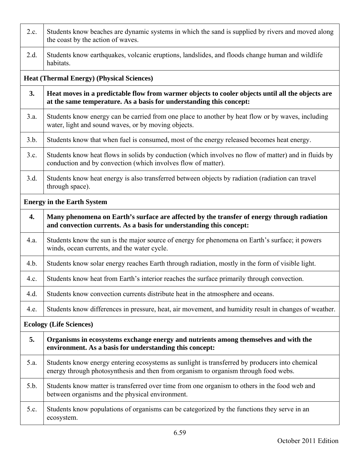| 2.c. | Students know beaches are dynamic systems in which the sand is supplied by rivers and moved along<br>the coast by the action of waves.                                                |  |  |  |  |
|------|---------------------------------------------------------------------------------------------------------------------------------------------------------------------------------------|--|--|--|--|
| 2.d. | Students know earthquakes, volcanic eruptions, landslides, and floods change human and wildlife<br>habitats.                                                                          |  |  |  |  |
|      | <b>Heat (Thermal Energy) (Physical Sciences)</b>                                                                                                                                      |  |  |  |  |
| 3.   | Heat moves in a predictable flow from warmer objects to cooler objects until all the objects are<br>at the same temperature. As a basis for understanding this concept:               |  |  |  |  |
| 3.a. | Students know energy can be carried from one place to another by heat flow or by waves, including<br>water, light and sound waves, or by moving objects.                              |  |  |  |  |
| 3.b. | Students know that when fuel is consumed, most of the energy released becomes heat energy.                                                                                            |  |  |  |  |
| 3.c. | Students know heat flows in solids by conduction (which involves no flow of matter) and in fluids by<br>conduction and by convection (which involves flow of matter).                 |  |  |  |  |
| 3.d. | Students know heat energy is also transferred between objects by radiation (radiation can travel<br>through space).                                                                   |  |  |  |  |
|      | <b>Energy in the Earth System</b>                                                                                                                                                     |  |  |  |  |
| 4.   | Many phenomena on Earth's surface are affected by the transfer of energy through radiation<br>and convection currents. As a basis for understanding this concept:                     |  |  |  |  |
| 4.a. | Students know the sun is the major source of energy for phenomena on Earth's surface; it powers<br>winds, ocean currents, and the water cycle.                                        |  |  |  |  |
| 4.b. | Students know solar energy reaches Earth through radiation, mostly in the form of visible light.                                                                                      |  |  |  |  |
| 4.c. | Students know heat from Earth's interior reaches the surface primarily through convection.                                                                                            |  |  |  |  |
| 4.d. | Students know convection currents distribute heat in the atmosphere and oceans.                                                                                                       |  |  |  |  |
| 4.e. | Students know differences in pressure, heat, air movement, and humidity result in changes of weather.                                                                                 |  |  |  |  |
|      | <b>Ecology (Life Sciences)</b>                                                                                                                                                        |  |  |  |  |
| 5.   | Organisms in ecosystems exchange energy and nutrients among themselves and with the<br>environment. As a basis for understanding this concept:                                        |  |  |  |  |
| 5.a. | Students know energy entering ecosystems as sunlight is transferred by producers into chemical<br>energy through photosynthesis and then from organism to organism through food webs. |  |  |  |  |
| 5.b. | Students know matter is transferred over time from one organism to others in the food web and<br>between organisms and the physical environment.                                      |  |  |  |  |
| 5.c. | Students know populations of organisms can be categorized by the functions they serve in an<br>ecosystem.                                                                             |  |  |  |  |
|      |                                                                                                                                                                                       |  |  |  |  |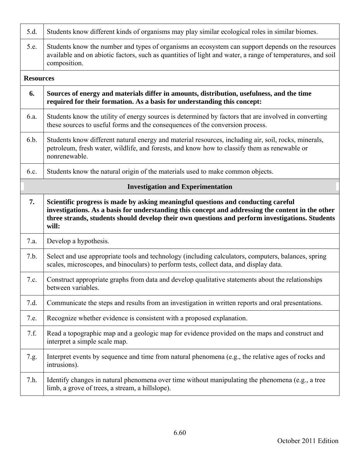| 5.d. | Students know different kinds of organisms may play similar ecological roles in similar biomes.                                                                                                                                                                                                    |  |  |  |  |
|------|----------------------------------------------------------------------------------------------------------------------------------------------------------------------------------------------------------------------------------------------------------------------------------------------------|--|--|--|--|
| 5.e. | Students know the number and types of organisms an ecosystem can support depends on the resources<br>available and on abiotic factors, such as quantities of light and water, a range of temperatures, and soil<br>composition.                                                                    |  |  |  |  |
|      | <b>Resources</b>                                                                                                                                                                                                                                                                                   |  |  |  |  |
| 6.   | Sources of energy and materials differ in amounts, distribution, usefulness, and the time<br>required for their formation. As a basis for understanding this concept:                                                                                                                              |  |  |  |  |
| 6.a. | Students know the utility of energy sources is determined by factors that are involved in converting<br>these sources to useful forms and the consequences of the conversion process.                                                                                                              |  |  |  |  |
| 6.b. | Students know different natural energy and material resources, including air, soil, rocks, minerals,<br>petroleum, fresh water, wildlife, and forests, and know how to classify them as renewable or<br>nonrenewable.                                                                              |  |  |  |  |
| 6.c. | Students know the natural origin of the materials used to make common objects.                                                                                                                                                                                                                     |  |  |  |  |
|      | <b>Investigation and Experimentation</b>                                                                                                                                                                                                                                                           |  |  |  |  |
| 7.   | Scientific progress is made by asking meaningful questions and conducting careful<br>investigations. As a basis for understanding this concept and addressing the content in the other<br>three strands, students should develop their own questions and perform investigations. Students<br>will: |  |  |  |  |
| 7.a. | Develop a hypothesis.                                                                                                                                                                                                                                                                              |  |  |  |  |
| 7.b. | Select and use appropriate tools and technology (including calculators, computers, balances, spring<br>scales, microscopes, and binoculars) to perform tests, collect data, and display data.                                                                                                      |  |  |  |  |
| 7.c. | Construct appropriate graphs from data and develop qualitative statements about the relationships<br>between variables.                                                                                                                                                                            |  |  |  |  |
| 7.d. | Communicate the steps and results from an investigation in written reports and oral presentations.                                                                                                                                                                                                 |  |  |  |  |
| 7.e. | Recognize whether evidence is consistent with a proposed explanation.                                                                                                                                                                                                                              |  |  |  |  |
| 7.f. | Read a topographic map and a geologic map for evidence provided on the maps and construct and<br>interpret a simple scale map.                                                                                                                                                                     |  |  |  |  |
| 7.g. | Interpret events by sequence and time from natural phenomena (e.g., the relative ages of rocks and<br>intrusions).                                                                                                                                                                                 |  |  |  |  |
| 7.h. | Identify changes in natural phenomena over time without manipulating the phenomena (e.g., a tree<br>limb, a grove of trees, a stream, a hillslope).                                                                                                                                                |  |  |  |  |
|      |                                                                                                                                                                                                                                                                                                    |  |  |  |  |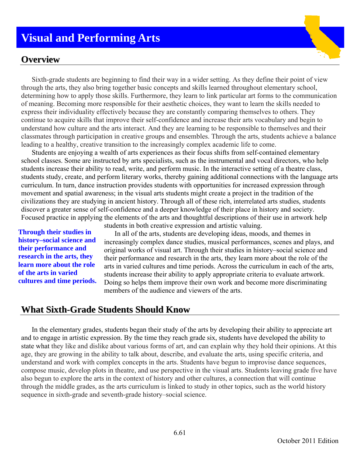# **Visual and Performing Arts**

### **Overview**

Sixth-grade students are beginning to find their way in a wider setting. As they define their point of view through the arts, they also bring together basic concepts and skills learned throughout elementary school, determining how to apply those skills. Furthermore, they learn to link particular art forms to the communication of meaning. Becoming more responsible for their aesthetic choices, they want to learn the skills needed to express their individuality effectively because they are constantly comparing themselves to others. They continue to acquire skills that improve their self-confidence and increase their arts vocabulary and begin to understand how culture and the arts interact. And they are learning to be responsible to themselves and their classmates through participation in creative groups and ensembles. Through the arts, students achieve a balance leading to a healthy, creative transition to the increasingly complex academic life to come.

Students are enjoying a wealth of arts experiences as their focus shifts from self-contained elementary school classes. Some are instructed by arts specialists, such as the instrumental and vocal directors, who help students increase their ability to read, write, and perform music. In the interactive setting of a theatre class, students study, create, and perform literary works, thereby gaining additional connections with the language arts curriculum. In turn, dance instruction provides students with opportunities for increased expression through movement and spatial awareness; in the visual arts students might create a project in the tradition of the civilizations they are studying in ancient history. Through all of these rich, interrelated arts studies, students discover a greater sense of self-confidence and a deeper knowledge of their place in history and society. Focused practice in applying the elements of the arts and thoughtful descriptions of their use in artwork help

students in both creative expression and artistic valuing.

**Through their studies in** In all of the arts, students are developing ideas, moods, and themes in **history-social science and** increasingly complex dance studies musical performances scenes and pla **history–social science and** increasingly complex dance studies, musical performances, scenes and plays, and **their performance and** original works of visual art. Through their studies in history–social science and **their performance and** original works of visual art. Through their studies in history–social science and **research** in the arts, they learn more about the role of the **research in the arts, they** their performance and research in the arts, they learn more about the role of the art **learn more about the role** arts in varied cultures and time periods. Across the curriculum in each of the arts, of the arts in varied students increase their ability to apply appropriate criteria to evaluate artwork **of the arts in varied** students increase their ability to apply appropriate criteria to evaluate artwork.<br>**cultures and time periods.** Doing so helps them improve their own work and become more discriminating Doing so helps them improve their own work and become more discriminating members of the audience and viewers of the arts.

### **What Sixth-Grade Students Should Know**

In the elementary grades, students began their study of the arts by developing their ability to appreciate art and to engage in artistic expression. By the time they reach grade six, students have developed the ability to state what they like and dislike about various forms of art, and can explain why they hold their opinions. At this age, they are growing in the ability to talk about, describe, and evaluate the arts, using specific criteria, and understand and work with complex concepts in the arts. Students have begun to improvise dance sequences, compose music, develop plots in theatre, and use perspective in the visual arts. Students leaving grade five have also begun to explore the arts in the context of history and other cultures, a connection that will continue through the middle grades, as the arts curriculum is linked to study in other topics, such as the world history sequence in sixth-grade and seventh-grade history–social science.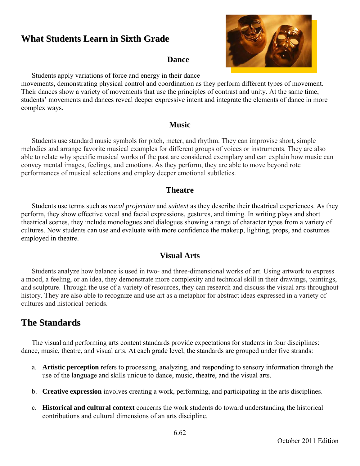## **What Students Learn in Sixth Grade**



#### **Dance**

Students apply variations of force and energy in their dance

movements, demonstrating physical control and coordination as they perform different types of movement. Their dances show a variety of movements that use the principles of contrast and unity. At the same time, students' movements and dances reveal deeper expressive intent and integrate the elements of dance in more complex ways.

#### **Music**

Students use standard music symbols for pitch, meter, and rhythm. They can improvise short, simple melodies and arrange favorite musical examples for different groups of voices or instruments. They are also able to relate why specific musical works of the past are considered exemplary and can explain how music can convey mental images, feelings, and emotions. As they perform, they are able to move beyond rote performances of musical selections and employ deeper emotional subtleties.

### **Theatre**

Students use terms such as *vocal projection* and *subtext* as they describe their theatrical experiences. As they perform, they show effective vocal and facial expressions, gestures, and timing. In writing plays and short theatrical scenes, they include monologues and dialogues showing a range of character types from a variety of cultures. Now students can use and evaluate with more confidence the makeup, lighting, props, and costumes employed in theatre.

### **Visual Arts**

Students analyze how balance is used in two- and three-dimensional works of art. Using artwork to express a mood, a feeling, or an idea, they demonstrate more complexity and technical skill in their drawings, paintings, and sculpture. Through the use of a variety of resources, they can research and discuss the visual arts throughout history. They are also able to recognize and use art as a metaphor for abstract ideas expressed in a variety of cultures and historical periods.

## **The Standards**

The visual and performing arts content standards provide expectations for students in four disciplines: dance, music, theatre, and visual arts. At each grade level, the standards are grouped under five strands:

- a. **Artistic perception** refers to processing, analyzing, and responding to sensory information through the use of the language and skills unique to dance, music, theatre, and the visual arts.
- b. **Creative expression** involves creating a work, performing, and participating in the arts disciplines.
- c. **Historical and cultural context** concerns the work students do toward understanding the historical contributions and cultural dimensions of an arts discipline.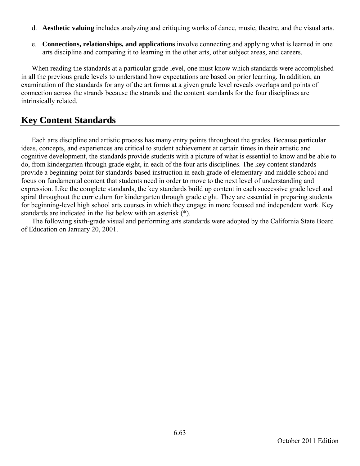- d. **Aesthetic valuing** includes analyzing and critiquing works of dance, music, theatre, and the visual arts.
- e. **Connections, relationships, and applications** involve connecting and applying what is learned in one arts discipline and comparing it to learning in the other arts, other subject areas, and careers.

When reading the standards at a particular grade level, one must know which standards were accomplished in all the previous grade levels to understand how expectations are based on prior learning. In addition, an examination of the standards for any of the art forms at a given grade level reveals overlaps and points of connection across the strands because the strands and the content standards for the four disciplines are intrinsically related.

### **Key Content Standards**

Each arts discipline and artistic process has many entry points throughout the grades. Because particular ideas, concepts, and experiences are critical to student achievement at certain times in their artistic and cognitive development, the standards provide students with a picture of what is essential to know and be able to do, from kindergarten through grade eight, in each of the four arts disciplines. The key content standards provide a beginning point for standards-based instruction in each grade of elementary and middle school and focus on fundamental content that students need in order to move to the next level of understanding and expression. Like the complete standards, the key standards build up content in each successive grade level and spiral throughout the curriculum for kindergarten through grade eight. They are essential in preparing students for beginning-level high school arts courses in which they engage in more focused and independent work. Key standards are indicated in the list below with an asterisk (\*).

The following sixth-grade visual and performing arts standards were adopted by the California State Board of Education on January 20, 2001.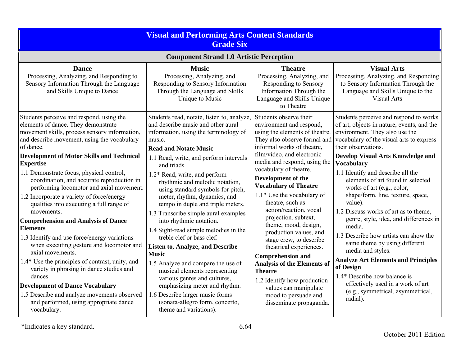| <b>Visual and Performing Arts Content Standards</b><br><b>Grade Six</b>                                                                                                                                                                                                                                                                                                                                                                                                                                                                                                                                                                                                                                                                                                                                                                                                                                                                         |                                                                                                                                                                                                                                                                                                                                                                                                                                                                                                                                                                                                                                                                                                                                                                                                                             |                                                                                                                                                                                                                                                                                                                                                                                                                                                                                                                                                                                                                                                                                                               |                                                                                                                                                                                                                                                                                                                                                                                                                                                                                                                                                                                                                                                                                                                                                                                                 |  |  |  |  |
|-------------------------------------------------------------------------------------------------------------------------------------------------------------------------------------------------------------------------------------------------------------------------------------------------------------------------------------------------------------------------------------------------------------------------------------------------------------------------------------------------------------------------------------------------------------------------------------------------------------------------------------------------------------------------------------------------------------------------------------------------------------------------------------------------------------------------------------------------------------------------------------------------------------------------------------------------|-----------------------------------------------------------------------------------------------------------------------------------------------------------------------------------------------------------------------------------------------------------------------------------------------------------------------------------------------------------------------------------------------------------------------------------------------------------------------------------------------------------------------------------------------------------------------------------------------------------------------------------------------------------------------------------------------------------------------------------------------------------------------------------------------------------------------------|---------------------------------------------------------------------------------------------------------------------------------------------------------------------------------------------------------------------------------------------------------------------------------------------------------------------------------------------------------------------------------------------------------------------------------------------------------------------------------------------------------------------------------------------------------------------------------------------------------------------------------------------------------------------------------------------------------------|-------------------------------------------------------------------------------------------------------------------------------------------------------------------------------------------------------------------------------------------------------------------------------------------------------------------------------------------------------------------------------------------------------------------------------------------------------------------------------------------------------------------------------------------------------------------------------------------------------------------------------------------------------------------------------------------------------------------------------------------------------------------------------------------------|--|--|--|--|
| <b>Component Strand 1.0 Artistic Perception</b>                                                                                                                                                                                                                                                                                                                                                                                                                                                                                                                                                                                                                                                                                                                                                                                                                                                                                                 |                                                                                                                                                                                                                                                                                                                                                                                                                                                                                                                                                                                                                                                                                                                                                                                                                             |                                                                                                                                                                                                                                                                                                                                                                                                                                                                                                                                                                                                                                                                                                               |                                                                                                                                                                                                                                                                                                                                                                                                                                                                                                                                                                                                                                                                                                                                                                                                 |  |  |  |  |
| <b>Dance</b><br>Processing, Analyzing, and Responding to<br>Sensory Information Through the Language<br>and Skills Unique to Dance                                                                                                                                                                                                                                                                                                                                                                                                                                                                                                                                                                                                                                                                                                                                                                                                              | <b>Music</b><br>Processing, Analyzing, and<br>Responding to Sensory Information<br>Through the Language and Skills<br>Unique to Music                                                                                                                                                                                                                                                                                                                                                                                                                                                                                                                                                                                                                                                                                       | <b>Theatre</b><br>Processing, Analyzing, and<br>Responding to Sensory<br>Information Through the<br>Language and Skills Unique<br>to Theatre                                                                                                                                                                                                                                                                                                                                                                                                                                                                                                                                                                  | <b>Visual Arts</b><br>Processing, Analyzing, and Responding<br>to Sensory Information Through the<br>Language and Skills Unique to the<br><b>Visual Arts</b>                                                                                                                                                                                                                                                                                                                                                                                                                                                                                                                                                                                                                                    |  |  |  |  |
| Students perceive and respond, using the<br>elements of dance. They demonstrate<br>movement skills, process sensory information,<br>and describe movement, using the vocabulary<br>of dance.<br><b>Development of Motor Skills and Technical</b><br><b>Expertise</b><br>1.1 Demonstrate focus, physical control,<br>coordination, and accurate reproduction in<br>performing locomotor and axial movement.<br>1.2 Incorporate a variety of force/energy<br>qualities into executing a full range of<br>movements.<br><b>Comprehension and Analysis of Dance</b><br><b>Elements</b><br>1.3 Identify and use force/energy variations<br>when executing gesture and locomotor and<br>axial movements.<br>1.4* Use the principles of contrast, unity, and<br>variety in phrasing in dance studies and<br>dances.<br><b>Development of Dance Vocabulary</b><br>1.5 Describe and analyze movements observed<br>and performed, using appropriate dance | Students read, notate, listen to, analyze,<br>and describe music and other aural<br>information, using the terminology of<br>music.<br><b>Read and Notate Music</b><br>1.1 Read, write, and perform intervals<br>and triads.<br>1.2* Read, write, and perform<br>rhythmic and melodic notation,<br>using standard symbols for pitch,<br>meter, rhythm, dynamics, and<br>tempo in duple and triple meters.<br>1.3 Transcribe simple aural examples<br>into rhythmic notation.<br>1.4 Sight-read simple melodies in the<br>treble clef or bass clef.<br><b>Listen to, Analyze, and Describe</b><br><b>Music</b><br>1.5 Analyze and compare the use of<br>musical elements representing<br>various genres and cultures,<br>emphasizing meter and rhythm.<br>1.6 Describe larger music forms<br>(sonata-allegro form, concerto, | Students observe their<br>environment and respond,<br>using the elements of theatre.<br>They also observe formal and<br>informal works of theatre,<br>film/video, and electronic<br>media and respond, using the<br>vocabulary of theatre.<br>Development of the<br><b>Vocabulary of Theatre</b><br>$1.1*$ Use the vocabulary of<br>theatre, such as<br>action/reaction, vocal<br>projection, subtext,<br>theme, mood, design,<br>production values, and<br>stage crew, to describe<br>theatrical experiences.<br><b>Comprehension and</b><br><b>Analysis of the Elements of</b><br><b>Theatre</b><br>1.2 Identify how production<br>values can manipulate<br>mood to persuade and<br>disseminate propaganda. | Students perceive and respond to works<br>of art, objects in nature, events, and the<br>environment. They also use the<br>vocabulary of the visual arts to express<br>their observations.<br><b>Develop Visual Arts Knowledge and</b><br><b>Vocabulary</b><br>1.1 Identify and describe all the<br>elements of art found in selected<br>works of art (e.g., color,<br>shape/form, line, texture, space,<br>value).<br>1.2 Discuss works of art as to theme,<br>genre, style, idea, and differences in<br>media.<br>1.3 Describe how artists can show the<br>same theme by using different<br>media and styles.<br><b>Analyze Art Elements and Principles</b><br>of Design<br>1.4* Describe how balance is<br>effectively used in a work of art<br>(e.g., symmetrical, asymmetrical,<br>radial). |  |  |  |  |

\*Indicates a key standard. 6.64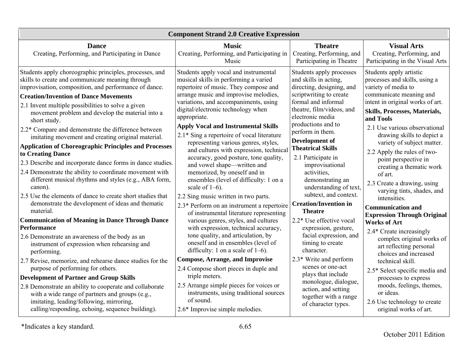| <b>Component Strand 2.0 Creative Expression</b>                                                                                                                                                                                                                                                                                                                                                                                                                                                                                                                                                                                                                                                                                               |                                                                                                                                                                                                                                                                                                                                                                                                                                                                                                                                                                                                                       |                                                                                                                                                                                                                                                                                                                                                                                 |                                                                                                                                                                                                                                                                                                                                                                                                                                                      |  |  |  |  |
|-----------------------------------------------------------------------------------------------------------------------------------------------------------------------------------------------------------------------------------------------------------------------------------------------------------------------------------------------------------------------------------------------------------------------------------------------------------------------------------------------------------------------------------------------------------------------------------------------------------------------------------------------------------------------------------------------------------------------------------------------|-----------------------------------------------------------------------------------------------------------------------------------------------------------------------------------------------------------------------------------------------------------------------------------------------------------------------------------------------------------------------------------------------------------------------------------------------------------------------------------------------------------------------------------------------------------------------------------------------------------------------|---------------------------------------------------------------------------------------------------------------------------------------------------------------------------------------------------------------------------------------------------------------------------------------------------------------------------------------------------------------------------------|------------------------------------------------------------------------------------------------------------------------------------------------------------------------------------------------------------------------------------------------------------------------------------------------------------------------------------------------------------------------------------------------------------------------------------------------------|--|--|--|--|
| <b>Dance</b><br>Creating, Performing, and Participating in Dance                                                                                                                                                                                                                                                                                                                                                                                                                                                                                                                                                                                                                                                                              | <b>Music</b><br>Creating, Performing, and Participating in<br>Music                                                                                                                                                                                                                                                                                                                                                                                                                                                                                                                                                   | <b>Theatre</b><br>Creating, Performing, and<br>Participating in Theatre                                                                                                                                                                                                                                                                                                         | <b>Visual Arts</b><br>Creating, Performing, and<br>Participating in the Visual Arts                                                                                                                                                                                                                                                                                                                                                                  |  |  |  |  |
| Students apply choreographic principles, processes, and<br>skills to create and communicate meaning through<br>improvisation, composition, and performance of dance.<br><b>Creation/Invention of Dance Movements</b><br>2.1 Invent multiple possibilities to solve a given<br>movement problem and develop the material into a<br>short study.<br>2.2* Compare and demonstrate the difference between<br>imitating movement and creating original material.<br><b>Application of Choreographic Principles and Processes</b><br>to Creating Dance<br>2.3 Describe and incorporate dance forms in dance studies.<br>2.4 Demonstrate the ability to coordinate movement with<br>different musical rhythms and styles (e.g., ABA form,<br>canon). | Students apply vocal and instrumental<br>musical skills in performing a varied<br>repertoire of music. They compose and<br>arrange music and improvise melodies,<br>variations, and accompaniments, using<br>digital/electronic technology when<br>appropriate.<br><b>Apply Vocal and Instrumental Skills</b><br>2.1* Sing a repertoire of vocal literature<br>representing various genres, styles,<br>and cultures with expression, technical<br>accuracy, good posture, tone quality,<br>and vowel shape—written and<br>memorized, by oneself and in<br>ensembles (level of difficulty: 1 on a<br>scale of $1-6$ ). | Students apply processes<br>and skills in acting,<br>directing, designing, and<br>scriptwriting to create<br>formal and informal<br>theatre, film/videos, and<br>electronic media<br>productions and to<br>perform in them.<br>Development of<br><b>Theatrical Skills</b><br>2.1 Participate in<br>improvisational<br>activities,<br>demonstrating an<br>understanding of text, | Students apply artistic<br>processes and skills, using a<br>variety of media to<br>communicate meaning and<br>intent in original works of art.<br>Skills, Processes, Materials,<br>and Tools<br>2.1 Use various observational<br>drawing skills to depict a<br>variety of subject matter.<br>2.2 Apply the rules of two-<br>point perspective in<br>creating a thematic work<br>of art.<br>2.3 Create a drawing, using<br>varying tints, shades, and |  |  |  |  |
| 2.5 Use the elements of dance to create short studies that<br>demonstrate the development of ideas and thematic<br>material.                                                                                                                                                                                                                                                                                                                                                                                                                                                                                                                                                                                                                  | 2.2 Sing music written in two parts.<br>2.3* Perform on an instrument a repertoire<br>of instrumental literature representing                                                                                                                                                                                                                                                                                                                                                                                                                                                                                         | subtext, and context.<br><b>Creation/Invention in</b><br><b>Theatre</b>                                                                                                                                                                                                                                                                                                         | intensities.<br><b>Communication and</b>                                                                                                                                                                                                                                                                                                                                                                                                             |  |  |  |  |
| <b>Communication of Meaning in Dance Through Dance</b><br><b>Performance</b><br>2.6 Demonstrate an awareness of the body as an<br>instrument of expression when rehearsing and<br>performing.<br>2.7 Revise, memorize, and rehearse dance studies for the<br>purpose of performing for others.<br><b>Development of Partner and Group Skills</b><br>2.8 Demonstrate an ability to cooperate and collaborate<br>with a wide range of partners and groups (e.g.,<br>imitating, leading/following, mirroring,<br>calling/responding, echoing, sequence building).                                                                                                                                                                                | various genres, styles, and cultures<br>with expression, technical accuracy,<br>tone quality, and articulation, by<br>oneself and in ensembles (level of<br>difficulty: 1 on a scale of $1-6$ ).<br><b>Compose, Arrange, and Improvise</b><br>2.4 Compose short pieces in duple and<br>triple meters.<br>2.5 Arrange simple pieces for voices or<br>instruments, using traditional sources<br>of sound.<br>2.6* Improvise simple melodies.                                                                                                                                                                            | 2.2* Use effective vocal<br>expression, gesture,<br>facial expression, and<br>timing to create<br>character.<br>2.3* Write and perform<br>scenes or one-act<br>plays that include<br>monologue, dialogue,<br>action, and setting<br>together with a range<br>of character types.                                                                                                | <b>Expression Through Original</b><br><b>Works of Art</b><br>2.4* Create increasingly<br>complex original works of<br>art reflecting personal<br>choices and increased<br>technical skill.<br>2.5* Select specific media and<br>processes to express<br>moods, feelings, themes,<br>or ideas.<br>2.6 Use technology to create<br>original works of art.                                                                                              |  |  |  |  |

\*Indicates a key standard. 6.65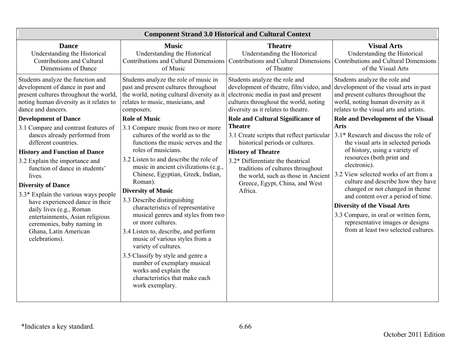| <b>Component Strand 3.0 Historical and Cultural Context</b>                                                                                                                                                                                                                                                                                                                                                                                                           |                                                                                                                                                                                                                                                                                                                                                                                                                                                                                                                                                                                                                                                                                       |                                                                                                                                                                                                                                                                          |                                                                                                                                                                                                                                                                                                                                                                                                                                                                                 |  |  |  |  |
|-----------------------------------------------------------------------------------------------------------------------------------------------------------------------------------------------------------------------------------------------------------------------------------------------------------------------------------------------------------------------------------------------------------------------------------------------------------------------|---------------------------------------------------------------------------------------------------------------------------------------------------------------------------------------------------------------------------------------------------------------------------------------------------------------------------------------------------------------------------------------------------------------------------------------------------------------------------------------------------------------------------------------------------------------------------------------------------------------------------------------------------------------------------------------|--------------------------------------------------------------------------------------------------------------------------------------------------------------------------------------------------------------------------------------------------------------------------|---------------------------------------------------------------------------------------------------------------------------------------------------------------------------------------------------------------------------------------------------------------------------------------------------------------------------------------------------------------------------------------------------------------------------------------------------------------------------------|--|--|--|--|
| <b>Dance</b><br>Understanding the Historical<br>Contributions and Cultural<br>Dimensions of Dance                                                                                                                                                                                                                                                                                                                                                                     | <b>Music</b><br>Understanding the Historical<br><b>Contributions and Cultural Dimensions</b><br>of Music                                                                                                                                                                                                                                                                                                                                                                                                                                                                                                                                                                              | <b>Theatre</b><br>Understanding the Historical<br>Contributions and Cultural Dimensions<br>of Theatre                                                                                                                                                                    | <b>Visual Arts</b><br>Understanding the Historical<br>Contributions and Cultural Dimensions<br>of the Visual Arts                                                                                                                                                                                                                                                                                                                                                               |  |  |  |  |
| Students analyze the function and<br>development of dance in past and<br>present cultures throughout the world,<br>noting human diversity as it relates to<br>dance and dancers.                                                                                                                                                                                                                                                                                      | Students analyze the role of music in<br>past and present cultures throughout<br>the world, noting cultural diversity as it<br>relates to music, musicians, and<br>composers.                                                                                                                                                                                                                                                                                                                                                                                                                                                                                                         | Students analyze the role and<br>development of theatre, film/video, and<br>electronic media in past and present<br>cultures throughout the world, noting<br>diversity as it relates to theatre.                                                                         | Students analyze the role and<br>development of the visual arts in past<br>and present cultures throughout the<br>world, noting human diversity as it<br>relates to the visual arts and artists.                                                                                                                                                                                                                                                                                |  |  |  |  |
| <b>Development of Dance</b>                                                                                                                                                                                                                                                                                                                                                                                                                                           | <b>Role of Music</b>                                                                                                                                                                                                                                                                                                                                                                                                                                                                                                                                                                                                                                                                  | <b>Role and Cultural Significance of</b><br><b>Theatre</b>                                                                                                                                                                                                               | Role and Development of the Visual<br><b>Arts</b>                                                                                                                                                                                                                                                                                                                                                                                                                               |  |  |  |  |
| 3.1 Compare and contrast features of<br>dances already performed from<br>different countries.<br><b>History and Function of Dance</b><br>3.2 Explain the importance and<br>function of dance in students'<br>lives.<br><b>Diversity of Dance</b><br>$3.3*$ Explain the various ways people<br>have experienced dance in their<br>daily lives (e.g., Roman<br>entertainments, Asian religious<br>ceremonies, baby naming in<br>Ghana, Latin American<br>celebrations). | 3.1 Compare music from two or more<br>cultures of the world as to the<br>functions the music serves and the<br>roles of musicians.<br>3.2 Listen to and describe the role of<br>music in ancient civilizations (e.g.,<br>Chinese, Egyptian, Greek, Indian,<br>Roman).<br><b>Diversity of Music</b><br>3.3 Describe distinguishing<br>characteristics of representative<br>musical genres and styles from two<br>or more cultures.<br>3.4 Listen to, describe, and perform<br>music of various styles from a<br>variety of cultures.<br>3.5 Classify by style and genre a<br>number of exemplary musical<br>works and explain the<br>characteristics that make each<br>work exemplary. | 3.1 Create scripts that reflect particular<br>historical periods or cultures.<br><b>History of Theatre</b><br>3.2* Differentiate the theatrical<br>traditions of cultures throughout<br>the world, such as those in Ancient<br>Greece, Egypt, China, and West<br>Africa. | 3.1* Research and discuss the role of<br>the visual arts in selected periods<br>of history, using a variety of<br>resources (both print and<br>electronic).<br>3.2 View selected works of art from a<br>culture and describe how they have<br>changed or not changed in theme<br>and content over a period of time.<br><b>Diversity of the Visual Arts</b><br>3.3 Compare, in oral or written form,<br>representative images or designs<br>from at least two selected cultures. |  |  |  |  |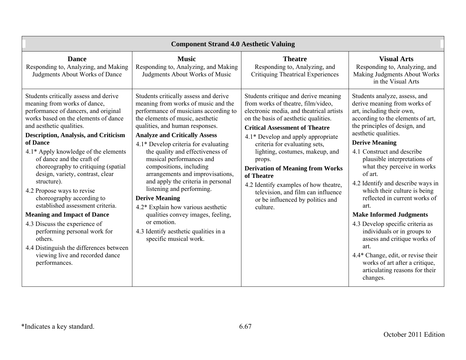| <b>Component Strand 4.0 Aesthetic Valuing</b>                                                                                                                                                                                                                                                                                                                                                                                                                                                                                                     |                                                                                                                                                                                                                                                                                                                                                                                                                                                                                                                                                                                                                                                                      |                                                                                                                                                                                                                                                                                                                                                                                                                                                                                                                     |                                                                                                                                                                                                                                                                                                                                                                                                                                                                           |  |  |  |
|---------------------------------------------------------------------------------------------------------------------------------------------------------------------------------------------------------------------------------------------------------------------------------------------------------------------------------------------------------------------------------------------------------------------------------------------------------------------------------------------------------------------------------------------------|----------------------------------------------------------------------------------------------------------------------------------------------------------------------------------------------------------------------------------------------------------------------------------------------------------------------------------------------------------------------------------------------------------------------------------------------------------------------------------------------------------------------------------------------------------------------------------------------------------------------------------------------------------------------|---------------------------------------------------------------------------------------------------------------------------------------------------------------------------------------------------------------------------------------------------------------------------------------------------------------------------------------------------------------------------------------------------------------------------------------------------------------------------------------------------------------------|---------------------------------------------------------------------------------------------------------------------------------------------------------------------------------------------------------------------------------------------------------------------------------------------------------------------------------------------------------------------------------------------------------------------------------------------------------------------------|--|--|--|
| <b>Dance</b><br>Responding to, Analyzing, and Making<br>Judgments About Works of Dance                                                                                                                                                                                                                                                                                                                                                                                                                                                            | <b>Music</b><br>Responding to, Analyzing, and Making<br>Judgments About Works of Music                                                                                                                                                                                                                                                                                                                                                                                                                                                                                                                                                                               | <b>Theatre</b><br>Responding to, Analyzing, and<br><b>Critiquing Theatrical Experiences</b>                                                                                                                                                                                                                                                                                                                                                                                                                         | <b>Visual Arts</b><br>Responding to, Analyzing, and<br>Making Judgments About Works<br>in the Visual Arts                                                                                                                                                                                                                                                                                                                                                                 |  |  |  |
| Students critically assess and derive<br>meaning from works of dance,<br>performance of dancers, and original<br>works based on the elements of dance<br>and aesthetic qualities.<br><b>Description, Analysis, and Criticism</b><br>of Dance<br>4.1* Apply knowledge of the elements<br>of dance and the craft of<br>choreography to critiquing (spatial)<br>design, variety, contrast, clear<br>structure).<br>4.2 Propose ways to revise<br>choreography according to<br>established assessment criteria.<br><b>Meaning and Impact of Dance</b> | Students critically assess and derive<br>meaning from works of music and the<br>performance of musicians according to<br>the elements of music, aesthetic<br>qualities, and human responses.<br><b>Analyze and Critically Assess</b><br>4.1* Develop criteria for evaluating<br>the quality and effectiveness of<br>musical performances and<br>compositions, including<br>arrangements and improvisations,<br>and apply the criteria in personal<br>listening and performing.<br><b>Derive Meaning</b><br>4.2* Explain how various aesthetic<br>qualities convey images, feeling,<br>or emotion.<br>4.3 Identify aesthetic qualities in a<br>specific musical work. | Students critique and derive meaning<br>from works of theatre, film/video,<br>electronic media, and theatrical artists<br>on the basis of aesthetic qualities.<br><b>Critical Assessment of Theatre</b><br>4.1* Develop and apply appropriate<br>criteria for evaluating sets,<br>lighting, costumes, makeup, and<br>props.<br><b>Derivation of Meaning from Works</b><br>of Theatre<br>4.2 Identify examples of how theatre,<br>television, and film can influence<br>or be influenced by politics and<br>culture. | Students analyze, assess, and<br>derive meaning from works of<br>art, including their own,<br>according to the elements of art,<br>the principles of design, and<br>aesthetic qualities.<br><b>Derive Meaning</b><br>4.1 Construct and describe<br>plausible interpretations of<br>what they perceive in works<br>of art.<br>4.2 Identify and describe ways in<br>which their culture is being<br>reflected in current works of<br>art.<br><b>Make Informed Judgments</b> |  |  |  |
| 4.3 Discuss the experience of<br>performing personal work for<br>others.<br>4.4 Distinguish the differences between<br>viewing live and recorded dance<br>performances.                                                                                                                                                                                                                                                                                                                                                                           |                                                                                                                                                                                                                                                                                                                                                                                                                                                                                                                                                                                                                                                                      |                                                                                                                                                                                                                                                                                                                                                                                                                                                                                                                     | 4.3 Develop specific criteria as<br>individuals or in groups to<br>assess and critique works of<br>art.<br>4.4* Change, edit, or revise their<br>works of art after a critique,<br>articulating reasons for their<br>changes.                                                                                                                                                                                                                                             |  |  |  |

 $\blacksquare$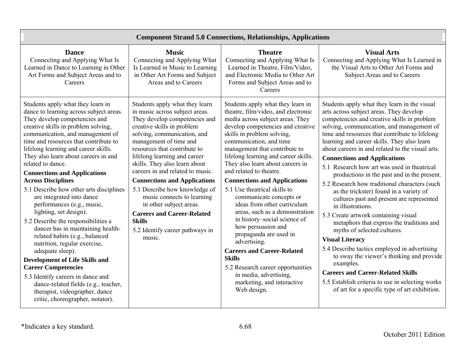| <b>Component Strand 5.0 Connections, Relationships, Applications</b>                                                                                                                                                                                                                                                                                                                                                                                                                                                                                                                                                                                                                                                                                                                                                                                                                                                                   |                                                                                                                                                                                                                                                                                                                                                                                                                                                                                                                                                                   |                                                                                                                                                                                                                                                                                                                                                                                                                                                                                                                                                                                                                                                                                                                                                                                         |                                                                                                                                                                                                                                                                                                                                                                                                                                                                                                                                                                                                                                                                                                                                                                                                                                                                                                                                                                                                                                                      |
|----------------------------------------------------------------------------------------------------------------------------------------------------------------------------------------------------------------------------------------------------------------------------------------------------------------------------------------------------------------------------------------------------------------------------------------------------------------------------------------------------------------------------------------------------------------------------------------------------------------------------------------------------------------------------------------------------------------------------------------------------------------------------------------------------------------------------------------------------------------------------------------------------------------------------------------|-------------------------------------------------------------------------------------------------------------------------------------------------------------------------------------------------------------------------------------------------------------------------------------------------------------------------------------------------------------------------------------------------------------------------------------------------------------------------------------------------------------------------------------------------------------------|-----------------------------------------------------------------------------------------------------------------------------------------------------------------------------------------------------------------------------------------------------------------------------------------------------------------------------------------------------------------------------------------------------------------------------------------------------------------------------------------------------------------------------------------------------------------------------------------------------------------------------------------------------------------------------------------------------------------------------------------------------------------------------------------|------------------------------------------------------------------------------------------------------------------------------------------------------------------------------------------------------------------------------------------------------------------------------------------------------------------------------------------------------------------------------------------------------------------------------------------------------------------------------------------------------------------------------------------------------------------------------------------------------------------------------------------------------------------------------------------------------------------------------------------------------------------------------------------------------------------------------------------------------------------------------------------------------------------------------------------------------------------------------------------------------------------------------------------------------|
| <b>Dance</b><br>Connecting and Applying What Is<br>Learned in Dance to Learning in Other<br>Art Forms and Subject Areas and to<br>Careers                                                                                                                                                                                                                                                                                                                                                                                                                                                                                                                                                                                                                                                                                                                                                                                              | <b>Music</b><br>Connecting and Applying What<br>Is Learned in Music to Learning<br>in Other Art Forms and Subject<br>Areas and to Careers                                                                                                                                                                                                                                                                                                                                                                                                                         | <b>Theatre</b><br>Connecting and Applying What Is<br>Learned in Theatre, Film/Video,<br>and Electronic Media to Other Art<br>Forms and Subject Areas and to<br>Careers                                                                                                                                                                                                                                                                                                                                                                                                                                                                                                                                                                                                                  | <b>Visual Arts</b><br>Connecting and Applying What Is Learned in<br>the Visual Arts to Other Art Forms and<br>Subject Areas and to Careers                                                                                                                                                                                                                                                                                                                                                                                                                                                                                                                                                                                                                                                                                                                                                                                                                                                                                                           |
| Students apply what they learn in<br>dance to learning across subject areas.<br>They develop competencies and<br>creative skills in problem solving,<br>communication, and management of<br>time and resources that contribute to<br>lifelong learning and career skills.<br>They also learn about careers in and<br>related to dance.<br><b>Connections and Applications</b><br><b>Across Disciplines</b><br>5.1 Describe how other arts disciplines<br>are integrated into dance<br>performances (e.g., music,<br>lighting, set design).<br>5.2 Describe the responsibilities a<br>dancer has in maintaining health-<br>related habits (e.g., balanced<br>nutrition, regular exercise,<br>adequate sleep).<br><b>Development of Life Skills and</b><br><b>Career Competencies</b><br>5.3 Identify careers in dance and<br>dance-related fields (e.g., teacher,<br>therapist, videographer, dance<br>critic, choreographer, notator). | Students apply what they learn<br>in music across subject areas.<br>They develop competencies and<br>creative skills in problem<br>solving, communication, and<br>management of time and<br>resources that contribute to<br>lifelong learning and career<br>skills. They also learn about<br>careers in and related to music.<br><b>Connections and Applications</b><br>5.1 Describe how knowledge of<br>music connects to learning<br>in other subject areas.<br><b>Careers and Career-Related</b><br><b>Skills</b><br>5.2 Identify career pathways in<br>music. | Students apply what they learn in<br>theatre, film/video, and electronic<br>media across subject areas. They<br>develop competencies and creative<br>skills in problem solving,<br>communication, and time<br>management that contribute to<br>lifelong learning and career skills.<br>They also learn about careers in<br>and related to theatre.<br><b>Connections and Applications</b><br>5.1 Use theatrical skills to<br>communicate concepts or<br>ideas from other curriculum<br>areas, such as a demonstration<br>in history-social science of<br>how persuasion and<br>propaganda are used in<br>advertising.<br><b>Careers and Career-Related</b><br><b>Skills</b><br>5.2 Research career opportunities<br>in media, advertising,<br>marketing, and interactive<br>Web design. | Students apply what they learn in the visual<br>arts across subject areas. They develop<br>competencies and creative skills in problem<br>solving, communication, and management of<br>time and resources that contribute to lifelong<br>learning and career skills. They also learn<br>about careers in and related to the visual arts.<br><b>Connections and Applications</b><br>5.1 Research how art was used in theatrical<br>productions in the past and in the present.<br>5.2 Research how traditional characters (such<br>as the trickster) found in a variety of<br>cultures past and present are represented<br>in illustrations.<br>5.3 Create artwork containing visual<br>metaphors that express the traditions and<br>myths of selected cultures.<br><b>Visual Literacy</b><br>5.4 Describe tactics employed in advertising<br>to sway the viewer's thinking and provide<br>examples.<br><b>Careers and Career-Related Skills</b><br>5.5 Establish criteria to use in selecting works<br>of art for a specific type of art exhibition. |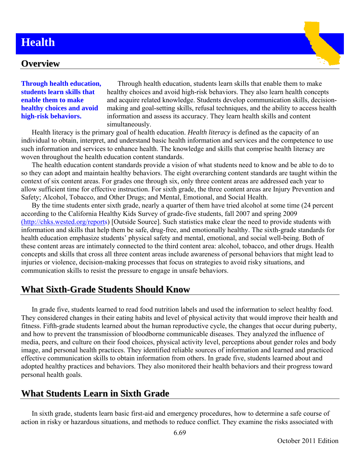### **Overview**

**Through health education,** Through health education, students learn skills that enable them to make **students learn skills that** healthy choices and avoid high-risk behaviors. They also learn health concepts **enable them to make** and acquire related knowledge. Students develop communication skills, decision**healthy choices and avoid** making and goal-setting skills, refusal techniques, and the ability to access health **high-risk behaviors.** information and assess its accuracy. They learn health skills and content simultaneously.

Health literacy is the primary goal of health education. *Health literacy* is defined as the capacity of an individual to obtain, interpret, and understand basic health information and services and the competence to use such information and services to enhance health. The knowledge and skills that comprise health literacy are woven throughout the health education content standards.

The health education content standards provide a vision of what students need to know and be able to do to so they can adopt and maintain healthy behaviors. The eight overarching content standards are taught within the context of six content areas. For grades one through six, only three content areas are addressed each year to allow sufficient time for effective instruction. For sixth grade, the three content areas are Injury Prevention and Safety; Alcohol, Tobacco, and Other Drugs; and Mental, Emotional, and Social Health.

By the time students enter sixth grade, nearly a quarter of them have tried alcohol at some time (24 percent according to the California Healthy Kids Survey of grade-five students, fall 2007 and spring 2009 (http://chks.wested.org/reports) [Outside Source]. Such statistics make clear the need to provide students with information and skills that help them be safe, drug-free, and emotionally healthy. The sixth-grade standards for health education emphasize students' physical safety and mental, emotional, and social well-being. Both of these content areas are intimately connected to the third content area: alcohol, tobacco, and other drugs. Health concepts and skills that cross all three content areas include awareness of personal behaviors that might lead to injuries or violence, decision-making processes that focus on strategies to avoid risky situations, and communication skills to resist the pressure to engage in unsafe behaviors.

### **What Sixth-Grade Students Should Know**

In grade five, students learned to read food nutrition labels and used the information to select healthy food. They considered changes in their eating habits and level of physical activity that would improve their health and fitness. Fifth-grade students learned about the human reproductive cycle, the changes that occur during puberty, and how to prevent the transmission of bloodborne communicable diseases. They analyzed the influence of media, peers, and culture on their food choices, physical activity level, perceptions about gender roles and body image, and personal health practices. They identified reliable sources of information and learned and practiced effective communication skills to obtain information from others. In grade five, students learned about and adopted healthy practices and behaviors. They also monitored their health behaviors and their progress toward personal health goals.

### **What Students Learn in Sixth Grade**

In sixth grade, students learn basic first-aid and emergency procedures, how to determine a safe course of action in risky or hazardous situations, and methods to reduce conflict. They examine the risks associated with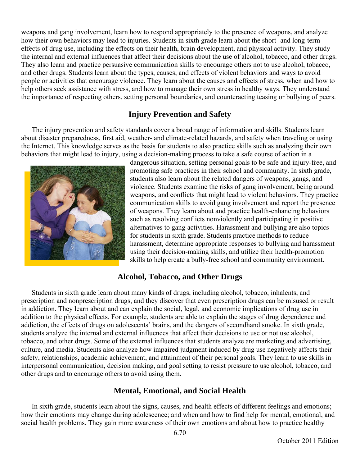weapons and gang involvement, learn how to respond appropriately to the presence of weapons, and analyze how their own behaviors may lead to injuries. Students in sixth grade learn about the short- and long-term effects of drug use, including the effects on their health, brain development, and physical activity. They study the internal and external influences that affect their decisions about the use of alcohol, tobacco, and other drugs. They also learn and practice persuasive communication skills to encourage others not to use alcohol, tobacco, and other drugs. Students learn about the types, causes, and effects of violent behaviors and ways to avoid people or activities that encourage violence. They learn about the causes and effects of stress, when and how to help others seek assistance with stress, and how to manage their own stress in healthy ways. They understand the importance of respecting others, setting personal boundaries, and counteracting teasing or bullying of peers.

### **Injury Prevention and Safety**

The injury prevention and safety standards cover a broad range of information and skills. Students learn about disaster preparedness, first aid, weather- and climate-related hazards, and safety when traveling or using the Internet. This knowledge serves as the basis for students to also practice skills such as analyzing their own behaviors that might lead to injury, using a decision-making process to take a safe course of action in a



dangerous situation, setting personal goals to be safe and injury-free, and promoting safe practices in their school and community. In sixth grade, students also learn about the related dangers of weapons, gangs, and violence. Students examine the risks of gang involvement, being around weapons, and conflicts that might lead to violent behaviors. They practice communication skills to avoid gang involvement and report the presence of weapons. They learn about and practice health-enhancing behaviors such as resolving conflicts nonviolently and participating in positive alternatives to gang activities. Harassment and bullying are also topics for students in sixth grade. Students practice methods to reduce harassment, determine appropriate responses to bullying and harassment using their decision-making skills, and utilize their health-promotion skills to help create a bully-free school and community environment.

### **Alcohol, Tobacco, and Other Drugs**

Students in sixth grade learn about many kinds of drugs, including alcohol, tobacco, inhalents, and prescription and nonprescription drugs, and they discover that even prescription drugs can be misused or result in addiction. They learn about and can explain the social, legal, and economic implications of drug use in addition to the physical effects. For example, students are able to explain the stages of drug dependence and addiction, the effects of drugs on adolescents' brains, and the dangers of secondhand smoke. In sixth grade, students analyze the internal and external influences that affect their decisions to use or not use alcohol, tobacco, and other drugs. Some of the external influences that students analyze are marketing and advertising, culture, and media. Students also analyze how impaired judgment induced by drug use negatively affects their safety, relationships, academic achievement, and attainment of their personal goals. They learn to use skills in interpersonal communication, decision making, and goal setting to resist pressure to use alcohol, tobacco, and other drugs and to encourage others to avoid using them.

### **Mental, Emotional, and Social Health**

In sixth grade, students learn about the signs, causes, and health effects of different feelings and emotions; how their emotions may change during adolescence; and when and how to find help for mental, emotional, and social health problems. They gain more awareness of their own emotions and about how to practice healthy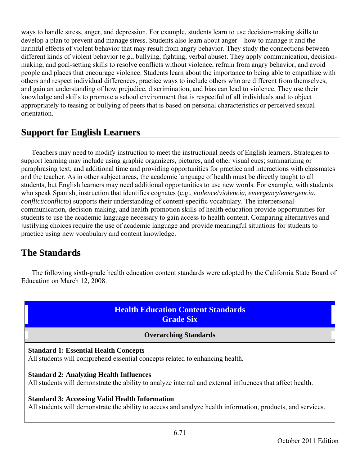ways to handle stress, anger, and depression. For example, students learn to use decision-making skills to develop a plan to prevent and manage stress. Students also learn about anger—how to manage it and the harmful effects of violent behavior that may result from angry behavior. They study the connections between different kinds of violent behavior (e.g., bullying, fighting, verbal abuse). They apply communication, decisionmaking, and goal-setting skills to resolve conflicts without violence, refrain from angry behavior, and avoid people and places that encourage violence. Students learn about the importance to being able to empathize with others and respect individual differences, practice ways to include others who are different from themselves, and gain an understanding of how prejudice, discrimination, and bias can lead to violence. They use their knowledge and skills to promote a school environment that is respectful of all individuals and to object appropriately to teasing or bullying of peers that is based on personal characteristics or perceived sexual orientation.

## **Support for English Learners**

Teachers may need to modify instruction to meet the instructional needs of English learners. Strategies to support learning may include using graphic organizers, pictures, and other visual cues; summarizing or paraphrasing text; and additional time and providing opportunities for practice and interactions with classmates and the teacher. As in other subject areas, the academic language of health must be directly taught to all students, but English learners may need additional opportunities to use new words. For example, with students who speak Spanish, instruction that identifies cognates (e.g., *violence*/*violencia, emergency*/*emergencia*, *conflict*/*conflicto*) supports their understanding of content-specific vocabulary. The interpersonalcommunication, decision-making, and health-promotion skills of health education provide opportunities for students to use the academic language necessary to gain access to health content. Comparing alternatives and justifying choices require the use of academic language and provide meaningful situations for students to practice using new vocabulary and content knowledge.

### **The Standards**

The following sixth-grade health education content standards were adopted by the California State Board of Education on March 12, 2008.

### **Health Education Content Standards Grade Six**

#### **Overarching Standards**

#### **Standard 1: Essential Health Concepts**

All students will comprehend essential concepts related to enhancing health.

#### **Standard 2: Analyzing Health Influences**

All students will demonstrate the ability to analyze internal and external influences that affect health.

#### **Standard 3: Accessing Valid Health Information**

All students will demonstrate the ability to access and analyze health information, products, and services.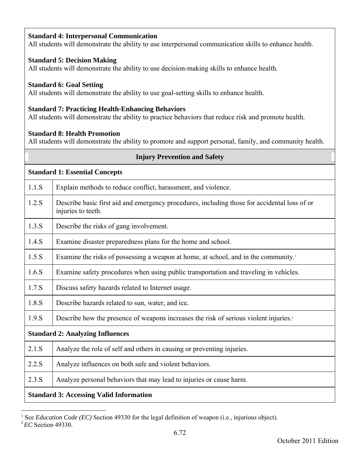#### **Standard 4: Interpersonal Communication**

All students will demonstrate the ability to use interpersonal communication skills to enhance health.

#### **Standard 5: Decision Making**

All students will demonstrate the ability to use decision-making skills to enhance health.

#### **Standard 6: Goal Setting**

All students will demonstrate the ability to use goal-setting skills to enhance health.

#### **Standard 7: Practicing Health-Enhancing Behaviors**

All students will demonstrate the ability to practice behaviors that reduce risk and promote health.

#### **Standard 8: Health Promotion**

All students will demonstrate the ability to promote and support personal, family, and community health.

| <b>Injury Prevention and Safety</b>            |                                                                                                                    |  |
|------------------------------------------------|--------------------------------------------------------------------------------------------------------------------|--|
| <b>Standard 1: Essential Concepts</b>          |                                                                                                                    |  |
| 1.1.S                                          | Explain methods to reduce conflict, harassment, and violence.                                                      |  |
| 1.2.S                                          | Describe basic first aid and emergency procedures, including those for accidental loss of or<br>injuries to teeth. |  |
| 1.3.S                                          | Describe the risks of gang involvement.                                                                            |  |
| 1.4.S                                          | Examine disaster preparedness plans for the home and school.                                                       |  |
| 1.5.S                                          | Examine the risks of possessing a weapon at home, at school, and in the community.                                 |  |
| 1.6.S                                          | Examine safety procedures when using public transportation and traveling in vehicles.                              |  |
| 1.7.S                                          | Discuss safety hazards related to Internet usage.                                                                  |  |
| 1.8.S                                          | Describe hazards related to sun, water, and ice.                                                                   |  |
| 1.9.S                                          | Describe how the presence of weapons increases the risk of serious violent injuries. <sup>2</sup>                  |  |
| <b>Standard 2: Analyzing Influences</b>        |                                                                                                                    |  |
| 2.1.S                                          | Analyze the role of self and others in causing or preventing injuries.                                             |  |
| 2.2.S                                          | Analyze influences on both safe and violent behaviors.                                                             |  |
| 2.3.S                                          | Analyze personal behaviors that may lead to injuries or cause harm.                                                |  |
| <b>Standard 3: Accessing Valid Information</b> |                                                                                                                    |  |

<sup>&</sup>lt;sup>1</sup> See *Education Code (EC)* Section 49330 for the legal definition of weapon (i.e., injurious object).

 $\overline{a}$ 

<sup>2</sup>*EC* Section 49330.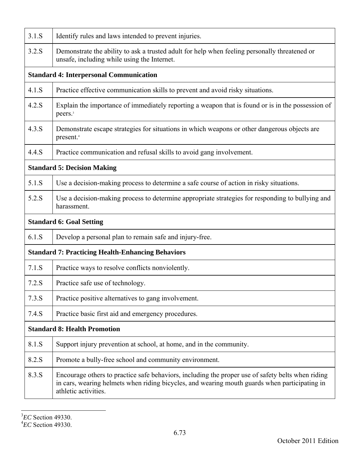| 3.1.S                                                    | Identify rules and laws intended to prevent injuries.                                                                                                                                                                      |  |
|----------------------------------------------------------|----------------------------------------------------------------------------------------------------------------------------------------------------------------------------------------------------------------------------|--|
| 3.2.S                                                    | Demonstrate the ability to ask a trusted adult for help when feeling personally threatened or<br>unsafe, including while using the Internet.                                                                               |  |
|                                                          | <b>Standard 4: Interpersonal Communication</b>                                                                                                                                                                             |  |
| 4.1.S                                                    | Practice effective communication skills to prevent and avoid risky situations.                                                                                                                                             |  |
| 4.2.S                                                    | Explain the importance of immediately reporting a weapon that is found or is in the possession of<br>peers. <sup>3</sup>                                                                                                   |  |
| 4.3.S                                                    | Demonstrate escape strategies for situations in which weapons or other dangerous objects are<br>present. <sup>4</sup>                                                                                                      |  |
| 4.4.S                                                    | Practice communication and refusal skills to avoid gang involvement.                                                                                                                                                       |  |
| <b>Standard 5: Decision Making</b>                       |                                                                                                                                                                                                                            |  |
| 5.1.S                                                    | Use a decision-making process to determine a safe course of action in risky situations.                                                                                                                                    |  |
| 5.2.S                                                    | Use a decision-making process to determine appropriate strategies for responding to bullying and<br>harassment.                                                                                                            |  |
| <b>Standard 6: Goal Setting</b>                          |                                                                                                                                                                                                                            |  |
| 6.1.S                                                    | Develop a personal plan to remain safe and injury-free.                                                                                                                                                                    |  |
| <b>Standard 7: Practicing Health-Enhancing Behaviors</b> |                                                                                                                                                                                                                            |  |
| 7.1.S                                                    | Practice ways to resolve conflicts nonviolently.                                                                                                                                                                           |  |
| 7.2.S                                                    | Practice safe use of technology.                                                                                                                                                                                           |  |
| 7.3.S                                                    | Practice positive alternatives to gang involvement.                                                                                                                                                                        |  |
| 7.4.S                                                    | Practice basic first aid and emergency procedures.                                                                                                                                                                         |  |
| <b>Standard 8: Health Promotion</b>                      |                                                                                                                                                                                                                            |  |
| 8.1.S                                                    | Support injury prevention at school, at home, and in the community.                                                                                                                                                        |  |
| 8.2.S                                                    | Promote a bully-free school and community environment.                                                                                                                                                                     |  |
| 8.3.S                                                    | Encourage others to practice safe behaviors, including the proper use of safety belts when riding<br>in cars, wearing helmets when riding bicycles, and wearing mouth guards when participating in<br>athletic activities. |  |

 3 *EC* Section 49330. 4 *EC* Section 49330.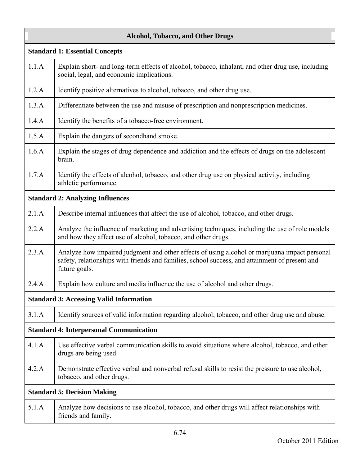|                                                | <b>Alcohol, Tobacco, and Other Drugs</b>                                                                                                                                                                         |  |
|------------------------------------------------|------------------------------------------------------------------------------------------------------------------------------------------------------------------------------------------------------------------|--|
| <b>Standard 1: Essential Concepts</b>          |                                                                                                                                                                                                                  |  |
| 1.1.A                                          | Explain short- and long-term effects of alcohol, tobacco, inhalant, and other drug use, including<br>social, legal, and economic implications.                                                                   |  |
| 1.2.A                                          | Identify positive alternatives to alcohol, tobacco, and other drug use.                                                                                                                                          |  |
| 1.3.A                                          | Differentiate between the use and misuse of prescription and nonprescription medicines.                                                                                                                          |  |
| 1.4.A                                          | Identify the benefits of a tobacco-free environment.                                                                                                                                                             |  |
| 1.5.A                                          | Explain the dangers of secondhand smoke.                                                                                                                                                                         |  |
| 1.6.A                                          | Explain the stages of drug dependence and addiction and the effects of drugs on the adolescent<br>brain.                                                                                                         |  |
| 1.7.A                                          | Identify the effects of alcohol, tobacco, and other drug use on physical activity, including<br>athletic performance.                                                                                            |  |
|                                                | <b>Standard 2: Analyzing Influences</b>                                                                                                                                                                          |  |
| 2.1.A                                          | Describe internal influences that affect the use of alcohol, tobacco, and other drugs.                                                                                                                           |  |
| 2.2.A                                          | Analyze the influence of marketing and advertising techniques, including the use of role models<br>and how they affect use of alcohol, tobacco, and other drugs.                                                 |  |
| 2.3.A                                          | Analyze how impaired judgment and other effects of using alcohol or marijuana impact personal<br>safety, relationships with friends and families, school success, and attainment of present and<br>future goals. |  |
| 2.4.A                                          | Explain how culture and media influence the use of alcohol and other drugs.                                                                                                                                      |  |
| <b>Standard 3: Accessing Valid Information</b> |                                                                                                                                                                                                                  |  |
| 3.1.A                                          | Identify sources of valid information regarding alcohol, tobacco, and other drug use and abuse.                                                                                                                  |  |
| <b>Standard 4: Interpersonal Communication</b> |                                                                                                                                                                                                                  |  |
| 4.1.A                                          | Use effective verbal communication skills to avoid situations where alcohol, tobacco, and other<br>drugs are being used.                                                                                         |  |
| 4.2.A                                          | Demonstrate effective verbal and nonverbal refusal skills to resist the pressure to use alcohol,<br>tobacco, and other drugs.                                                                                    |  |
|                                                | <b>Standard 5: Decision Making</b>                                                                                                                                                                               |  |
| 5.1.A                                          | Analyze how decisions to use alcohol, tobacco, and other drugs will affect relationships with<br>friends and family.                                                                                             |  |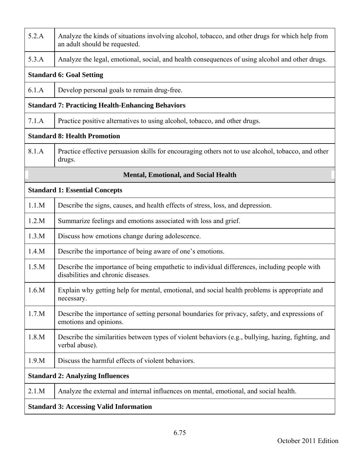| 5.2.A                                          | Analyze the kinds of situations involving alcohol, tobacco, and other drugs for which help from<br>an adult should be requested.   |
|------------------------------------------------|------------------------------------------------------------------------------------------------------------------------------------|
| 5.3.A                                          | Analyze the legal, emotional, social, and health consequences of using alcohol and other drugs.                                    |
|                                                | <b>Standard 6: Goal Setting</b>                                                                                                    |
| 6.1.A                                          | Develop personal goals to remain drug-free.                                                                                        |
|                                                | <b>Standard 7: Practicing Health-Enhancing Behaviors</b>                                                                           |
| 7.1.A                                          | Practice positive alternatives to using alcohol, tobacco, and other drugs.                                                         |
|                                                | <b>Standard 8: Health Promotion</b>                                                                                                |
| 8.1.A                                          | Practice effective persuasion skills for encouraging others not to use alcohol, tobacco, and other<br>drugs.                       |
|                                                | <b>Mental, Emotional, and Social Health</b>                                                                                        |
|                                                | <b>Standard 1: Essential Concepts</b>                                                                                              |
| 1.1.M                                          | Describe the signs, causes, and health effects of stress, loss, and depression.                                                    |
| 1.2.M                                          | Summarize feelings and emotions associated with loss and grief.                                                                    |
| 1.3.M                                          | Discuss how emotions change during adolescence.                                                                                    |
| 1.4.M                                          | Describe the importance of being aware of one's emotions.                                                                          |
| 1.5.M                                          | Describe the importance of being empathetic to individual differences, including people with<br>disabilities and chronic diseases. |
| 1.6.M                                          | Explain why getting help for mental, emotional, and social health problems is appropriate and<br>necessary.                        |
| 1.7.M                                          | Describe the importance of setting personal boundaries for privacy, safety, and expressions of<br>emotions and opinions.           |
| 1.8.M                                          | Describe the similarities between types of violent behaviors (e.g., bullying, hazing, fighting, and<br>verbal abuse).              |
| 1.9.M                                          | Discuss the harmful effects of violent behaviors.                                                                                  |
|                                                | <b>Standard 2: Analyzing Influences</b>                                                                                            |
| 2.1.M                                          | Analyze the external and internal influences on mental, emotional, and social health.                                              |
| <b>Standard 3: Accessing Valid Information</b> |                                                                                                                                    |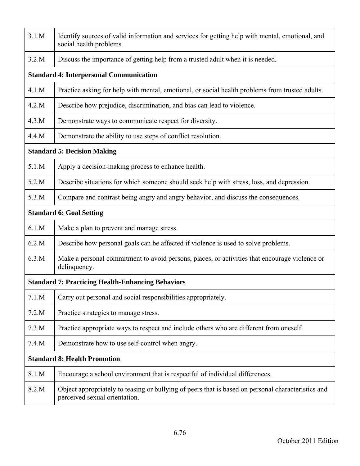| 3.1.M                                                    | Identify sources of valid information and services for getting help with mental, emotional, and<br>social health problems.          |  |
|----------------------------------------------------------|-------------------------------------------------------------------------------------------------------------------------------------|--|
| 3.2.M                                                    | Discuss the importance of getting help from a trusted adult when it is needed.                                                      |  |
|                                                          | <b>Standard 4: Interpersonal Communication</b>                                                                                      |  |
| 4.1.M                                                    | Practice asking for help with mental, emotional, or social health problems from trusted adults.                                     |  |
| 4.2.M                                                    | Describe how prejudice, discrimination, and bias can lead to violence.                                                              |  |
| 4.3.M                                                    | Demonstrate ways to communicate respect for diversity.                                                                              |  |
| 4.4.M                                                    | Demonstrate the ability to use steps of conflict resolution.                                                                        |  |
|                                                          | <b>Standard 5: Decision Making</b>                                                                                                  |  |
| 5.1.M                                                    | Apply a decision-making process to enhance health.                                                                                  |  |
| 5.2.M                                                    | Describe situations for which someone should seek help with stress, loss, and depression.                                           |  |
| 5.3.M                                                    | Compare and contrast being angry and angry behavior, and discuss the consequences.                                                  |  |
|                                                          | <b>Standard 6: Goal Setting</b>                                                                                                     |  |
| 6.1.M                                                    | Make a plan to prevent and manage stress.                                                                                           |  |
| 6.2.M                                                    | Describe how personal goals can be affected if violence is used to solve problems.                                                  |  |
| 6.3.M                                                    | Make a personal commitment to avoid persons, places, or activities that encourage violence or<br>delinquency.                       |  |
| <b>Standard 7: Practicing Health-Enhancing Behaviors</b> |                                                                                                                                     |  |
| 7.1.M                                                    | Carry out personal and social responsibilities appropriately.                                                                       |  |
| 7.2.M                                                    | Practice strategies to manage stress.                                                                                               |  |
| 7.3.M                                                    | Practice appropriate ways to respect and include others who are different from oneself.                                             |  |
| 7.4.M                                                    | Demonstrate how to use self-control when angry.                                                                                     |  |
|                                                          | <b>Standard 8: Health Promotion</b>                                                                                                 |  |
| 8.1.M                                                    | Encourage a school environment that is respectful of individual differences.                                                        |  |
| 8.2.M                                                    | Object appropriately to teasing or bullying of peers that is based on personal characteristics and<br>perceived sexual orientation. |  |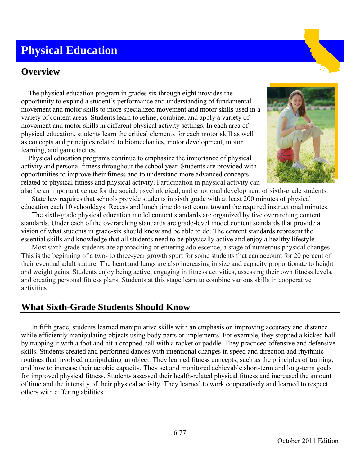# **Physical Education**

### **Overview**

The physical education program in grades six through eight provides the opportunity to expand a student's performance and understanding of fundamental movement and motor skills to more specialized movement and motor skills used in a variety of content areas. Students learn to refine, combine, and apply a variety of movement and motor skills in different physical activity settings. In each area of physical education, students learn the critical elements for each motor skill as well as concepts and principles related to biomechanics, motor development, motor learning, and game tactics.

Physical education programs continue to emphasize the importance of physical activity and personal fitness throughout the school year. Students are provided with opportunities to improve their fitness and to understand more advanced concepts related to physical fitness and physical activity. Participation in physical activity can



The sixth-grade physical education model content standards are organized by five overarching content standards. Under each of the overarching standards are grade-level model content standards that provide a vision of what students in grade-six should know and be able to do. The content standards represent the essential skills and knowledge that all students need to be physically active and enjoy a healthy lifestyle.

Most sixth-grade students are approaching or entering adolescence, a stage of numerous physical changes. This is the beginning of a two- to three-year growth spurt for some students that can account for 20 percent of their eventual adult stature. The heart and lungs are also increasing in size and capacity proportionate to height and weight gains. Students enjoy being active, engaging in fitness activities, assessing their own fitness levels, and creating personal fitness plans. Students at this stage learn to combine various skills in cooperative activities.

### **What Sixth-Grade Students Should Know**

In fifth grade, students learned manipulative skills with an emphasis on improving accuracy and distance while efficiently manipulating objects using body parts or implements. For example, they stopped a kicked ball by trapping it with a foot and hit a dropped ball with a racket or paddle. They practiced offensive and defensive skills. Students created and performed dances with intentional changes in speed and direction and rhythmic routines that involved manipulating an object. They learned fitness concepts, such as the principles of training, and how to increase their aerobic capacity. They set and monitored achievable short-term and long-term goals for improved physical fitness. Students assessed their health-related physical fitness and increased the amount of time and the intensity of their physical activity. They learned to work cooperatively and learned to respect others with differing abilities.



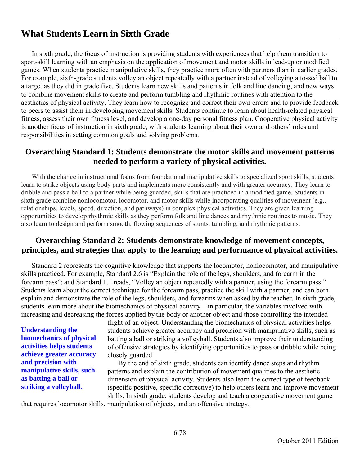### **What Students Learn in Sixth Grade**

In sixth grade, the focus of instruction is providing students with experiences that help them transition to sport-skill learning with an emphasis on the application of movement and motor skills in lead-up or modified games. When students practice manipulative skills, they practice more often with partners than in earlier grades. For example, sixth-grade students volley an object repeatedly with a partner instead of volleying a tossed ball to a target as they did in grade five. Students learn new skills and patterns in folk and line dancing, and new ways to combine movement skills to create and perform tumbling and rhythmic routines with attention to the aesthetics of physical activity. They learn how to recognize and correct their own errors and to provide feedback to peers to assist them in developing movement skills. Students continue to learn about health-related physical fitness, assess their own fitness level, and develop a one-day personal fitness plan. Cooperative physical activity is another focus of instruction in sixth grade, with students learning about their own and others' roles and responsibilities in setting common goals and solving problems.

#### **Overarching Standard 1: Students demonstrate the motor skills and movement patterns needed to perform a variety of physical activities.**

With the change in instructional focus from foundational manipulative skills to specialized sport skills, students learn to strike objects using body parts and implements more consistently and with greater accuracy. They learn to dribble and pass a ball to a partner while being guarded, skills that are practiced in a modified game. Students in sixth grade combine nonlocomotor, locomotor, and motor skills while incorporating qualities of movement (e.g., relationships, levels, speed, direction, and pathways) in complex physical activities. They are given learning opportunities to develop rhythmic skills as they perform folk and line dances and rhythmic routines to music. They also learn to design and perform smooth, flowing sequences of stunts, tumbling, and rhythmic patterns.

### **Overarching Standard 2: Students demonstrate knowledge of movement concepts, principles, and strategies that apply to the learning and performance of physical activities.**

Standard 2 represents the cognitive knowledge that supports the locomotor, nonlocomotor, and manipulative skills practiced. For example, Standard 2.6 is "Explain the role of the legs, shoulders, and forearm in the forearm pass"; and Standard 1.1 reads, "Volley an object repeatedly with a partner, using the forearm pass." Students learn about the correct technique for the forearm pass, practice the skill with a partner, and can both explain and demonstrate the role of the legs, shoulders, and forearms when asked by the teacher. In sixth grade, students learn more about the biomechanics of physical activity—in particular, the variables involved with increasing and decreasing the forces applied by the body or another object and those controlling the intended

**achieve greater accuracy** closely guarded.<br> **and precision with** By the end o

flight of an object. Understanding the biomechanics of physical activities helps **Understanding the** students achieve greater accuracy and precision with manipulative skills, such as **biomechanics of physical** batting a hall or striking a volley ball Students also improve their understanding **biomechanics of physical** batting a ball or striking a volleyball. Students also improve their understanding **activities helps students** of offensive strategies by identifying opportunities to pass or dribble while being of offensive strategies by identifying opportunities to pass or dribble while being

**and precision with By the end of sixth grade, students can identify dance steps and rhythm manipulative skills, such patterns and explain the contribution of movement qualities to the aesthetic manipulative skills, such** patterns and explain the contribution of movement qualities to the aesthetic as **batting a ball or** dimension of physical activity. Students also learn the correct type of feedball **as batting a ball or** dimension of physical activity. Students also learn the correct type of feedback **striking a volleyball.** (specific positive specific corrective) to help others learn and improve moveme (specific positive, specific corrective) to help others learn and improve movement skills. In sixth grade, students develop and teach a cooperative movement game

that requires locomotor skills, manipulation of objects, and an offensive strategy.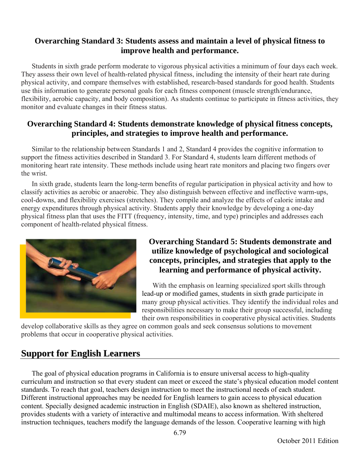### **Overarching Standard 3: Students assess and maintain a level of physical fitness to improve health and performance.**

Students in sixth grade perform moderate to vigorous physical activities a minimum of four days each week. They assess their own level of health-related physical fitness, including the intensity of their heart rate during physical activity, and compare themselves with established, research-based standards for good health. Students use this information to generate personal goals for each fitness component (muscle strength/endurance, flexibility, aerobic capacity, and body composition). As students continue to participate in fitness activities, they monitor and evaluate changes in their fitness status.

### **Overarching Standard 4: Students demonstrate knowledge of physical fitness concepts, principles, and strategies to improve health and performance.**

Similar to the relationship between Standards 1 and 2, Standard 4 provides the cognitive information to support the fitness activities described in Standard 3. For Standard 4, students learn different methods of monitoring heart rate intensity. These methods include using heart rate monitors and placing two fingers over the wrist.

In sixth grade, students learn the long-term benefits of regular participation in physical activity and how to classify activities as aerobic or anaerobic. They also distinguish between effective and ineffective warm-ups, cool-downs, and flexibility exercises (stretches). They compile and analyze the effects of caloric intake and energy expenditures through physical activity. Students apply their knowledge by developing a one-day physical fitness plan that uses the FITT (frequency, intensity, time, and type) principles and addresses each component of health-related physical fitness.



### **Overarching Standard 5: Students demonstrate and utilize knowledge of psychological and sociological concepts, principles, and strategies that apply to the learning and performance of physical activity.**

With the emphasis on learning specialized sport skills through lead-up or modified games, students in sixth grade participate in many group physical activities. They identify the individual roles and responsibilities necessary to make their group successful, including their own responsibilities in cooperative physical activities. Students

develop collaborative skills as they agree on common goals and seek consensus solutions to movement problems that occur in cooperative physical activities.

### **Support for English Learners**

The goal of physical education programs in California is to ensure universal access to high-quality curriculum and instruction so that every student can meet or exceed the state's physical education model content standards. To reach that goal, teachers design instruction to meet the instructional needs of each student. Different instructional approaches may be needed for English learners to gain access to physical education content. Specially designed academic instruction in English (SDAIE), also known as sheltered instruction, provides students with a variety of interactive and multimodal means to access information. With sheltered instruction techniques, teachers modify the language demands of the lesson. Cooperative learning with high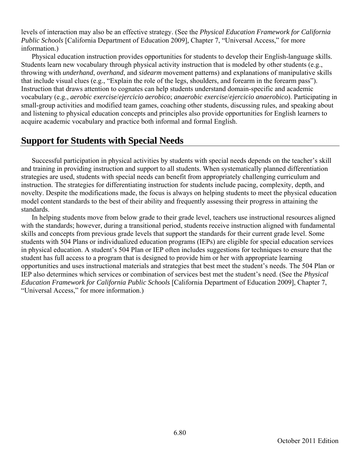levels of interaction may also be an effective strategy. (See the *Physical Education Framework for California Public Schools* [California Department of Education 2009]*,* Chapter 7, "Universal Access," for more information.)

Physical education instruction provides opportunities for students to develop their English-language skills. Students learn new vocabulary through physical activity instruction that is modeled by other students (e.g., throwing with *underhand*, *overhand*, and *sidearm* movement patterns) and explanations of manipulative skills that include visual clues (e.g., "Explain the role of the legs, shoulders, and forearm in the forearm pass"). Instruction that draws attention to cognates can help students understand domain-specific and academic vocabulary (e.g., *aerobic exercise*/*ejercicio aerobico*; *anaerobic exercise*/*ejercicio anaerobico*). Participating in small-group activities and modified team games, coaching other students, discussing rules, and speaking about and listening to physical education concepts and principles also provide opportunities for English learners to acquire academic vocabulary and practice both informal and formal English.

### **Support for Students with Special Needs**

Successful participation in physical activities by students with special needs depends on the teacher's skill and training in providing instruction and support to all students. When systematically planned differentiation strategies are used, students with special needs can benefit from appropriately challenging curriculum and instruction. The strategies for differentiating instruction for students include pacing, complexity, depth, and novelty. Despite the modifications made, the focus is always on helping students to meet the physical education model content standards to the best of their ability and frequently assessing their progress in attaining the standards.

In helping students move from below grade to their grade level, teachers use instructional resources aligned with the standards; however, during a transitional period, students receive instruction aligned with fundamental skills and concepts from previous grade levels that support the standards for their current grade level. Some students with 504 Plans or individualized education programs (IEPs) are eligible for special education services in physical education. A student's 504 Plan or IEP often includes suggestions for techniques to ensure that the student has full access to a program that is designed to provide him or her with appropriate learning opportunities and uses instructional materials and strategies that best meet the student's needs. The 504 Plan or IEP also determines which services or combination of services best met the student's need. (See the *Physical Education Framework for California Public Schools* [California Department of Education 2009], Chapter 7, "Universal Access," for more information.)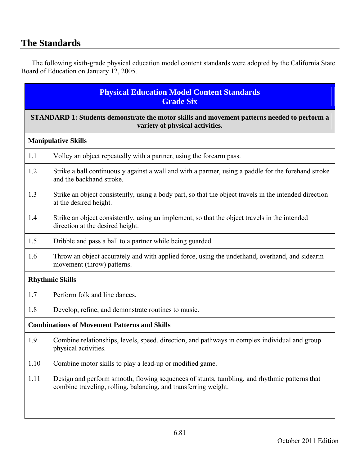## **The Standards**

The following sixth-grade physical education model content standards were adopted by the California State Board of Education on January 12, 2005.

|                                                     | <b>Physical Education Model Content Standards</b><br><b>Grade Six</b>                                                                                           |  |
|-----------------------------------------------------|-----------------------------------------------------------------------------------------------------------------------------------------------------------------|--|
|                                                     | STANDARD 1: Students demonstrate the motor skills and movement patterns needed to perform a<br>variety of physical activities.                                  |  |
|                                                     | <b>Manipulative Skills</b>                                                                                                                                      |  |
| 1.1                                                 | Volley an object repeatedly with a partner, using the forearm pass.                                                                                             |  |
| 1.2                                                 | Strike a ball continuously against a wall and with a partner, using a paddle for the forehand stroke<br>and the backhand stroke.                                |  |
| 1.3                                                 | Strike an object consistently, using a body part, so that the object travels in the intended direction<br>at the desired height.                                |  |
| 1.4                                                 | Strike an object consistently, using an implement, so that the object travels in the intended<br>direction at the desired height.                               |  |
| 1.5                                                 | Dribble and pass a ball to a partner while being guarded.                                                                                                       |  |
| 1.6                                                 | Throw an object accurately and with applied force, using the underhand, overhand, and sidearm<br>movement (throw) patterns.                                     |  |
|                                                     | <b>Rhythmic Skills</b>                                                                                                                                          |  |
| 1.7                                                 | Perform folk and line dances.                                                                                                                                   |  |
| 1.8                                                 | Develop, refine, and demonstrate routines to music.                                                                                                             |  |
| <b>Combinations of Movement Patterns and Skills</b> |                                                                                                                                                                 |  |
| 1.9                                                 | Combine relationships, levels, speed, direction, and pathways in complex individual and group<br>physical activities.                                           |  |
| 1.10                                                | Combine motor skills to play a lead-up or modified game.                                                                                                        |  |
| 1.11                                                | Design and perform smooth, flowing sequences of stunts, tumbling, and rhythmic patterns that<br>combine traveling, rolling, balancing, and transferring weight. |  |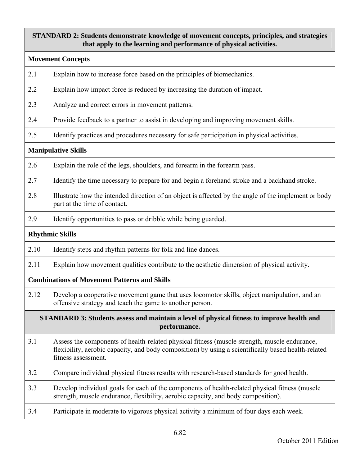#### **STANDARD 2: Students demonstrate knowledge of movement concepts, principles, and strategies that apply to the learning and performance of physical activities.**

| <b>Movement Concepts</b>                                                                                   |                                                                                                                                                                                                                            |  |
|------------------------------------------------------------------------------------------------------------|----------------------------------------------------------------------------------------------------------------------------------------------------------------------------------------------------------------------------|--|
| 2.1                                                                                                        | Explain how to increase force based on the principles of biomechanics.                                                                                                                                                     |  |
| 2.2                                                                                                        | Explain how impact force is reduced by increasing the duration of impact.                                                                                                                                                  |  |
| 2.3                                                                                                        | Analyze and correct errors in movement patterns.                                                                                                                                                                           |  |
| 2.4                                                                                                        | Provide feedback to a partner to assist in developing and improving movement skills.                                                                                                                                       |  |
| 2.5                                                                                                        | Identify practices and procedures necessary for safe participation in physical activities.                                                                                                                                 |  |
|                                                                                                            | <b>Manipulative Skills</b>                                                                                                                                                                                                 |  |
| 2.6                                                                                                        | Explain the role of the legs, shoulders, and forearm in the forearm pass.                                                                                                                                                  |  |
| 2.7                                                                                                        | Identify the time necessary to prepare for and begin a forehand stroke and a backhand stroke.                                                                                                                              |  |
| 2.8                                                                                                        | Illustrate how the intended direction of an object is affected by the angle of the implement or body<br>part at the time of contact.                                                                                       |  |
| 2.9                                                                                                        | Identify opportunities to pass or dribble while being guarded.                                                                                                                                                             |  |
| <b>Rhythmic Skills</b>                                                                                     |                                                                                                                                                                                                                            |  |
| 2.10                                                                                                       | Identify steps and rhythm patterns for folk and line dances.                                                                                                                                                               |  |
| 2.11                                                                                                       | Explain how movement qualities contribute to the aesthetic dimension of physical activity.                                                                                                                                 |  |
| <b>Combinations of Movement Patterns and Skills</b>                                                        |                                                                                                                                                                                                                            |  |
| 2.12                                                                                                       | Develop a cooperative movement game that uses locomotor skills, object manipulation, and an<br>offensive strategy and teach the game to another person.                                                                    |  |
| STANDARD 3: Students assess and maintain a level of physical fitness to improve health and<br>performance. |                                                                                                                                                                                                                            |  |
| 3.1                                                                                                        | Assess the components of health-related physical fitness (muscle strength, muscle endurance,<br>flexibility, aerobic capacity, and body composition) by using a scientifically based health-related<br>fitness assessment. |  |
| 3.2                                                                                                        | Compare individual physical fitness results with research-based standards for good health.                                                                                                                                 |  |
| 3.3                                                                                                        | Develop individual goals for each of the components of health-related physical fitness (muscle<br>strength, muscle endurance, flexibility, aerobic capacity, and body composition).                                        |  |
| 3.4                                                                                                        | Participate in moderate to vigorous physical activity a minimum of four days each week.                                                                                                                                    |  |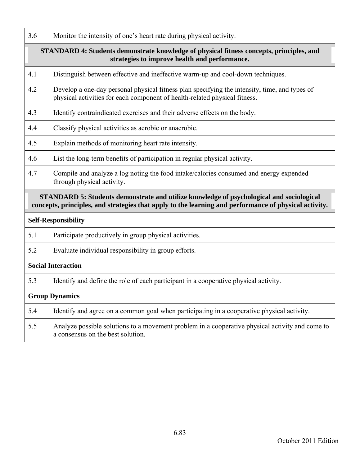| 3.6                                                                                                                                                                                               | Monitor the intensity of one's heart rate during physical activity.                                                                                                         |  |
|---------------------------------------------------------------------------------------------------------------------------------------------------------------------------------------------------|-----------------------------------------------------------------------------------------------------------------------------------------------------------------------------|--|
| STANDARD 4: Students demonstrate knowledge of physical fitness concepts, principles, and<br>strategies to improve health and performance.                                                         |                                                                                                                                                                             |  |
| 4.1                                                                                                                                                                                               | Distinguish between effective and ineffective warm-up and cool-down techniques.                                                                                             |  |
| 4.2                                                                                                                                                                                               | Develop a one-day personal physical fitness plan specifying the intensity, time, and types of<br>physical activities for each component of health-related physical fitness. |  |
| 4.3                                                                                                                                                                                               | Identify contraindicated exercises and their adverse effects on the body.                                                                                                   |  |
| 4.4                                                                                                                                                                                               | Classify physical activities as aerobic or anaerobic.                                                                                                                       |  |
| 4.5                                                                                                                                                                                               | Explain methods of monitoring heart rate intensity.                                                                                                                         |  |
| 4.6                                                                                                                                                                                               | List the long-term benefits of participation in regular physical activity.                                                                                                  |  |
| 4.7                                                                                                                                                                                               | Compile and analyze a log noting the food intake/calories consumed and energy expended<br>through physical activity.                                                        |  |
| STANDARD 5: Students demonstrate and utilize knowledge of psychological and sociological<br>concepts, principles, and strategies that apply to the learning and performance of physical activity. |                                                                                                                                                                             |  |
| <b>Self-Responsibility</b>                                                                                                                                                                        |                                                                                                                                                                             |  |
| 5.1                                                                                                                                                                                               | Participate productively in group physical activities.                                                                                                                      |  |
| 5.2                                                                                                                                                                                               | Evaluate individual responsibility in group efforts.                                                                                                                        |  |
| <b>Social Interaction</b>                                                                                                                                                                         |                                                                                                                                                                             |  |
| 5.3                                                                                                                                                                                               | Identify and define the role of each participant in a cooperative physical activity.                                                                                        |  |
| <b>Group Dynamics</b>                                                                                                                                                                             |                                                                                                                                                                             |  |
| 5.4                                                                                                                                                                                               | Identify and agree on a common goal when participating in a cooperative physical activity.                                                                                  |  |
| 5.5                                                                                                                                                                                               | Analyze possible solutions to a movement problem in a cooperative physical activity and come to<br>a consensus on the best solution.                                        |  |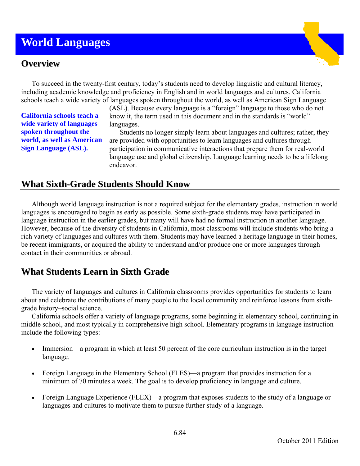# **World Languages**

### **Overview**



To succeed in the twenty-first century, today's students need to develop linguistic and cultural literacy, including academic knowledge and proficiency in English and in world languages and cultures. California schools teach a wide variety of languages spoken throughout the world, as well as American Sign Language

**wide variety of languages** languages.

(ASL). Because every language is a "foreign" language to those who do not **California schools teach a** know it, the term used in this document and in the standards is "world"

**spoken throughout the** Students no longer simply learn about languages and cultures; rather, they **world, as well as American** are provided with opportunities to learn languages and cultures through are provided with opportunities to learn languages and cultures through **Sign Language (ASL).** participation in communicative interactions that prepare them for real-world language use and global citizenship. Language learning needs to be a lifelong endeavor.

### **What Sixth-Grade Students Should Know**

Although world language instruction is not a required subject for the elementary grades, instruction in world languages is encouraged to begin as early as possible. Some sixth-grade students may have participated in language instruction in the earlier grades, but many will have had no formal instruction in another language. However, because of the diversity of students in California, most classrooms will include students who bring a rich variety of languages and cultures with them. Students may have learned a heritage language in their homes, be recent immigrants, or acquired the ability to understand and/or produce one or more languages through contact in their communities or abroad.

### **What Students Learn in Sixth Grade**

The variety of languages and cultures in California classrooms provides opportunities for students to learn about and celebrate the contributions of many people to the local community and reinforce lessons from sixthgrade history–social science.

California schools offer a variety of language programs, some beginning in elementary school, continuing in middle school, and most typically in comprehensive high school. Elementary programs in language instruction include the following types:

- Immersion—a program in which at least 50 percent of the core curriculum instruction is in the target language.
- Foreign Language in the Elementary School (FLES)—a program that provides instruction for a minimum of 70 minutes a week. The goal is to develop proficiency in language and culture.
- Foreign Language Experience (FLEX)—a program that exposes students to the study of a language or languages and cultures to motivate them to pursue further study of a language.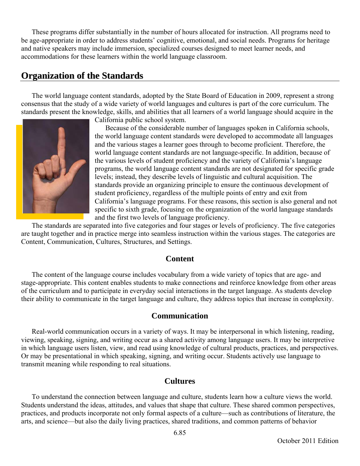These programs differ substantially in the number of hours allocated for instruction. All programs need to be age-appropriate in order to address students' cognitive, emotional, and social needs. Programs for heritage and native speakers may include immersion, specialized courses designed to meet learner needs, and accommodations for these learners within the world language classroom.

### **Organization of the Standards**

The world language content standards, adopted by the State Board of Education in 2009, represent a strong consensus that the study of a wide variety of world languages and cultures is part of the core curriculum. The standards present the knowledge, skills, and abilities that all learners of a world language should acquire in the



California public school system.

Because of the considerable number of languages spoken in California schools, the world language content standards were developed to accommodate all languages and the various stages a learner goes through to become proficient. Therefore, the world language content standards are not language-specific. In addition, because of the various levels of student proficiency and the variety of California's language programs, the world language content standards are not designated for specific grade levels; instead, they describe levels of linguistic and cultural acquisition. The standards provide an organizing principle to ensure the continuous development of student proficiency, regardless of the multiple points of entry and exit from California's language programs. For these reasons, this section is also general and not specific to sixth grade, focusing on the organization of the world language standards and the first two levels of language proficiency.

The standards are separated into five categories and four stages or levels of proficiency. The five categories are taught together and in practice merge into seamless instruction within the various stages. The categories are Content, Communication, Cultures, Structures, and Settings.

#### **Content**

The content of the language course includes vocabulary from a wide variety of topics that are age- and stage-appropriate. This content enables students to make connections and reinforce knowledge from other areas of the curriculum and to participate in everyday social interactions in the target language. As students develop their ability to communicate in the target language and culture, they address topics that increase in complexity.

#### **Communication**

Real-world communication occurs in a variety of ways. It may be interpersonal in which listening, reading, viewing, speaking, signing, and writing occur as a shared activity among language users. It may be interpretive in which language users listen, view, and read using knowledge of cultural products, practices, and perspectives. Or may be presentational in which speaking, signing, and writing occur. Students actively use language to transmit meaning while responding to real situations.

#### **Cultures**

To understand the connection between language and culture, students learn how a culture views the world. Students understand the ideas, attitudes, and values that shape that culture. These shared common perspectives, practices, and products incorporate not only formal aspects of a culture—such as contributions of literature, the arts, and science—but also the daily living practices, shared traditions, and common patterns of behavior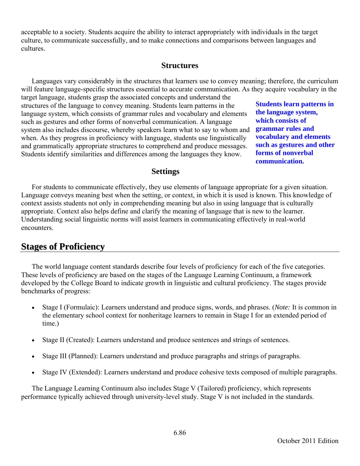acceptable to a society. Students acquire the ability to interact appropriately with individuals in the target culture, to communicate successfully, and to make connections and comparisons between languages and cultures.

#### **Structures**

Languages vary considerably in the structures that learners use to convey meaning; therefore, the curriculum will feature language-specific structures essential to accurate communication. As they acquire vocabulary in the

target language, students grasp the associated concepts and understand the structures of the language to convey meaning. Students learn patterns in the **Students learn patterns in** language system, and all anguage system, language system, which consists of grammar rules and vocabulary and elements **the language system**<br>such as gestures and other forms of nonverbal communication. A language **which consists of** such as gestures and other forms of nonverbal communication. A language **which consists of** system also includes discourse whereby speakers learn what to say to whom and **grammar rules and** system also includes discourse, whereby speakers learn what to say to whom and **grammar rules and** when As they progress in proficiency with language students use linguistically **vocabulary and elements** when. As they progress in proficiency with language, students use linguistically **vocabulary and elements** and oranimatically appropriate structures to comprehend and produce messages **such as gestures and other** and grammatically appropriate structures to comprehend and produce messages. **such as gestures and** Students identify similarities and differences among the languages they know **forms of nonverbal** Students identify similarities and differences among the languages they know.

**communication.** 

#### **Settings**

For students to communicate effectively, they use elements of language appropriate for a given situation. Language conveys meaning best when the setting, or context, in which it is used is known. This knowledge of context assists students not only in comprehending meaning but also in using language that is culturally appropriate. Context also helps define and clarify the meaning of language that is new to the learner. Understanding social linguistic norms will assist learners in communicating effectively in real-world encounters.

### **Stages of Proficiency**

The world language content standards describe four levels of proficiency for each of the five categories. These levels of proficiency are based on the stages of the Language Learning Continuum, a framework developed by the College Board to indicate growth in linguistic and cultural proficiency. The stages provide benchmarks of progress:

- Stage I (Formulaic): Learners understand and produce signs, words, and phrases. (*Note:* It is common in the elementary school context for nonheritage learners to remain in Stage I for an extended period of time.)
- Stage II (Created): Learners understand and produce sentences and strings of sentences.
- Stage III (Planned): Learners understand and produce paragraphs and strings of paragraphs.
- Stage IV (Extended): Learners understand and produce cohesive texts composed of multiple paragraphs.

The Language Learning Continuum also includes Stage V (Tailored) proficiency, which represents performance typically achieved through university-level study. Stage V is not included in the standards.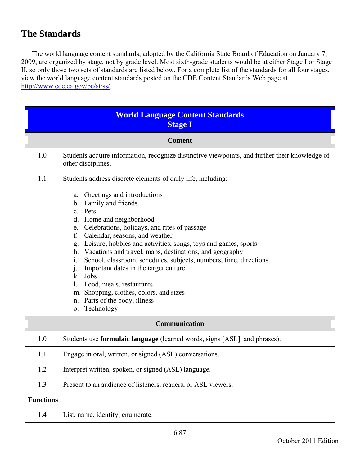### **The Standards**

The world language content standards, adopted by the California State Board of Education on January 7, 2009, are organized by stage, not by grade level. Most sixth-grade students would be at either Stage I or Stage II, so only those two sets of standards are listed below. For a complete list of the standards for all four stages, view the world language content standards posted on the CDE Content Standards Web page at http://www.cde.ca.gov/be/st/ss/.

|                  | <b>World Language Content Standards</b><br><b>Stage I</b>                                                                                                                                                                                                                                                                                                                                                                                                                                                                                                                                                            |  |
|------------------|----------------------------------------------------------------------------------------------------------------------------------------------------------------------------------------------------------------------------------------------------------------------------------------------------------------------------------------------------------------------------------------------------------------------------------------------------------------------------------------------------------------------------------------------------------------------------------------------------------------------|--|
|                  | <b>Content</b>                                                                                                                                                                                                                                                                                                                                                                                                                                                                                                                                                                                                       |  |
| 1.0              | Students acquire information, recognize distinctive viewpoints, and further their knowledge of<br>other disciplines.                                                                                                                                                                                                                                                                                                                                                                                                                                                                                                 |  |
| 1.1              | Students address discrete elements of daily life, including:<br>Greetings and introductions<br>a.<br>Family and friends<br>$\mathbf{b}$ .<br>c. Pets<br>Home and neighborhood<br>d.<br>Celebrations, holidays, and rites of passage<br>e.<br>f.<br>Calendar, seasons, and weather<br>Leisure, hobbies and activities, songs, toys and games, sports<br>$\mathbf{g}$<br>Vacations and travel, maps, destinations, and geography<br>h.<br>$\mathbf{i}$ .<br>School, classroom, schedules, subjects, numbers, time, directions<br>Important dates in the target culture<br>Jobs<br>k.<br>Food, meals, restaurants<br>1. |  |
|                  | m. Shopping, clothes, colors, and sizes<br>Parts of the body, illness<br>n.<br>Technology<br>0.                                                                                                                                                                                                                                                                                                                                                                                                                                                                                                                      |  |
| Communication    |                                                                                                                                                                                                                                                                                                                                                                                                                                                                                                                                                                                                                      |  |
| 1.0              | Students use <b>formulaic language</b> (learned words, signs [ASL], and phrases).                                                                                                                                                                                                                                                                                                                                                                                                                                                                                                                                    |  |
| 1.1              | Engage in oral, written, or signed (ASL) conversations.                                                                                                                                                                                                                                                                                                                                                                                                                                                                                                                                                              |  |
| 1.2              | Interpret written, spoken, or signed (ASL) language.                                                                                                                                                                                                                                                                                                                                                                                                                                                                                                                                                                 |  |
| 1.3              | Present to an audience of listeners, readers, or ASL viewers.                                                                                                                                                                                                                                                                                                                                                                                                                                                                                                                                                        |  |
| <b>Functions</b> |                                                                                                                                                                                                                                                                                                                                                                                                                                                                                                                                                                                                                      |  |
| 1.4              | List, name, identify, enumerate.                                                                                                                                                                                                                                                                                                                                                                                                                                                                                                                                                                                     |  |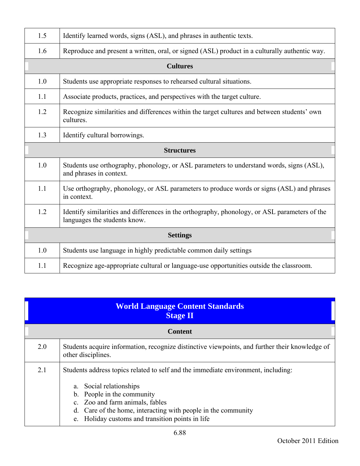| 1.5               | Identify learned words, signs (ASL), and phrases in authentic texts.                                                          |  |
|-------------------|-------------------------------------------------------------------------------------------------------------------------------|--|
| 1.6               | Reproduce and present a written, oral, or signed (ASL) product in a culturally authentic way.                                 |  |
|                   | <b>Cultures</b>                                                                                                               |  |
| 1.0               | Students use appropriate responses to rehearsed cultural situations.                                                          |  |
| 1.1               | Associate products, practices, and perspectives with the target culture.                                                      |  |
| 1.2               | Recognize similarities and differences within the target cultures and between students' own<br>cultures.                      |  |
| 1.3               | Identify cultural borrowings.                                                                                                 |  |
| <b>Structures</b> |                                                                                                                               |  |
| 1.0               | Students use orthography, phonology, or ASL parameters to understand words, signs (ASL),<br>and phrases in context.           |  |
| 1.1               | Use orthography, phonology, or ASL parameters to produce words or signs (ASL) and phrases<br>in context.                      |  |
| 1.2               | Identify similarities and differences in the orthography, phonology, or ASL parameters of the<br>languages the students know. |  |
| <b>Settings</b>   |                                                                                                                               |  |
| 1.0               | Students use language in highly predictable common daily settings                                                             |  |
| 1.1               | Recognize age-appropriate cultural or language-use opportunities outside the classroom.                                       |  |

|                | <b>World Language Content Standards</b><br><b>Stage II</b>                                                                                                                                                                                                                                                  |  |
|----------------|-------------------------------------------------------------------------------------------------------------------------------------------------------------------------------------------------------------------------------------------------------------------------------------------------------------|--|
| <b>Content</b> |                                                                                                                                                                                                                                                                                                             |  |
| 2.0            | Students acquire information, recognize distinctive viewpoints, and further their knowledge of<br>other disciplines.                                                                                                                                                                                        |  |
| 2.1            | Students address topics related to self and the immediate environment, including:<br>Social relationships<br>a.<br>b. People in the community<br>c. Zoo and farm animals, fables<br>Care of the home, interacting with people in the community<br>d.<br>Holiday customs and transition points in life<br>e. |  |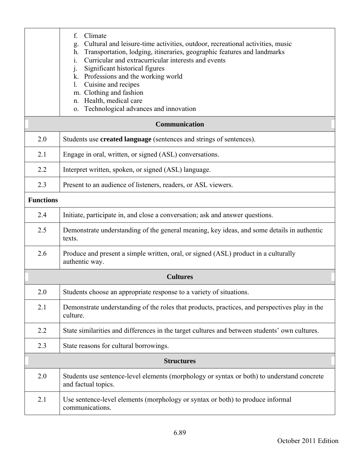|                   | f.<br>Climate<br>Cultural and leisure-time activities, outdoor, recreational activities, music<br>g.<br>Transportation, lodging, itineraries, geographic features and landmarks<br>h.<br>Curricular and extracurricular interests and events<br>i.<br>Significant historical figures<br>$\mathbf{1}$ .<br>k. Professions and the working world<br>Cuisine and recipes<br>$\mathbf{l}$ .<br>m. Clothing and fashion<br>Health, medical care<br>n.<br>Technological advances and innovation<br>0. |
|-------------------|-------------------------------------------------------------------------------------------------------------------------------------------------------------------------------------------------------------------------------------------------------------------------------------------------------------------------------------------------------------------------------------------------------------------------------------------------------------------------------------------------|
|                   | Communication                                                                                                                                                                                                                                                                                                                                                                                                                                                                                   |
| 2.0               | Students use created language (sentences and strings of sentences).                                                                                                                                                                                                                                                                                                                                                                                                                             |
| 2.1               | Engage in oral, written, or signed (ASL) conversations.                                                                                                                                                                                                                                                                                                                                                                                                                                         |
| 2.2               | Interpret written, spoken, or signed (ASL) language.                                                                                                                                                                                                                                                                                                                                                                                                                                            |
| 2.3               | Present to an audience of listeners, readers, or ASL viewers.                                                                                                                                                                                                                                                                                                                                                                                                                                   |
| <b>Functions</b>  |                                                                                                                                                                                                                                                                                                                                                                                                                                                                                                 |
| 2.4               | Initiate, participate in, and close a conversation; ask and answer questions.                                                                                                                                                                                                                                                                                                                                                                                                                   |
| 2.5               | Demonstrate understanding of the general meaning, key ideas, and some details in authentic<br>texts.                                                                                                                                                                                                                                                                                                                                                                                            |
| 2.6               | Produce and present a simple written, oral, or signed (ASL) product in a culturally<br>authentic way.                                                                                                                                                                                                                                                                                                                                                                                           |
|                   | <b>Cultures</b>                                                                                                                                                                                                                                                                                                                                                                                                                                                                                 |
| 2.0               | Students choose an appropriate response to a variety of situations.                                                                                                                                                                                                                                                                                                                                                                                                                             |
| 2.1               | Demonstrate understanding of the roles that products, practices, and perspectives play in the<br>culture.                                                                                                                                                                                                                                                                                                                                                                                       |
| 2.2               | State similarities and differences in the target cultures and between students' own cultures.                                                                                                                                                                                                                                                                                                                                                                                                   |
| 2.3               | State reasons for cultural borrowings.                                                                                                                                                                                                                                                                                                                                                                                                                                                          |
| <b>Structures</b> |                                                                                                                                                                                                                                                                                                                                                                                                                                                                                                 |
| 2.0               | Students use sentence-level elements (morphology or syntax or both) to understand concrete<br>and factual topics.                                                                                                                                                                                                                                                                                                                                                                               |
| 2.1               | Use sentence-level elements (morphology or syntax or both) to produce informal<br>communications.                                                                                                                                                                                                                                                                                                                                                                                               |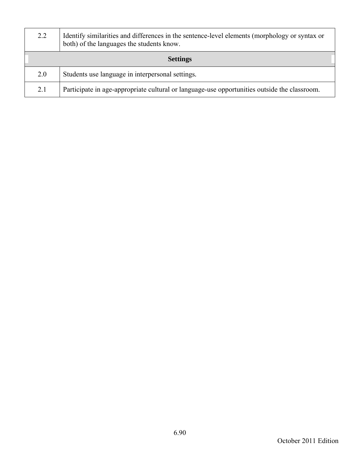| 2.2             | Identify similarities and differences in the sentence-level elements (morphology or syntax or<br>both) of the languages the students know. |
|-----------------|--------------------------------------------------------------------------------------------------------------------------------------------|
| <b>Settings</b> |                                                                                                                                            |
| 2.0             | Students use language in interpersonal settings.                                                                                           |
| 2.1             | Participate in age-appropriate cultural or language-use opportunities outside the classroom.                                               |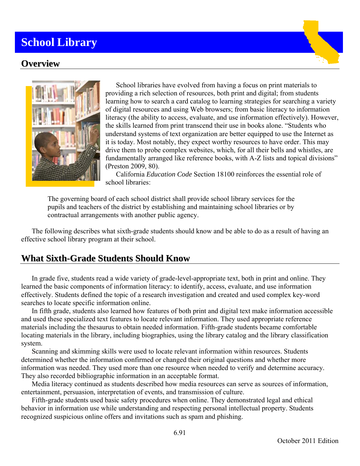# **School Library**

### **Overview**



School libraries have evolved from having a focus on print materials to providing a rich selection of resources, both print and digital; from students learning how to search a card catalog to learning strategies for searching a variety of digital resources and using Web browsers; from basic literacy to information literacy (the ability to access, evaluate, and use information effectively). However, the skills learned from print transcend their use in books alone. "Students who understand systems of text organization are better equipped to use the Internet as it is today. Most notably, they expect worthy resources to have order. This may drive them to probe complex websites, which, for all their bells and whistles, are fundamentally arranged like reference books, with A-Z lists and topical divisions" (Preston 2009, 80).

California *Education Code* Section 18100 reinforces the essential role of school libraries:

The governing board of each school district shall provide school library services for the pupils and teachers of the district by establishing and maintaining school libraries or by contractual arrangements with another public agency.

The following describes what sixth-grade students should know and be able to do as a result of having an effective school library program at their school.

### **What Sixth-Grade Students Should Know**

In grade five, students read a wide variety of grade-level-appropriate text, both in print and online. They learned the basic components of information literacy: to identify, access, evaluate, and use information effectively. Students defined the topic of a research investigation and created and used complex key-word searches to locate specific information online.

In fifth grade, students also learned how features of both print and digital text make information accessible and used these specialized text features to locate relevant information. They used appropriate reference materials including the thesaurus to obtain needed information. Fifth-grade students became comfortable locating materials in the library, including biographies, using the library catalog and the library classification system.

Scanning and skimming skills were used to locate relevant information within resources. Students determined whether the information confirmed or changed their original questions and whether more information was needed. They used more than one resource when needed to verify and determine accuracy. They also recorded bibliographic information in an acceptable format.

Media literacy continued as students described how media resources can serve as sources of information, entertainment, persuasion, interpretation of events, and transmission of culture.

Fifth-grade students used basic safety procedures when online. They demonstrated legal and ethical behavior in information use while understanding and respecting personal intellectual property. Students recognized suspicious online offers and invitations such as spam and phishing.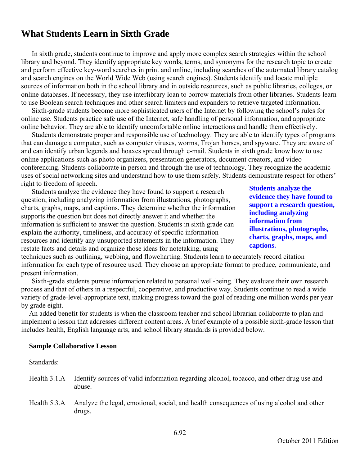### **What Students Learn in Sixth Grade**

In sixth grade, students continue to improve and apply more complex search strategies within the school library and beyond. They identify appropriate key words, terms, and synonyms for the research topic to create and perform effective key-word searches in print and online, including searches of the automated library catalog and search engines on the World Wide Web (using search engines). Students identify and locate multiple sources of information both in the school library and in outside resources, such as public libraries, colleges, or online databases. If necessary, they use interlibrary loan to borrow materials from other libraries. Students learn to use Boolean search techniques and other search limiters and expanders to retrieve targeted information.

Sixth-grade students become more sophisticated users of the Internet by following the school's rules for online use. Students practice safe use of the Internet, safe handling of personal information, and appropriate online behavior. They are able to identify uncomfortable online interactions and handle them effectively.

Students demonstrate proper and responsible use of technology. They are able to identify types of programs that can damage a computer, such as computer viruses, worms, Trojan horses, and spyware. They are aware of and can identify urban legends and hoaxes spread through e-mail. Students in sixth grade know how to use online applications such as photo organizers, presentation generators, document creators, and video conferencing. Students collaborate in person and through the use of technology. They recognize the academic uses of social networking sites and understand how to use them safely. Students demonstrate respect for others'

Fight to freedom of speech.<br>
Students analyze the evidence they have found to support a research<br>
question, including analyzing information from illustrations, photographs,<br>
charts, graphs, maps, and captions. They determi

techniques such as outlining, webbing, and flowcharting. Students learn to accurately record citation information for each type of resource used. They choose an appropriate format to produce, communicate, and present information.

Sixth-grade students pursue information related to personal well-being. They evaluate their own research process and that of others in a respectful, cooperative, and productive way. Students continue to read a wide variety of grade-level-appropriate text, making progress toward the goal of reading one million words per year by grade eight.

An added benefit for students is when the classroom teacher and school librarian collaborate to plan and implement a lesson that addresses different content areas. A brief example of a possible sixth-grade lesson that includes health, English language arts, and school library standards is provided below.

#### **Sample Collaborative Lesson**

Standards:

| Health 3.1.A Identify sources of valid information regarding alcohol, tobacco, and other drug use and |
|-------------------------------------------------------------------------------------------------------|
| abuse.                                                                                                |

Health 5.3.A Analyze the legal, emotional, social, and health consequences of using alcohol and other drugs.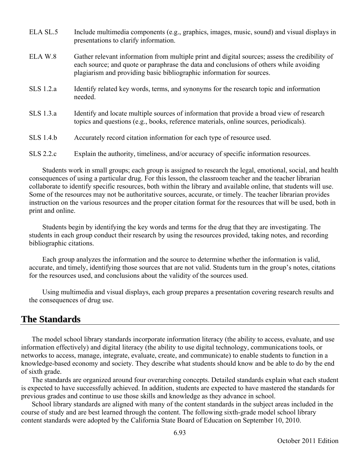| ELA SL.5    | Include multimedia components (e.g., graphics, images, music, sound) and visual displays in<br>presentations to clarify information.                                                                                                                              |
|-------------|-------------------------------------------------------------------------------------------------------------------------------------------------------------------------------------------------------------------------------------------------------------------|
| ELA W.8     | Gather relevant information from multiple print and digital sources; assess the credibility of<br>each source; and quote or paraphrase the data and conclusions of others while avoiding<br>plagiarism and providing basic bibliographic information for sources. |
| $SLS$ 1.2.a | Identify related key words, terms, and synonyms for the research topic and information<br>needed.                                                                                                                                                                 |
| $SLS$ 1.3.a | Identify and locate multiple sources of information that provide a broad view of research<br>topics and questions (e.g., books, reference materials, online sources, periodicals).                                                                                |
| $SLS$ 1.4.b | Accurately record citation information for each type of resource used.                                                                                                                                                                                            |
| SLS 2.2.c   | Explain the authority, timeliness, and/or accuracy of specific information resources.                                                                                                                                                                             |

Students work in small groups; each group is assigned to research the legal, emotional, social, and health consequences of using a particular drug. For this lesson, the classroom teacher and the teacher librarian collaborate to identify specific resources, both within the library and available online, that students will use. Some of the resources may not be authoritative sources, accurate, or timely. The teacher librarian provides instruction on the various resources and the proper citation format for the resources that will be used, both in print and online.

Students begin by identifying the key words and terms for the drug that they are investigating. The students in each group conduct their research by using the resources provided, taking notes, and recording bibliographic citations.

Each group analyzes the information and the source to determine whether the information is valid, accurate, and timely, identifying those sources that are not valid. Students turn in the group's notes, citations for the resources used, and conclusions about the validity of the sources used.

Using multimedia and visual displays, each group prepares a presentation covering research results and the consequences of drug use.

### **The Standards**

The model school library standards incorporate information literacy (the ability to access, evaluate, and use information effectively) and digital literacy (the ability to use digital technology, communications tools, or networks to access, manage, integrate, evaluate, create, and communicate) to enable students to function in a knowledge-based economy and society. They describe what students should know and be able to do by the end of sixth grade.

The standards are organized around four overarching concepts. Detailed standards explain what each student is expected to have successfully achieved. In addition, students are expected to have mastered the standards for previous grades and continue to use those skills and knowledge as they advance in school.

School library standards are aligned with many of the content standards in the subject areas included in the course of study and are best learned through the content. The following sixth-grade model school library content standards were adopted by the California State Board of Education on September 10, 2010.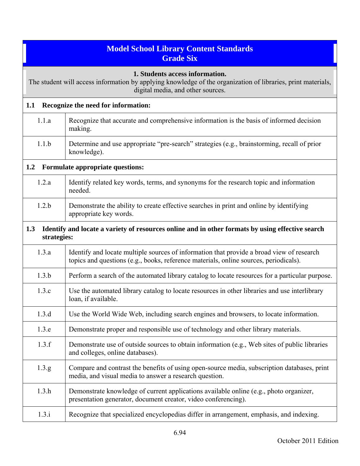### **Model School Library Content Standards Grade Six**

**1. Students access information.** 

The student will access information by applying knowledge of the organization of libraries, print materials, digital media, and other sources.

#### **1.1 Recognize the need for information:**

| 1.1.a                                          | Recognize that accurate and comprehensive information is the basis of informed decision<br>making.         |
|------------------------------------------------|------------------------------------------------------------------------------------------------------------|
| 1.1.b                                          | Determine and use appropriate "pre-search" strategies (e.g., brainstorming, recall of prior<br>knowledge). |
| <b>Formulate appropriate questions:</b><br>1.2 |                                                                                                            |
| 1.2.a                                          | Identify related key words, terms, and synonyms for the research topic and information<br>needed.          |
|                                                |                                                                                                            |

### 1.2.b Demonstrate the ability to create effective searches in print and online by identifying appropriate key words.

#### **1.3 Identify and locate a variety of resources online and in other formats by using effective search strategies:**

| 1.3.a  | Identify and locate multiple sources of information that provide a broad view of research<br>topics and questions (e.g., books, reference materials, online sources, periodicals). |
|--------|------------------------------------------------------------------------------------------------------------------------------------------------------------------------------------|
| 1.3.b  | Perform a search of the automated library catalog to locate resources for a particular purpose.                                                                                    |
| 1.3.c  | Use the automated library catalog to locate resources in other libraries and use interlibrary<br>loan, if available.                                                               |
| 1.3.d  | Use the World Wide Web, including search engines and browsers, to locate information.                                                                                              |
| 1.3.e  | Demonstrate proper and responsible use of technology and other library materials.                                                                                                  |
| 1.3.f  | Demonstrate use of outside sources to obtain information (e.g., Web sites of public libraries<br>and colleges, online databases).                                                  |
| 1.3.g. | Compare and contrast the benefits of using open-source media, subscription databases, print<br>media, and visual media to answer a research question.                              |
| 1.3.h  | Demonstrate knowledge of current applications available online (e.g., photo organizer,<br>presentation generator, document creator, video conferencing).                           |
| 1.3.i  | Recognize that specialized encyclopedias differ in arrangement, emphasis, and indexing.                                                                                            |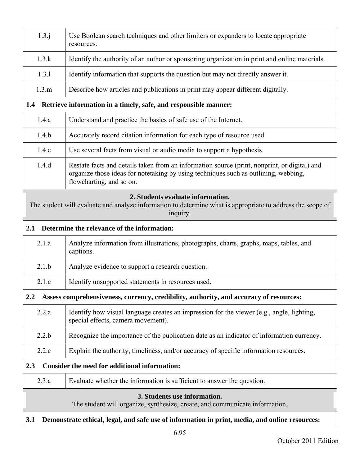| $1.3$ .j                                                                                                                                                    | Use Boolean search techniques and other limiters or expanders to locate appropriate<br>resources.                                                                                                               |
|-------------------------------------------------------------------------------------------------------------------------------------------------------------|-----------------------------------------------------------------------------------------------------------------------------------------------------------------------------------------------------------------|
| 1.3.k                                                                                                                                                       | Identify the authority of an author or sponsoring organization in print and online materials.                                                                                                                   |
| 1.3.1                                                                                                                                                       | Identify information that supports the question but may not directly answer it.                                                                                                                                 |
| 1.3.m                                                                                                                                                       | Describe how articles and publications in print may appear different digitally.                                                                                                                                 |
| 1.4                                                                                                                                                         | Retrieve information in a timely, safe, and responsible manner:                                                                                                                                                 |
| 1.4.a                                                                                                                                                       | Understand and practice the basics of safe use of the Internet.                                                                                                                                                 |
| 1.4.b                                                                                                                                                       | Accurately record citation information for each type of resource used.                                                                                                                                          |
| 1.4.c                                                                                                                                                       | Use several facts from visual or audio media to support a hypothesis.                                                                                                                                           |
| 1.4.d                                                                                                                                                       | Restate facts and details taken from an information source (print, nonprint, or digital) and<br>organize those ideas for notetaking by using techniques such as outlining, webbing,<br>flowcharting, and so on. |
| 2. Students evaluate information.<br>The student will evaluate and analyze information to determine what is appropriate to address the scope of<br>inquiry. |                                                                                                                                                                                                                 |
| 2.1                                                                                                                                                         | Determine the relevance of the information:                                                                                                                                                                     |
| 2.1.a                                                                                                                                                       | Analyze information from illustrations, photographs, charts, graphs, maps, tables, and<br>captions.                                                                                                             |
| 2.1.b                                                                                                                                                       | Analyze evidence to support a research question.                                                                                                                                                                |
| 2.1.c                                                                                                                                                       | Identify unsupported statements in resources used.                                                                                                                                                              |
| 2.2                                                                                                                                                         | Assess comprehensiveness, currency, credibility, authority, and accuracy of resources:                                                                                                                          |
| 2.2.a                                                                                                                                                       | Identify how visual language creates an impression for the viewer (e.g., angle, lighting,<br>special effects, camera movement).                                                                                 |
| 2.2.b                                                                                                                                                       | Recognize the importance of the publication date as an indicator of information currency.                                                                                                                       |
| 2.2.c                                                                                                                                                       | Explain the authority, timeliness, and/or accuracy of specific information resources.                                                                                                                           |
| Consider the need for additional information:<br>2.3                                                                                                        |                                                                                                                                                                                                                 |
| 2.3.a                                                                                                                                                       | Evaluate whether the information is sufficient to answer the question.                                                                                                                                          |
| 3. Students use information.<br>The student will organize, synthesize, create, and communicate information.                                                 |                                                                                                                                                                                                                 |
| Demonstrate ethical, legal, and safe use of information in print, media, and online resources:<br>3.1                                                       |                                                                                                                                                                                                                 |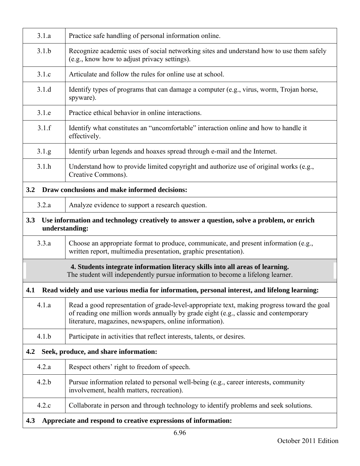| 3.1.a                                                                                                               | Practice safe handling of personal information online.                                                                                                                                                                                         |
|---------------------------------------------------------------------------------------------------------------------|------------------------------------------------------------------------------------------------------------------------------------------------------------------------------------------------------------------------------------------------|
| 3.1.b                                                                                                               | Recognize academic uses of social networking sites and understand how to use them safely<br>(e.g., know how to adjust privacy settings).                                                                                                       |
| 3.1.c                                                                                                               | Articulate and follow the rules for online use at school.                                                                                                                                                                                      |
| 3.1.d                                                                                                               | Identify types of programs that can damage a computer (e.g., virus, worm, Trojan horse,<br>spyware).                                                                                                                                           |
| 3.1.e                                                                                                               | Practice ethical behavior in online interactions.                                                                                                                                                                                              |
| 3.1.f                                                                                                               | Identify what constitutes an "uncomfortable" interaction online and how to handle it<br>effectively.                                                                                                                                           |
| 3.1.g                                                                                                               | Identify urban legends and hoaxes spread through e-mail and the Internet.                                                                                                                                                                      |
| 3.1.h                                                                                                               | Understand how to provide limited copyright and authorize use of original works (e.g.,<br>Creative Commons).                                                                                                                                   |
| Draw conclusions and make informed decisions:<br>3.2                                                                |                                                                                                                                                                                                                                                |
| 3.2.a                                                                                                               | Analyze evidence to support a research question.                                                                                                                                                                                               |
| Use information and technology creatively to answer a question, solve a problem, or enrich<br>3.3<br>understanding: |                                                                                                                                                                                                                                                |
| 3.3.a                                                                                                               | Choose an appropriate format to produce, communicate, and present information (e.g.,<br>written report, multimedia presentation, graphic presentation).                                                                                        |
|                                                                                                                     | 4. Students integrate information literacy skills into all areas of learning.<br>The student will independently pursue information to become a lifelong learner.                                                                               |
| 4.1                                                                                                                 | Read widely and use various media for information, personal interest, and lifelong learning:                                                                                                                                                   |
| 4.1.a                                                                                                               | Read a good representation of grade-level-appropriate text, making progress toward the goal<br>of reading one million words annually by grade eight (e.g., classic and contemporary<br>literature, magazines, newspapers, online information). |
| 4.1.b                                                                                                               | Participate in activities that reflect interests, talents, or desires.                                                                                                                                                                         |
| Seek, produce, and share information:<br>4.2                                                                        |                                                                                                                                                                                                                                                |
| 4.2.a                                                                                                               | Respect others' right to freedom of speech.                                                                                                                                                                                                    |
| 4.2.b                                                                                                               | Pursue information related to personal well-being (e.g., career interests, community<br>involvement, health matters, recreation).                                                                                                              |
| 4.2.c                                                                                                               | Collaborate in person and through technology to identify problems and seek solutions.                                                                                                                                                          |
| Appreciate and respond to creative expressions of information:<br>4.3                                               |                                                                                                                                                                                                                                                |